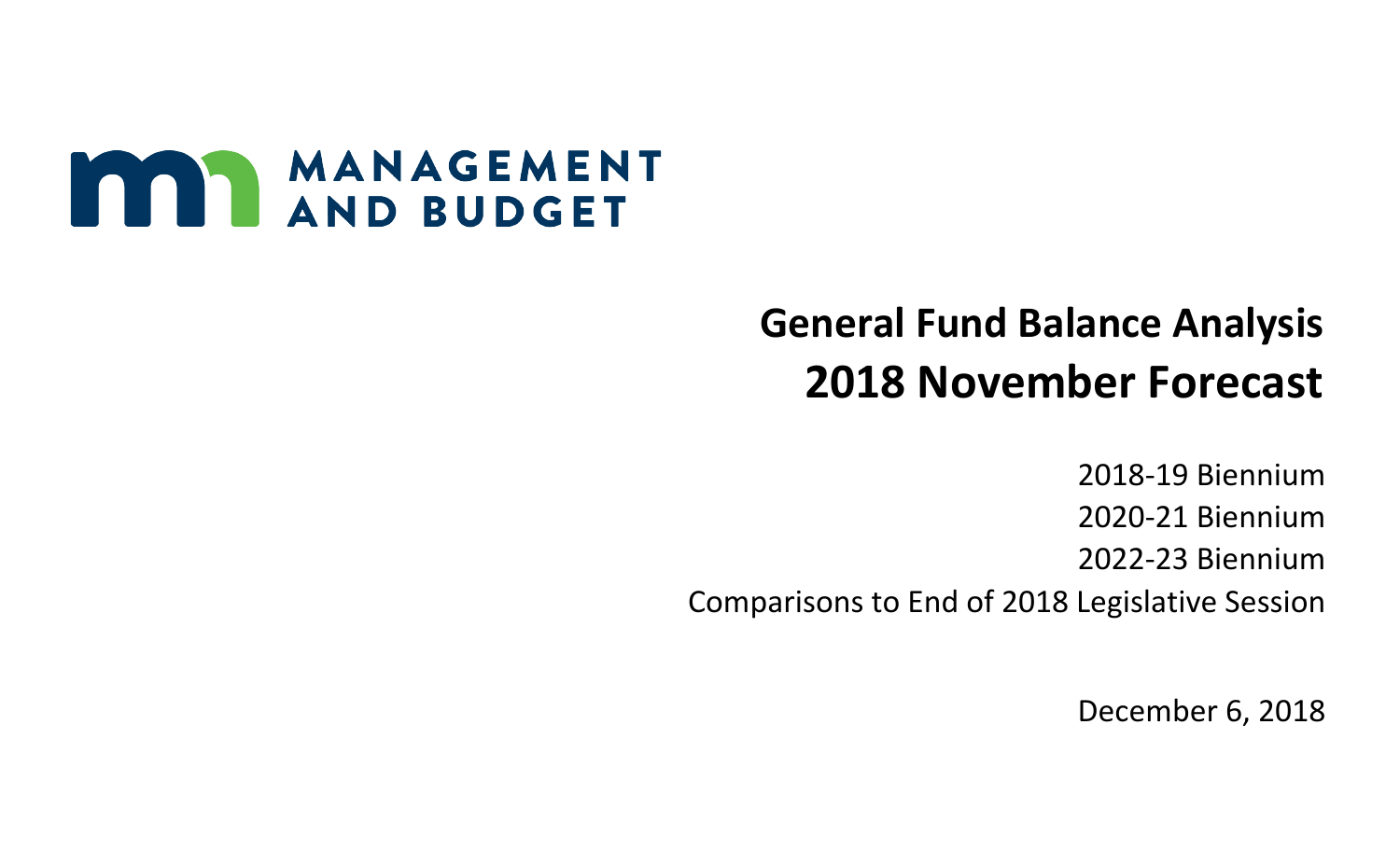

## **General Fund Balance Analysis 2018 November Forecast**

2018-19 Biennium 2020-21 Biennium 2022-23 Biennium Comparisons to End of 2018 Legislative Session

December 6, 2018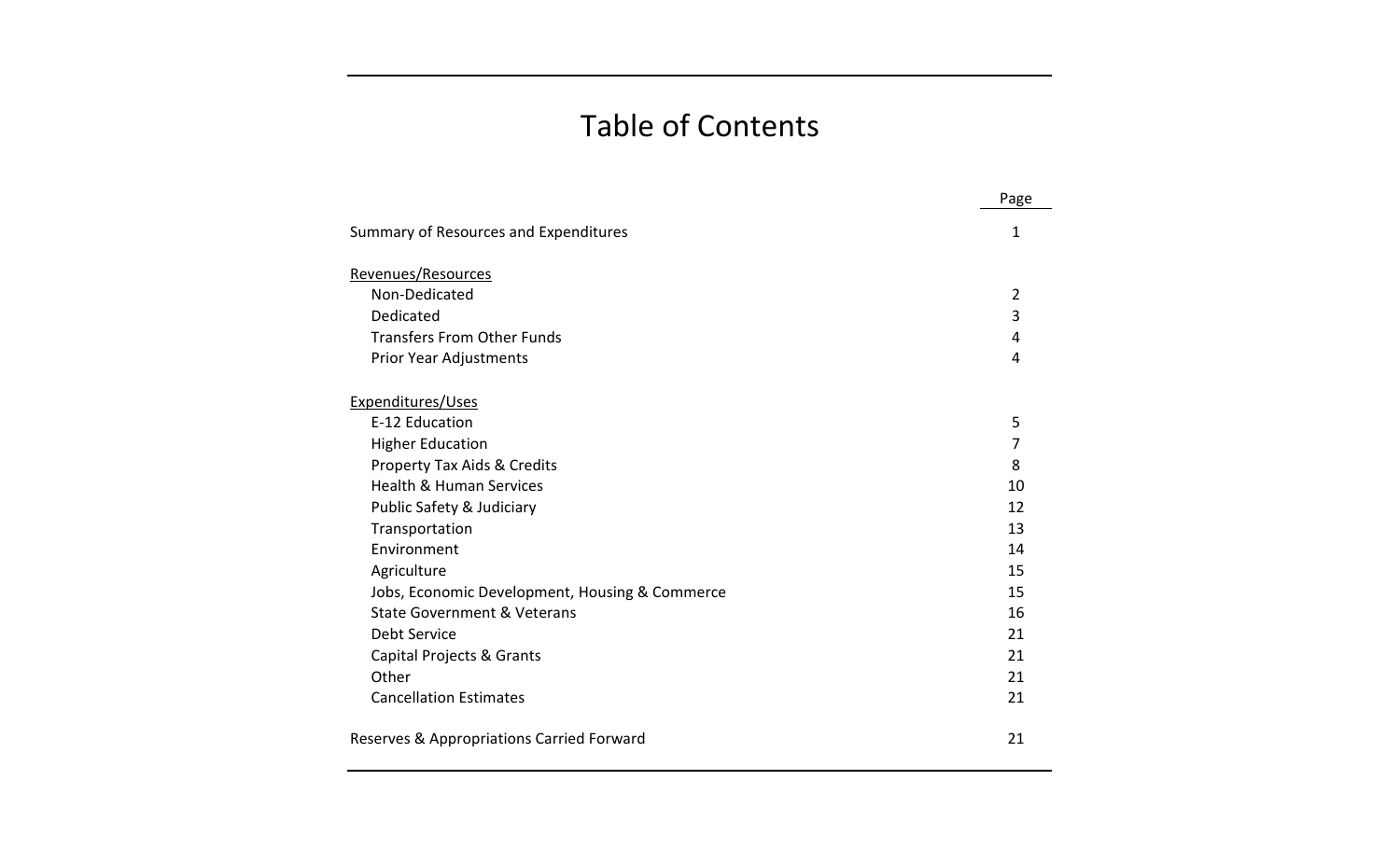## Table of Contents

|                                                | Page           |
|------------------------------------------------|----------------|
| Summary of Resources and Expenditures          | 1              |
| Revenues/Resources                             |                |
| Non-Dedicated                                  | $\overline{2}$ |
| Dedicated                                      | 3              |
| <b>Transfers From Other Funds</b>              | 4              |
| Prior Year Adjustments                         | 4              |
| Expenditures/Uses                              |                |
| E-12 Education                                 | 5              |
| <b>Higher Education</b>                        | 7              |
| Property Tax Aids & Credits                    | 8              |
| <b>Health &amp; Human Services</b>             | 10             |
| Public Safety & Judiciary                      | 12             |
| Transportation                                 | 13             |
| Environment                                    | 14             |
| Agriculture                                    | 15             |
| Jobs, Economic Development, Housing & Commerce | 15             |
| <b>State Government &amp; Veterans</b>         | 16             |
| <b>Debt Service</b>                            | 21             |
| Capital Projects & Grants                      | 21             |
| Other                                          | 21             |
| <b>Cancellation Estimates</b>                  | 21             |
| Reserves & Appropriations Carried Forward      | 21             |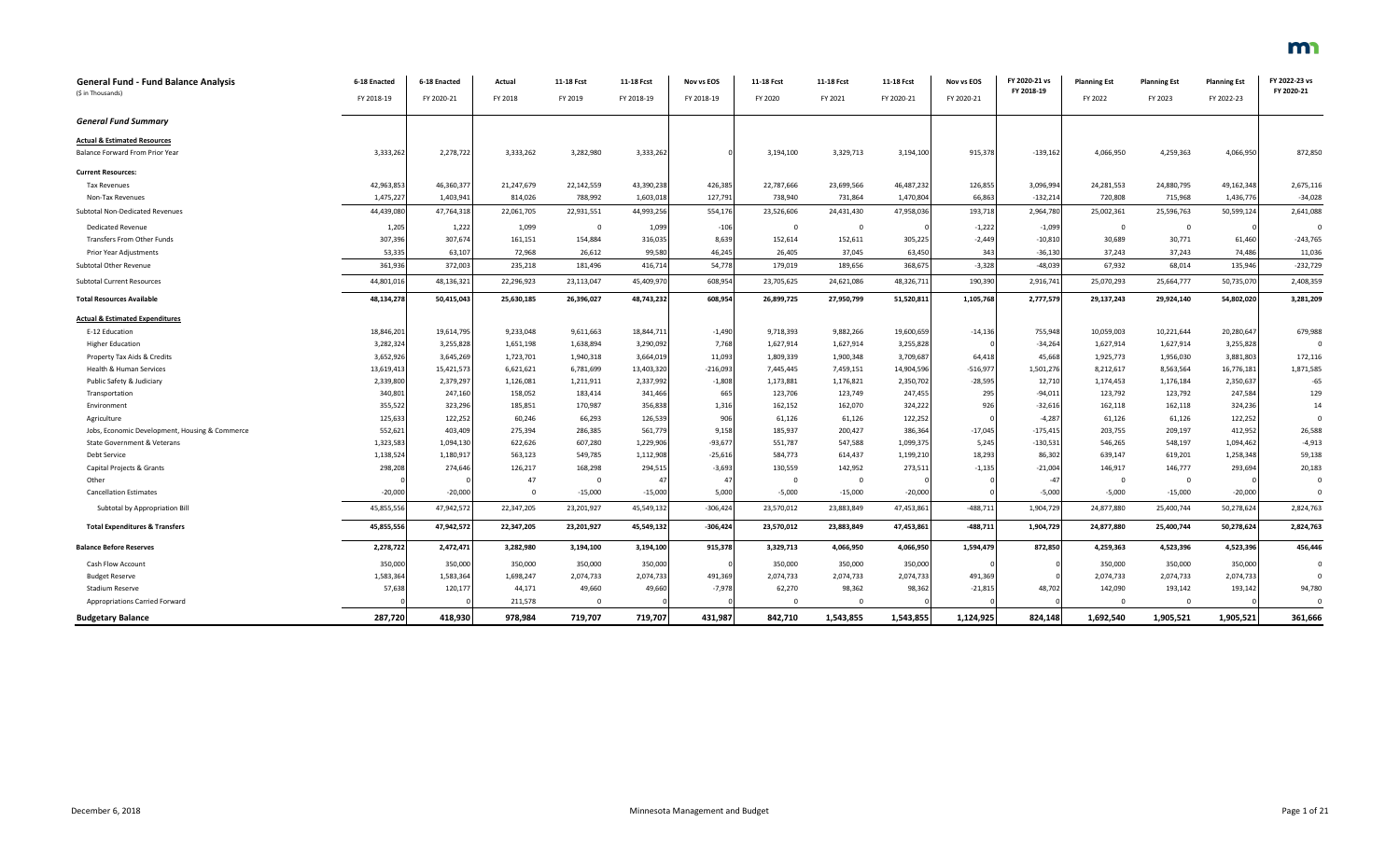| <b>General Fund - Fund Balance Analysis</b>    | 6-18 Enacted | 6-18 Enacted | Actual     | 11-18 Fcst   | 11-18 Fcst | Nov vs EOS | 11-18 Fcst   | 11-18 Fcst     | 11-18 Fcst | Nov vs EOS | FY 2020-21 vs | <b>Planning Est</b>     | <b>Planning Est</b> | <b>Planning Est</b> | FY 2022-23 vs<br>FY 2020-21 |
|------------------------------------------------|--------------|--------------|------------|--------------|------------|------------|--------------|----------------|------------|------------|---------------|-------------------------|---------------------|---------------------|-----------------------------|
| (\$ in Thousands)                              | FY 2018-19   | FY 2020-21   | FY 2018    | FY 2019      | FY 2018-19 | FY 2018-19 | FY 2020      | FY 2021        | FY 2020-21 | FY 2020-21 | FY 2018-19    | FY 2022                 | FY 2023             | FY 2022-23          |                             |
| <b>General Fund Summary</b>                    |              |              |            |              |            |            |              |                |            |            |               |                         |                     |                     |                             |
| <b>Actual &amp; Estimated Resources</b>        |              |              |            |              |            |            |              |                |            |            |               |                         |                     |                     |                             |
| Balance Forward From Prior Year                | 3,333,262    | 2,278,722    | 3,333,262  | 3,282,980    | 3,333,262  |            | 3,194,100    | 3,329,713      | 3,194,100  | 915,378    | $-139,162$    | 4,066,950               | 4,259,363           | 4,066,950           | 872,850                     |
| <b>Current Resources:</b>                      |              |              |            |              |            |            |              |                |            |            |               |                         |                     |                     |                             |
| <b>Tax Revenues</b>                            | 42,963,853   | 46,360,377   | 21,247,679 | 22,142,559   | 43,390,238 | 426,385    | 22,787,666   | 23,699,566     | 46,487,232 | 126,855    | 3,096,994     | 24,281,553              | 24,880,795          | 49,162,348          | 2,675,116                   |
| Non-Tax Revenues                               | 1,475,227    | 1,403,941    | 814,026    | 788,992      | 1,603,018  | 127,791    | 738,940      | 731,864        | 1,470,804  | 66,863     | $-132,214$    | 720,808                 | 715,968             | 1,436,776           | $-34,028$                   |
| Subtotal Non-Dedicated Revenues                | 44,439,080   | 47,764,318   | 22,061,705 | 22,931,551   | 44,993,256 | 554,176    | 23,526,606   | 24,431,430     | 47,958,036 | 193,718    | 2,964,780     | 25,002,361              | 25,596,763          | 50,599,124          | 2,641,088                   |
| <b>Dedicated Revenue</b>                       | 1,205        | 1,222        | 1,099      | $\mathbf{0}$ | 1,099      | $-106$     | $\mathbf{0}$ | $\mathbf{0}$   |            | $-1,222$   | $-1,099$      | $\overline{\mathbf{0}}$ | $\overline{0}$      |                     | $\Omega$                    |
| Transfers From Other Funds                     | 307,396      | 307,674      | 161,151    | 154,884      | 316,035    | 8,639      | 152,614      | 152,611        | 305,225    | $-2,449$   | $-10,810$     | 30,689                  | 30,771              | 61,460              | $-243,765$                  |
| Prior Year Adjustments                         | 53,335       | 63,107       | 72,968     | 26,612       | 99,580     | 46,245     | 26,405       | 37,045         | 63,450     | 343        | $-36,130$     | 37,243                  | 37,243              | 74,486              | 11,036                      |
| Subtotal Other Revenue                         | 361,936      | 372,003      | 235,218    | 181,496      | 416,714    | 54,778     | 179,019      | 189,656        | 368,67     | $-3,328$   | $-48,039$     | 67,932                  | 68,014              | 135,946             | $-232,729$                  |
| <b>Subtotal Current Resources</b>              | 44,801,016   | 48,136,321   | 22,296,923 | 23,113,047   | 45,409,970 | 608,954    | 23,705,625   | 24,621,086     | 48,326,711 | 190,390    | 2,916,741     | 25,070,293              | 25,664,777          | 50,735,070          | 2,408,359                   |
| <b>Total Resources Available</b>               | 48,134,278   | 50,415,043   | 25,630,185 | 26,396,027   | 48,743,232 | 608,954    | 26,899,725   | 27,950,799     | 51,520,811 | 1,105,768  | 2,777,579     | 29,137,243              | 29,924,140          | 54,802,020          | 3,281,209                   |
| <b>Actual &amp; Estimated Expenditures</b>     |              |              |            |              |            |            |              |                |            |            |               |                         |                     |                     |                             |
| E-12 Education                                 | 18,846,201   | 19,614,795   | 9,233,048  | 9,611,663    | 18,844,711 | $-1,490$   | 9,718,393    | 9,882,266      | 19,600,659 | $-14,136$  | 755,948       | 10,059,003              | 10,221,644          | 20,280,647          | 679,988                     |
| <b>Higher Education</b>                        | 3,282,324    | 3,255,828    | 1,651,198  | 1,638,894    | 3,290,092  | 7,768      | 1,627,914    | 1,627,914      | 3,255,828  |            | $-34,264$     | 1,627,914               | 1,627,914           | 3,255,828           | $\mathbf{0}$                |
| Property Tax Aids & Credits                    | 3,652,926    | 3,645,269    | 1,723,701  | 1,940,318    | 3,664,019  | 11,093     | 1,809,339    | 1,900,348      | 3,709,687  | 64,418     | 45,668        | 1,925,773               | 1,956,030           | 3,881,803           | 172,116                     |
| Health & Human Services                        | 13,619,413   | 15,421,573   | 6,621,621  | 6,781,699    | 13,403,320 | $-216,093$ | 7,445,445    | 7,459,151      | 14,904,596 | $-516,977$ | 1,501,276     | 8,212,617               | 8,563,564           | 16,776,181          | 1,871,585                   |
| Public Safety & Judiciary                      | 2,339,800    | 2,379,297    | 1,126,081  | 1,211,911    | 2,337,992  | $-1,808$   | 1,173,881    | 1,176,821      | 2,350,702  | $-28,595$  | 12,710        | 1,174,453               | 1,176,184           | 2,350,637           | $-65$                       |
| Transportation                                 | 340,801      | 247,160      | 158,052    | 183,414      | 341,466    | 665        | 123,706      | 123,749        | 247,455    | 295        | $-94,011$     | 123,792                 | 123,792             | 247,584             | 129                         |
| Environment                                    | 355,522      | 323,296      | 185,851    | 170,987      | 356,838    | 1,316      | 162,152      | 162,070        | 324,222    | 926        | $-32,616$     | 162,118                 | 162,118             | 324,236             | 14                          |
| Agriculture                                    | 125,633      | 122,252      | 60,246     | 66,293       | 126,539    | 906        | 61,126       | 61,126         | 122,252    |            | $-4,287$      | 61,126                  | 61,126              | 122,252             | $\mathbf 0$                 |
| Jobs, Economic Development, Housing & Commerce | 552,621      | 403,409      | 275,394    | 286,385      | 561,779    | 9,158      | 185,937      | 200,427        | 386,364    | $-17,045$  | $-175,415$    | 203,755                 | 209,197             | 412,952             | 26,588                      |
| State Government & Veterans                    | 1,323,583    | 1,094,130    | 622,626    | 607,280      | 1,229,906  | $-93,677$  | 551,787      | 547,588        | 1,099,375  | 5,245      | $-130,531$    | 546,265                 | 548,197             | 1,094,462           | $-4,913$                    |
| <b>Debt Service</b>                            | 1,138,524    | 1,180,917    | 563,123    | 549,785      | 1,112,908  | $-25,616$  | 584,773      | 614,437        | 1,199,210  | 18,293     | 86,302        | 639,147                 | 619,201             | 1,258,348           | 59,138                      |
| Capital Projects & Grants                      | 298,208      | 274,646      | 126,217    | 168,298      | 294,515    | $-3,693$   | 130,559      | 142,952        | 273,511    | $-1,135$   | $-21,004$     | 146,917                 | 146,777             | 293,694             | 20,183                      |
| Other                                          |              |              | 47         | $\mathbf{0}$ | 47         | 47         | $\mathbf{0}$ | $\overline{0}$ |            |            | $-47$         | $\overline{0}$          | $\overline{0}$      |                     | $\mathbf{0}$                |
| <b>Cancellation Estimates</b>                  | $-20,000$    | $-20,000$    | $\Omega$   | $-15,000$    | $-15,000$  | 5,000      | $-5,000$     | $-15,000$      | $-20,000$  |            | $-5,000$      | $-5,000$                | $-15,000$           | $-20,000$           | $\Omega$                    |
| Subtotal by Appropriation Bill                 | 45,855,556   | 47,942,572   | 22,347,205 | 23,201,927   | 45,549,132 | $-306,424$ | 23,570,012   | 23,883,849     | 47,453,861 | $-488,711$ | 1,904,729     | 24,877,880              | 25,400,744          | 50,278,624          | 2,824,763                   |
| <b>Total Expenditures &amp; Transfers</b>      | 45,855,556   | 47,942,572   | 22,347,205 | 23,201,927   | 45,549,132 | $-306,424$ | 23,570,012   | 23,883,849     | 47,453,861 | $-488,711$ | 1,904,729     | 24,877,880              | 25,400,744          | 50,278,624          | 2,824,763                   |
| <b>Balance Before Reserves</b>                 | 2,278,722    | 2,472,471    | 3,282,980  | 3,194,100    | 3,194,100  | 915,378    | 3,329,713    | 4,066,950      | 4,066,950  | 1,594,479  | 872,850       | 4,259,363               | 4,523,396           | 4,523,396           | 456,446                     |
| Cash Flow Account                              | 350,000      | 350,000      | 350,000    | 350,000      | 350,000    |            | 350,000      | 350,000        | 350,000    |            |               | 350,000                 | 350,000             | 350,000             | $\Omega$                    |
| <b>Budget Reserve</b>                          | 1,583,364    | 1,583,364    | 1,698,247  | 2,074,733    | 2,074,733  | 491,369    | 2,074,733    | 2,074,733      | 2,074,733  | 491,369    |               | 2,074,733               | 2,074,733           | 2,074,733           |                             |
| <b>Stadium Reserve</b>                         | 57,638       | 120,177      | 44,171     | 49,660       | 49,660     | $-7,978$   | 62,270       | 98,362         | 98,362     | $-21,815$  | 48,702        | 142,090                 | 193,142             | 193,142             | 94,780                      |
| Appropriations Carried Forward                 |              |              | 211,578    | $\Omega$     |            |            | $\Omega$     | $\Omega$       |            |            |               | $\Omega$                | $\Omega$            |                     | $\Omega$                    |
| <b>Budgetary Balance</b>                       | 287,720      | 418,930      | 978,984    | 719,707      | 719,707    | 431,987    | 842,710      | 1,543,855      | 1,543,855  | 1,124,925  | 824,148       | 1,692,540               | 1,905,521           | 1,905,521           | 361,666                     |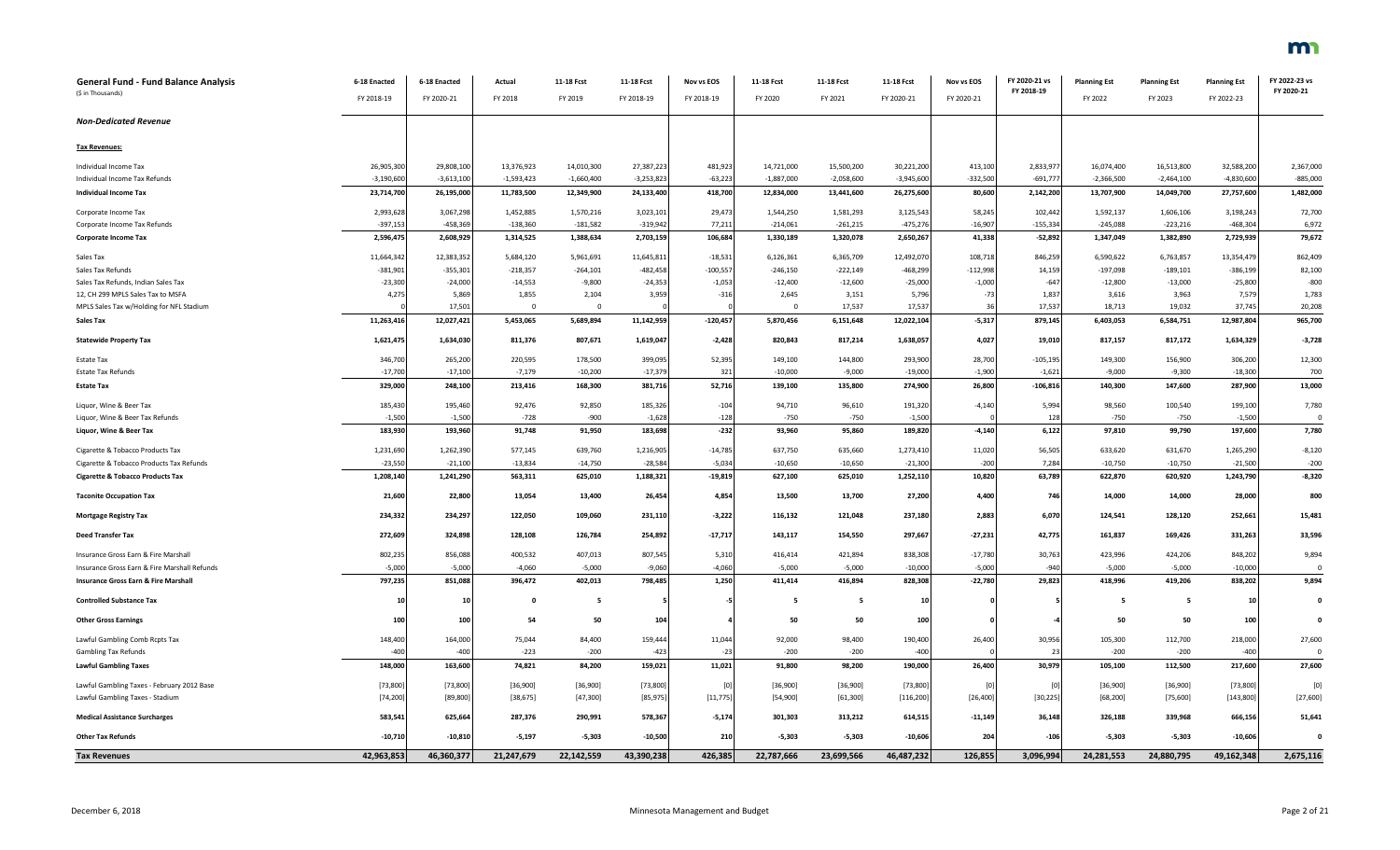| General Fund - Fund Balance Analysis            | 6-18 Enacted | 6-18 Enacted | Actual       | 11-18 Fcst   | 11-18 Fcst   | Nov vs EOS | 11-18 Fcst   | 11-18 Fcst   | 11-18 Fcst  | Nov vs EOS | FY 2020-21 vs  | <b>Planning Est</b> | <b>Planning Est</b> | <b>Planning Est</b> | FY 2022-23 vs |
|-------------------------------------------------|--------------|--------------|--------------|--------------|--------------|------------|--------------|--------------|-------------|------------|----------------|---------------------|---------------------|---------------------|---------------|
| (\$ in Thousands)                               | FY 2018-19   | FY 2020-21   | FY 2018      | FY 2019      | FY 2018-19   | FY 2018-19 | FY 2020      | FY 2021      | FY 2020-21  | FY 2020-21 | FY 2018-19     | FY 2022             | FY 2023             | FY 2022-23          | FY 2020-21    |
| <b>Non-Dedicated Revenue</b>                    |              |              |              |              |              |            |              |              |             |            |                |                     |                     |                     |               |
| Tax Revenues:                                   |              |              |              |              |              |            |              |              |             |            |                |                     |                     |                     |               |
| Individual Income Tax                           | 26,905,300   | 29,808,100   | 13,376,923   | 14,010,300   | 27,387,223   | 481,923    | 14,721,000   | 15,500,200   | 30,221,200  | 413,100    | 2,833,97       | 16,074,400          | 16,513,800          | 32,588,200          | 2,367,000     |
| Individual Income Tax Refunds                   | $-3,190,600$ | $-3,613,100$ | $-1,593,423$ | $-1,660,400$ | $-3,253,823$ | $-63,223$  | $-1,887,000$ | $-2,058,600$ | $-3,945,60$ | $-332,500$ | $-691,77$      | $-2,366,500$        | $-2,464,100$        | $-4,830,600$        | $-885,000$    |
| <b>Individual Income Tax</b>                    | 23,714,700   | 26,195,000   | 11,783,500   | 12,349,900   | 24,133,400   | 418,700    | 12,834,000   | 13,441,600   | 26,275,600  | 80,600     | 2,142,200      | 13,707,900          | 14,049,700          | 27,757,600          | 1,482,000     |
| Corporate Income Tax                            | 2,993,628    | 3,067,298    | 1,452,885    | 1,570,216    | 3,023,101    | 29,473     | 1,544,250    | 1,581,293    | 3,125,543   | 58,245     | 102,442        | 1,592,137           | 1,606,106           | 3,198,243           | 72,700        |
| Corporate Income Tax Refunds                    | $-397,153$   | $-458,369$   | $-138,360$   | $-181,582$   | $-319,942$   | 77,211     | $-214,061$   | $-261,215$   | $-475,27$   | $-16,907$  | $-155,334$     | $-245,088$          | $-223,216$          | $-468,304$          | 6,972         |
| <b>Corporate Income Tax</b>                     | 2,596,475    | 2,608,929    | 1,314,525    | 1,388,634    | 2,703,159    | 106,684    | 1,330,189    | 1,320,078    | 2,650,267   | 41,338     | $-52,892$      | 1,347,049           | 1,382,890           | 2,729,939           | 79,672        |
| Sales Tax                                       | 11,664,342   | 12,383,352   | 5,684,120    | 5,961,691    | 11,645,811   | $-18,531$  | 6,126,361    | 6,365,709    | 12,492,070  | 108,718    | 846,259        | 6,590,622           | 6,763,857           | 13,354,479          | 862,409       |
| Sales Tax Refunds                               | $-381,901$   | $-355,301$   | $-218,357$   | $-264,101$   | $-482,458$   | $-100,557$ | $-246,150$   | $-222,149$   | $-468,299$  | $-112,998$ | 14,159         | $-197,098$          | $-189,101$          | $-386,199$          | 82,100        |
| Sales Tax Refunds, Indian Sales Tax             | $-23,300$    | $-24,000$    | $-14,553$    | $-9,800$     | $-24,353$    | $-1,053$   | $-12,400$    | $-12,600$    | $-25,000$   | $-1,000$   | $-647$         | $-12,800$           | $-13,000$           | $-25,800$           | $-800$        |
| 12, CH 299 MPLS Sales Tax to MSFA               | 4,275        | 5,869        | 1,855        | 2,104        | 3,959        | $-316$     | 2,645        | 3,151        | 5,796       | $-73$      | 1,837          | 3,616               | 3,963               | 7,579               | 1,783         |
| MPLS Sales Tax w/Holding for NFL Stadium        |              | 17,501       | $\Omega$     | $\Omega$     |              |            | $\Omega$     | 17,537       | 17,537      | 36         | 17,537         | 18,713              | 19,032              | 37,745              | 20,208        |
| Sales Tax                                       | 11,263,416   | 12,027,421   | 5,453,065    | 5,689,894    | 11,142,959   | $-120,457$ | 5,870,456    | 6,151,648    | 12,022,104  | $-5,317$   | 879,145        | 6,403,053           | 6,584,751           | 12,987,804          | 965,700       |
| <b>Statewide Property Tax</b>                   | 1,621,475    | 1,634,030    | 811,376      | 807,671      | 1,619,047    | $-2,428$   | 820,843      | 817,214      | 1,638,057   | 4,027      | 19,010         | 817,157             | 817,172             | 1,634,329           | $-3,728$      |
| Estate Tax                                      | 346,700      | 265,200      | 220,595      | 178,500      | 399,095      | 52,395     | 149,100      | 144,800      | 293,900     | 28,700     | $-105, 195$    | 149,300             | 156,900             | 306,200             | 12,300        |
| <b>Estate Tax Refunds</b>                       | $-17,700$    | $-17,100$    | $-7,179$     | $-10,200$    | $-17,379$    | 321        | $-10,000$    | $-9,000$     | $-19,000$   | $-1,900$   | $-1,621$       | $-9,000$            | $-9,300$            | $-18,30$            | 700           |
| <b>Estate Tax</b>                               | 329,000      | 248,100      | 213,416      | 168,300      | 381,716      | 52,716     | 139,100      | 135,800      | 274,900     | 26,800     | $-106,816$     | 140,300             | 147,600             | 287,900             | 13,000        |
| Liquor, Wine & Beer Tax                         | 185,430      | 195,460      | 92,476       | 92,850       | 185,326      | $-104$     | 94,710       | 96,610       | 191,320     | $-4,140$   | 5,994          | 98,560              | 100,540             | 199,100             | 7,780         |
| Liquor, Wine & Beer Tax Refunds                 | $-1,500$     | $-1,500$     | $-728$       | $-900$       | $-1,628$     | $-128$     | $-750$       | $-750$       | $-1,500$    |            | 128            | $-750$              | $-750$              | $-1,500$            |               |
| Liquor, Wine & Beer Tax                         | 183,930      | 193,960      | 91,748       | 91,950       | 183,698      | $-232$     | 93,960       | 95,860       | 189,820     | $-4,140$   | 6,122          | 97,810              | 99,790              | 197,600             | 7,780         |
| Cigarette & Tobacco Products Tax                | 1,231,690    | 1,262,390    | 577,145      | 639,760      | 1,216,905    | $-14,785$  | 637,750      | 635,660      | 1,273,410   | 11,020     | 56,505         | 633,620             | 631,670             | 1,265,290           | $-8,120$      |
| Cigarette & Tobacco Products Tax Refunds        | $-23,550$    | $-21,100$    | $-13,834$    | $-14,750$    | $-28,584$    | $-5,034$   | $-10,650$    | $-10,650$    | $-21,30$    | $-200$     | 7,284          | $-10,750$           | $-10,750$           | $-21,500$           | $-200$        |
| <b>Cigarette &amp; Tobacco Products Tax</b>     | 1,208,140    | 1,241,290    | 563,311      | 625,010      | 1,188,321    | $-19,819$  | 627,100      | 625,010      | 1,252,110   | 10,820     | 63,789         | 622,870             | 620,920             | 1,243,790           | $-8,320$      |
| <b>Taconite Occupation Tax</b>                  | 21,600       | 22,800       | 13,054       | 13,400       | 26,454       | 4,854      | 13,500       | 13,700       | 27,200      | 4,400      | 746            | 14,000              | 14,000              | 28,000              | 800           |
| Mortgage Registry Tax                           | 234,332      | 234,297      | 122,050      | 109,060      | 231,110      | $-3,222$   | 116,132      | 121,048      | 237,180     | 2,883      | 6,070          | 124,541             | 128,120             | 252,661             | 15,481        |
| <b>Deed Transfer Tax</b>                        | 272,609      | 324,898      | 128,108      | 126,784      | 254,892      | $-17,717$  | 143,117      | 154,550      | 297,667     | $-27,231$  | 42,775         | 161,837             | 169,426             | 331,263             | 33,596        |
| Insurance Gross Earn & Fire Marshall            | 802,235      | 856,088      | 400,532      | 407,013      | 807,545      | 5,310      | 416,414      | 421,894      | 838,308     | $-17,780$  | 30,763         | 423,996             | 424,206             | 848,202             | 9,894         |
| Insurance Gross Earn & Fire Marshall Refunds    | $-5,000$     | $-5,000$     | $-4.060$     | $-5.000$     | $-9,060$     | $-4,060$   | $-5,000$     | $-5,000$     | $-10,000$   | $-5,000$   | $-940$         | $-5,000$            | $-5,000$            | $-10,000$           | $\Omega$      |
| <b>Insurance Gross Earn &amp; Fire Marshall</b> | 797,235      | 851,088      | 396,472      | 402,013      | 798,485      | 1,250      | 411,414      | 416,894      | 828,308     | $-22,780$  | 29,823         | 418,996             | 419,206             | 838,202             | 9,894         |
| <b>Controlled Substance Tax</b>                 | 10           | 10           | $\mathbf{0}$ | 5            |              |            | 5            | - 5          | 10          |            |                | - 5                 | - 5                 | 10                  | 0             |
| <b>Other Gross Earnings</b>                     | 100          | 100          | 54           | 50           | 104          |            | 50           | 50           | 100         |            |                | 50                  | 50                  | 100                 |               |
| Lawful Gambling Comb Rcpts Tax                  | 148,400      | 164,000      | 75,044       | 84,400       | 159,444      | 11,044     | 92,000       | 98,400       | 190,400     | 26,400     | 30,956         | 105,300             | 112,700             | 218,000             | 27,600        |
| <b>Gambling Tax Refunds</b>                     | $-400$       | $-400$       | $-223$       | $-200$       | $-423$       | $-23$      | $-200$       | $-200$       | $-400$      |            | 2 <sup>5</sup> | $-200$              | $-200$              | $-400$              | $\Omega$      |
| <b>Lawful Gambling Taxes</b>                    | 148,000      | 163,600      | 74,821       | 84,200       | 159,021      | 11,021     | 91,800       | 98,200       | 190,000     | 26,400     | 30,979         | 105,100             | 112,500             | 217,600             | 27,600        |
| Lawful Gambling Taxes - February 2012 Base      | [73,800]     | [73, 800]    | [36,900]     | [36,900]     | [73, 800]    | [0]        | [36,900]     | [36,900]     | [73,800]    | - ro       | - ro           | [36,900]            | [36,900]            | [73,800]            | [0]           |
| Lawful Gambling Taxes - Stadium                 | [74, 200]    | [89, 800]    | [38, 675]    | [47,300]     | [85, 975]    | [11, 775]  | [54,900]     | [61, 300]    | [116, 200]  | [26, 400]  | [30, 225]      | [68, 200]           | [75, 600]           | [143,800]           | [27,600]      |
| <b>Medical Assistance Surcharges</b>            | 583,541      | 625,664      | 287,376      | 290,991      | 578,367      | $-5,174$   | 301,303      | 313,212      | 614,515     | $-11,149$  | 36,148         | 326,188             | 339,968             | 666,156             | 51,641        |
| <b>Other Tax Refunds</b>                        | $-10,710$    | $-10,810$    | $-5,197$     | $-5,303$     | $-10,500$    | 210        | $-5,303$     | $-5,303$     | $-10,606$   | 204        | $-106$         | $-5,303$            | $-5,303$            | $-10,606$           | $\Omega$      |
| <b>Tax Revenues</b>                             | 42,963,853   | 46,360,377   | 21,247,679   | 22,142,559   | 43,390,238   | 426,385    | 22,787,666   | 23,699,566   | 46,487,232  | 126,855    | 3,096,994      | 24,281,553          | 24,880,795          | 49,162,348          | 2,675,116     |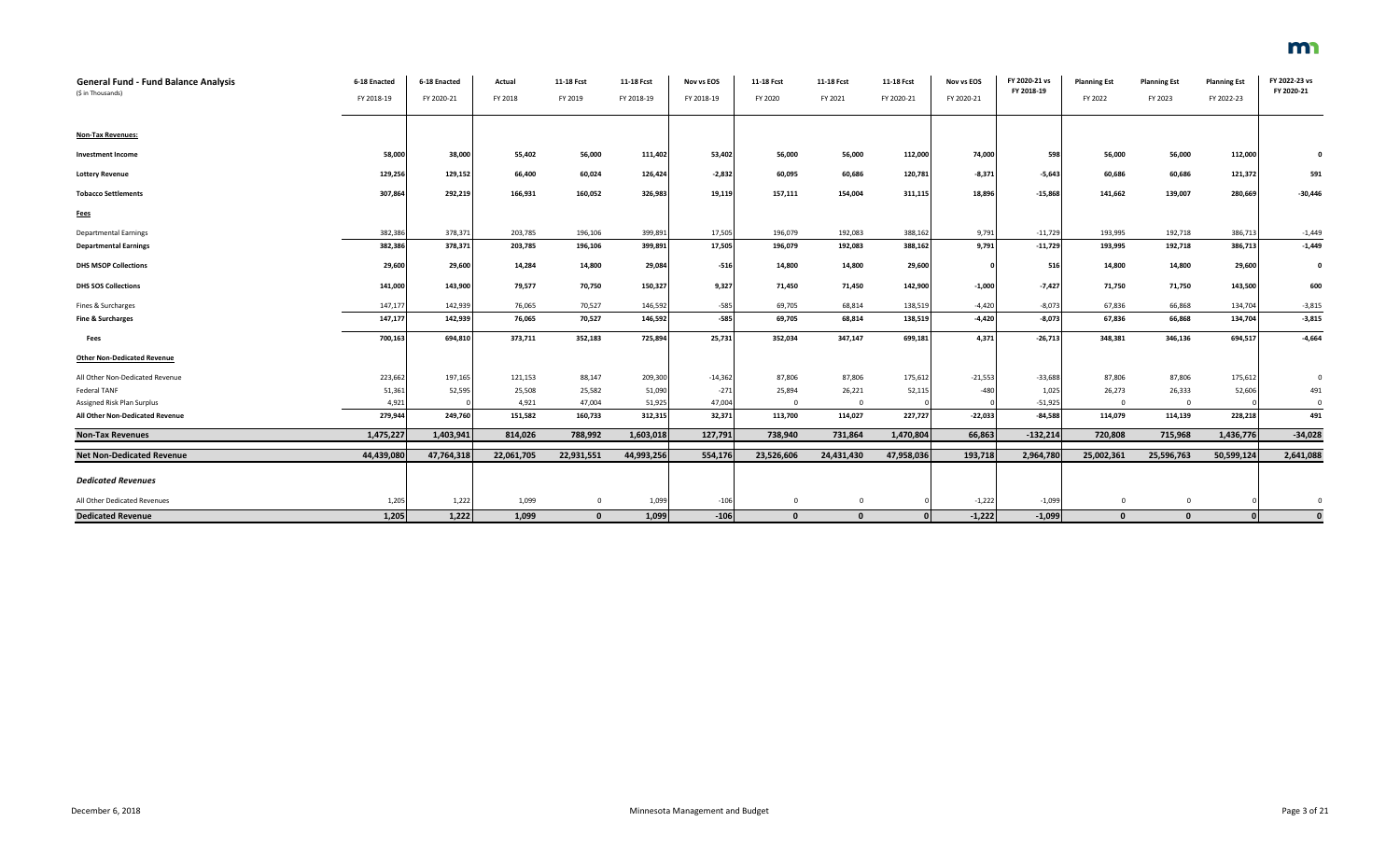| General Fund - Fund Balance Analysis<br>(\$ in Thousands) | 6-18 Enacted | 6-18 Enacted | Actual     | 11-18 Fcst   | 11-18 Fcst | Nov vs EOS | 11-18 Fcst   | 11-18 Fcst   | 11-18 Fcst | Nov vs EOS | FY 2020-21 vs<br>FY 2018-19 | <b>Planning Est</b> | <b>Planning Est</b> | <b>Planning Est</b> | FY 2022-23 vs<br>FY 2020-21 |
|-----------------------------------------------------------|--------------|--------------|------------|--------------|------------|------------|--------------|--------------|------------|------------|-----------------------------|---------------------|---------------------|---------------------|-----------------------------|
|                                                           | FY 2018-19   | FY 2020-21   | FY 2018    | FY 2019      | FY 2018-19 | FY 2018-19 | FY 2020      | FY 2021      | FY 2020-21 | FY 2020-21 |                             | FY 2022             | FY 2023             | FY 2022-23          |                             |
| <b>Non-Tax Revenues:</b>                                  |              |              |            |              |            |            |              |              |            |            |                             |                     |                     |                     |                             |
| <b>Investment Income</b>                                  | 58,000       | 38,000       | 55,402     | 56,000       | 111,402    | 53,402     | 56,000       | 56,000       | 112,000    | 74,000     | 598                         | 56,000              | 56,000              | 112,000             | $\Omega$                    |
| <b>Lottery Revenue</b>                                    | 129,256      | 129,152      | 66,400     | 60,024       | 126,424    | $-2,832$   | 60,095       | 60,686       | 120,781    | $-8,371$   | $-5,643$                    | 60,686              | 60,686              | 121,372             | 591                         |
| <b>Tobacco Settlements</b>                                | 307,864      | 292,219      | 166,931    | 160,052      | 326,983    | 19,119     | 157,111      | 154,004      | 311,115    | 18,896     | $-15,868$                   | 141,662             | 139,007             | 280,669             | $-30,446$                   |
| <b>Fees</b>                                               |              |              |            |              |            |            |              |              |            |            |                             |                     |                     |                     |                             |
| <b>Departmental Earnings</b>                              | 382,386      | 378,371      | 203,785    | 196,106      | 399,891    | 17,505     | 196,079      | 192,083      | 388,162    | 9,791      | $-11,729$                   | 193,995             | 192,718             | 386,71              | $-1,449$                    |
| <b>Departmental Earnings</b>                              | 382,386      | 378,371      | 203,785    | 196,106      | 399,891    | 17,505     | 196,079      | 192,083      | 388,162    | 9,791      | $-11,729$                   | 193,995             | 192,718             | 386,713             | $-1,449$                    |
| <b>DHS MSOP Collections</b>                               | 29,600       | 29,600       | 14,284     | 14,800       | 29,084     | $-516$     | 14,800       | 14,800       | 29,600     |            | 516                         | 14,800              | 14,800              | 29,600              | $\mathbf{0}$                |
| <b>DHS SOS Collections</b>                                | 141,000      | 143,900      | 79,577     | 70,750       | 150,327    | 9,327      | 71,450       | 71,450       | 142,900    | $-1,000$   | $-7,427$                    | 71,750              | 71,750              | 143,500             | 600                         |
| Fines & Surcharges                                        | 147,177      | 142,939      | 76,065     | 70,527       | 146,592    | $-585$     | 69,705       | 68,814       | 138,519    | $-4,420$   | $-8,073$                    | 67,836              | 66,868              | 134,704             | $-3,815$                    |
| <b>Fine &amp; Surcharges</b>                              | 147,177      | 142,939      | 76,065     | 70,527       | 146,592    | $-585$     | 69,705       | 68,814       | 138,519    | $-4,420$   | $-8,073$                    | 67,836              | 66,868              | 134,704             | $-3,815$                    |
| Fees                                                      | 700,163      | 694,810      | 373,711    | 352,183      | 725,894    | 25,731     | 352,034      | 347,147      | 699,181    | 4,371      | $-26,713$                   | 348,381             | 346,136             | 694,517             | $-4,664$                    |
| <b>Other Non-Dedicated Revenue</b>                        |              |              |            |              |            |            |              |              |            |            |                             |                     |                     |                     |                             |
| All Other Non-Dedicated Revenue                           | 223,662      | 197,165      | 121,153    | 88,147       | 209,300    | $-14,362$  | 87,806       | 87,806       | 175,612    | $-21,553$  | $-33,688$                   | 87,806              | 87,806              | 175,612             | $\mathbf 0$                 |
| Federal TANF                                              | 51,361       | 52,595       | 25,508     | 25,582       | 51,090     | $-271$     | 25,894       | 26,221       | 52,115     | $-480$     | 1,025                       | 26,273              | 26,333              | 52,606              | 491                         |
| Assigned Risk Plan Surplus                                | 4,92         |              | 4,921      | 47,004       | 51,925     | 47,004     | $\Omega$     | $\Omega$     |            |            | $-51,925$                   | $\Omega$            | $\overline{0}$      |                     | $\Omega$                    |
| All Other Non-Dedicated Revenue                           | 279,944      | 249,760      | 151,582    | 160,733      | 312,315    | 32,371     | 113,700      | 114,027      | 227,727    | $-22,033$  | $-84,588$                   | 114,079             | 114,139             | 228,218             | 491                         |
| <b>Non-Tax Revenues</b>                                   | 1,475,227    | 1,403,941    | 814,026    | 788,992      | 1,603,018  | 127,791    | 738,940      | 731,864      | 1,470,804  | 66,863     | $-132,214$                  | 720,808             | 715,968             | 1,436,776           | $-34,028$                   |
| <b>Net Non-Dedicated Revenue</b>                          | 44,439,080   | 47,764,318   | 22,061,705 | 22,931,551   | 44,993,256 | 554,176    | 23,526,606   | 24,431,430   | 47,958,036 | 193,718    | 2,964,780                   | 25,002,361          | 25,596,763          | 50,599,124          | 2,641,088                   |
| <b>Dedicated Revenues</b>                                 |              |              |            |              |            |            |              |              |            |            |                             |                     |                     |                     |                             |
|                                                           |              |              |            |              |            |            |              |              |            |            |                             |                     |                     |                     |                             |
| All Other Dedicated Revenues                              | 1,205        | 1,222        | 1,099      | $\mathbf 0$  | 1,099      | $-106$     | $\mathbf{0}$ | $\mathbf 0$  |            | $-1,222$   | $-1,099$                    | $\mathbf 0$         | $\overline{0}$      |                     |                             |
| <b>Dedicated Revenue</b>                                  | 1,205        | 1,222        | 1,099      | $\mathbf{0}$ | 1,099      | $-106$     | $\mathbf{0}$ | $\mathbf{0}$ | $\Omega$   | $-1,222$   | $-1,099$                    | $\mathbf{0}$        | $\mathbf{0}$        | $\Omega$            | $\Omega$                    |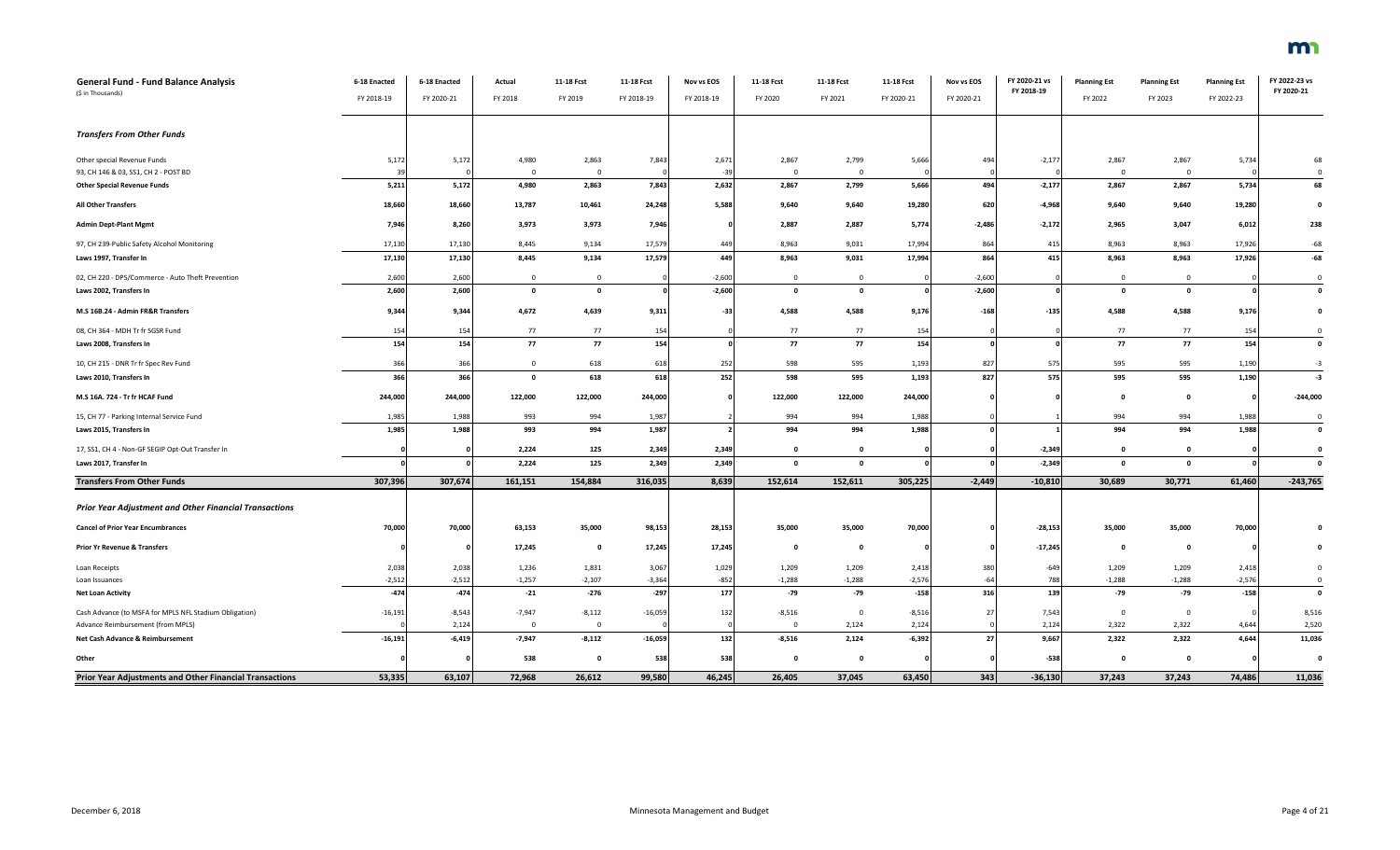| General Fund - Fund Balance Analysis<br>(\$ in Thousands)           | 6-18 Enacted<br>FY 2018-19 | 6-18 Enacted<br>FY 2020-21 | Actual<br>FY 2018    | 11-18 Fcst<br>FY 2019   | 11-18 Fcst<br>FY 2018-19 | Nov vs EOS<br>FY 2018-19 | 11-18 Fcst<br>FY 2020 | 11-18 Fcst<br>FY 2021 | 11-18 Fcst<br>FY 2020-21 | Nov vs EOS<br>FY 2020-21 | FY 2020-21 vs<br>FY 2018-19 | <b>Planning Est</b><br>FY 2022 | <b>Planning Est</b><br>FY 2023 | <b>Planning Est</b><br>FY 2022-23 | FY 2022-23 vs<br>FY 2020-21 |
|---------------------------------------------------------------------|----------------------------|----------------------------|----------------------|-------------------------|--------------------------|--------------------------|-----------------------|-----------------------|--------------------------|--------------------------|-----------------------------|--------------------------------|--------------------------------|-----------------------------------|-----------------------------|
| <b>Transfers From Other Funds</b>                                   |                            |                            |                      |                         |                          |                          |                       |                       |                          |                          |                             |                                |                                |                                   |                             |
| Other special Revenue Funds<br>93, CH 146 & 03, SS1, CH 2 - POST BD | 5,172<br>39                | 5,172                      | 4,980<br>$\mathbf 0$ | 2,863<br>$\overline{0}$ | 7,843                    | 2,671<br>$-39$           | 2,867<br>$\mathbf{0}$ | 2,799<br>$\mathbf 0$  | 5,666                    | 494                      | $-2,177$                    | 2,867<br>$\overline{0}$        | 2,867<br>$\overline{0}$        | 5,734                             | 68<br>$\mathbf 0$           |
| <b>Other Special Revenue Funds</b>                                  | 5,211                      | 5,172                      | 4,980                | 2,863                   | 7,843                    | 2,632                    | 2,867                 | 2,799                 | 5,666                    | 494                      | $-2,177$                    | 2,867                          | 2,867                          | 5,734                             | 68                          |
| All Other Transfers                                                 | 18,660                     | 18,660                     | 13,787               | 10,461                  | 24,248                   | 5,588                    | 9,640                 | 9,640                 | 19,280                   | 620                      | $-4,968$                    | 9,640                          | 9,640                          | 19,280                            | $\mathbf 0$                 |
| <b>Admin Dept-Plant Mgmt</b>                                        | 7,946                      | 8,260                      | 3,973                | 3,973                   | 7,946                    |                          | 2,887                 | 2,887                 | 5,774                    | $-2,486$                 | $-2,172$                    | 2,965                          | 3,047                          | 6,012                             | 238                         |
| 97, CH 239-Public Safety Alcohol Monitoring                         | 17,130                     | 17,130                     | 8,445                | 9,134                   | 17,579                   | 449                      | 8,963                 | 9,031                 | 17,994                   | 864                      | 415                         | 8,963                          | 8,963                          | 17,926                            | $-68$                       |
| Laws 1997, Transfer In                                              | 17,130                     | 17,130                     | 8,445                | 9,134                   | 17,579                   | 449                      | 8,963                 | 9,031                 | 17,994                   | 864                      | 415                         | 8,963                          | 8,963                          | 17,926                            | $-68$                       |
| 02, CH 220 - DPS/Commerce - Auto Theft Prevention                   | 2,600                      | 2,600                      | $\overline{0}$       | $\overline{0}$          |                          | $-2,600$                 | $\mathbf{0}$          | $\mathbf 0$           |                          | $-2,600$                 |                             | $\overline{0}$                 | $\overline{0}$                 |                                   | $\mathbf{0}$                |
| Laws 2002, Transfers In                                             | 2,600                      | 2,600                      | $\Omega$             | $\mathbf{0}$            |                          | $-2,600$                 | $\Omega$              | $\mathbf{0}$          |                          | $-2,600$                 |                             | $\mathbf{0}$                   | $\mathbf{o}$                   |                                   | $\mathbf{0}$                |
| M.S 16B.24 - Admin FR&R Transfers                                   | 9,344                      | 9,344                      | 4,672                | 4,639                   | 9,311                    | $-33$                    | 4,588                 | 4,588                 | 9,176                    | $-168$                   | $-135$                      | 4,588                          | 4,588                          | 9,176                             | $\pmb{0}$                   |
| 08, CH 364 - MDH Tr fr SGSR Fund                                    | 154                        | 154                        | 77                   | 77                      | 154                      |                          | 77                    | 77                    | 154                      |                          |                             | 77                             | 77                             | 154                               | $\overline{0}$              |
| Laws 2008, Transfers In                                             | 154                        | 154                        | 77                   | 77                      | 154                      |                          | 77                    | 77                    | 154                      |                          |                             | 77                             | 77                             | 154                               | $\mathbf 0$                 |
| 10, CH 215 - DNR Tr fr Spec Rev Fund                                | 366                        | 366                        | $\mathbf 0$          | 618                     | 618                      | 252                      | 598                   | 595                   | 1,193                    | 827                      | 575                         | 595                            | 595                            | 1,190                             | $-3$                        |
| Laws 2010, Transfers In                                             | 366                        | 366                        | $\mathbf 0$          | 618                     | 618                      | 252                      | 598                   | 595                   | 1,193                    | 827                      | 575                         | 595                            | 595                            | 1,190                             | $-3$                        |
| M.S 16A. 724 - Tr fr HCAF Fund                                      | 244,000                    | 244,000                    | 122,000              | 122,000                 | 244,000                  |                          | 122,000               | 122,000               | 244,000                  |                          |                             | $\mathbf{0}$                   | $\mathbf 0$                    |                                   | $-244,000$                  |
| 15, CH 77 - Parking Internal Service Fund                           | 1,985                      | 1,988                      | 993                  | 994                     | 1,987                    |                          | 994                   | 994                   | 1,988                    |                          |                             | 994                            | 994                            | 1,988                             | $\mathbf{0}$                |
| Laws 2015, Transfers In                                             | 1,985                      | 1,988                      | 993                  | 994                     | 1,987                    |                          | 994                   | 994                   | 1,988                    |                          |                             | 994                            | 994                            | 1,988                             | $\mathbf 0$                 |
| 17, SS1, CH 4 - Non-GF SEGIP Opt-Out Transfer In                    |                            |                            | 2,224                | 125                     | 2,349                    | 2,349                    | $\mathbf 0$           | $\mathbf 0$           |                          |                          | $-2,349$                    | $\mathbf{0}$                   | $\mathbf{0}$                   |                                   | $\mathbf 0$                 |
| Laws 2017, Transfer In                                              |                            |                            | 2,224                | 125                     | 2,349                    | 2,349                    | $\mathbf 0$           | $\Omega$              |                          |                          | $-2,349$                    | $\mathbf 0$                    | $\mathbf 0$                    |                                   | $\mathbf{0}$                |
| <b>Transfers From Other Funds</b>                                   | 307,396                    | 307,674                    | 161,151              | 154,884                 | 316,035                  | 8,639                    | 152,614               | 152,611               | 305,225                  | $-2,449$                 | $-10,810$                   | 30,689                         | 30,771                         | 61,460                            | $-243,765$                  |
| <b>Prior Year Adjustment and Other Financial Transactions</b>       |                            |                            |                      |                         |                          |                          |                       |                       |                          |                          |                             |                                |                                |                                   |                             |
| <b>Cancel of Prior Year Encumbrances</b>                            | 70,000                     | 70,000                     | 63,153               | 35,000                  | 98,153                   | 28,153                   | 35,000                | 35,000                | 70,000                   |                          | $-28,153$                   | 35,000                         | 35,000                         | 70,000                            |                             |
| <b>Prior Yr Revenue &amp; Transfers</b>                             |                            |                            | 17,245               | $\mathbf{0}$            | 17,245                   | 17,245                   | $\mathbf{o}$          | $\mathbf{0}$          |                          |                          | $-17,245$                   | $\mathbf 0$                    | $\mathbf 0$                    |                                   | $\mathbf 0$                 |
| Loan Receipts                                                       | 2,038                      | 2,038                      | 1,236                | 1,831                   | 3,067                    | 1,029                    | 1,209                 | 1,209                 | 2,418                    | 380                      | $-649$                      | 1,209                          | 1,209                          | 2,418                             | $\mathbf 0$                 |
| Loan Issuances                                                      | $-2,512$                   | $-2,512$                   | $-1,257$             | $-2,107$                | $-3,364$                 | $-852$                   | $-1,288$              | $-1,288$              | $-2,576$                 | $-64$                    | 788                         | $-1,288$                       | $-1,288$                       | $-2,576$                          | $\mathbf 0$                 |
| <b>Net Loan Activity</b>                                            | $-474$                     | $-474$                     | $-21$                | $-276$                  | $-297$                   | 177                      | -79                   | $-79$                 | $-158$                   | 316                      | 139                         | $-79$                          | $-79$                          | $-158$                            | $\mathbf 0$                 |
| Cash Advance (to MSFA for MPLS NFL Stadium Obligation)              | $-16,191$                  | $-8,543$                   | $-7,947$             | $-8,112$                | $-16,059$                | 132                      | $-8,516$              | $\mathbf 0$           | $-8,516$                 | 27                       | 7,543                       | $\overline{0}$                 | $\mathbf 0$                    |                                   | 8,516                       |
| Advance Reimbursement (from MPLS)                                   |                            | 2,124                      | $\mathbf{0}$         | $\overline{0}$          |                          |                          | $\mathbf{0}$          | 2,124                 | 2,124                    |                          | 2,124                       | 2,322                          | 2,322                          | 4,644                             | 2,520                       |
| Net Cash Advance & Reimbursement                                    | $-16,191$                  | $-6,419$                   | $-7,947$             | $-8,112$                | $-16,059$                | 132                      | $-8,516$              | 2,124                 | $-6,392$                 | 27                       | 9,667                       | 2,322                          | 2,322                          | 4,644                             | 11,036                      |
| Other                                                               |                            |                            | 538                  | $\mathbf{0}$            | 538                      | 538                      | $\Omega$              | 0                     |                          |                          | $-538$                      | $\mathbf{0}$                   | $\mathbf 0$                    |                                   | $\mathbf 0$                 |
| Prior Year Adjustments and Other Financial Transactions             | 53,335                     | 63,107                     | 72,968               | 26,612                  | 99,580                   | 46,245                   | 26,405                | 37,045                | 63,450                   | 343                      | $-36,130$                   | 37,243                         | 37,243                         | 74,486                            | 11,036                      |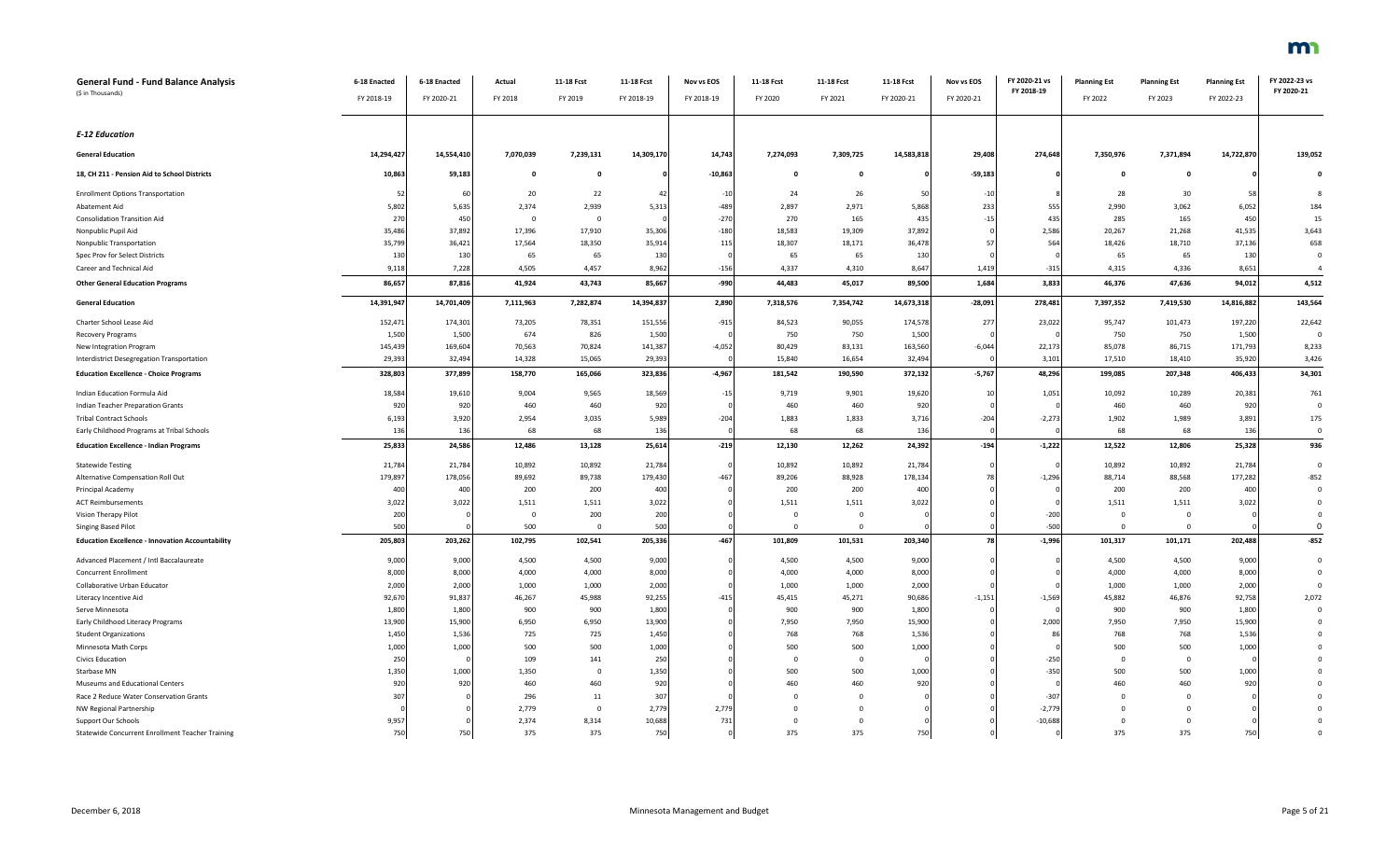| <b>General Fund - Fund Balance Analysis</b><br>(\$ in Thousands) | 6-18 Enacted<br>FY 2018-19 | 6-18 Enacted<br>FY 2020-21 | Actual<br>FY 2018 | 11-18 Fcst<br>FY 2019 | 11-18 Fcst<br>FY 2018-19 | Nov vs EOS<br>FY 2018-19 | 11-18 Fcst<br>FY 2020   | 11-18 Fcst<br>FY 2021 | 11-18 Fcst<br>FY 2020-21 | Nov vs EOS<br>FY 2020-21 | FY 2020-21 vs<br>FY 2018-19 | <b>Planning Est</b><br>FY 2022 | <b>Planning Est</b><br>FY 2023 | <b>Planning Est</b><br>FY 2022-23 | FY 2022-23 vs<br>FY 2020-21 |
|------------------------------------------------------------------|----------------------------|----------------------------|-------------------|-----------------------|--------------------------|--------------------------|-------------------------|-----------------------|--------------------------|--------------------------|-----------------------------|--------------------------------|--------------------------------|-----------------------------------|-----------------------------|
|                                                                  |                            |                            |                   |                       |                          |                          |                         |                       |                          |                          |                             |                                |                                |                                   |                             |
| <b>E-12 Education</b>                                            |                            |                            |                   |                       |                          |                          |                         |                       |                          |                          |                             |                                |                                |                                   |                             |
| <b>General Education</b>                                         | 14,294,427                 | 14,554,410                 | 7,070,039         | 7,239,131             | 14,309,170               | 14,743                   | 7,274,093               | 7,309,725             | 14,583,818               | 29,408                   | 274,648                     | 7,350,976                      | 7,371,894                      | 14,722,870                        | 139,052                     |
| 18, CH 211 - Pension Aid to School Districts                     | 10,863                     | 59,183                     | $\mathbf{o}$      | $\mathbf 0$           |                          | $-10,863$                | $\mathbf{o}$            | 0                     |                          | $-59,183$                |                             | $\mathbf 0$                    | $\mathbf{o}$                   |                                   | $\Omega$                    |
| <b>Enrollment Options Transportation</b>                         |                            | 60                         | 20                | 22                    | $\overline{4}$           | $-10$                    | 24                      | 26                    |                          | $-10$                    |                             | 28                             | 30                             | 5                                 |                             |
| Abatement Aid                                                    | 5,802                      | 5,635                      | 2,374             | 2,939                 | 5,313                    | $-489$                   | 2,897                   | 2,971                 | 5,868                    | 233                      | 555                         | 2,990                          | 3,062                          | 6,052                             | 184                         |
| <b>Consolidation Transition Aid</b>                              | 270                        | 450                        | $^{\circ}$        | $\mathbf 0$           |                          | $-270$                   | 270                     | 165                   | 435                      | $-15$                    | 435                         | 285                            | 165                            | 450                               | 15                          |
| Nonpublic Pupil Aid                                              | 35,486                     | 37,892                     | 17,396            | 17,910                | 35,306                   | $-180$                   | 18,583                  | 19,309                | 37,892                   |                          | 2,586                       | 20,267                         | 21,268                         | 41,535                            | 3,643                       |
| Nonpublic Transportation                                         | 35,799                     | 36,421                     | 17,564            | 18,350                | 35,914                   | 115                      | 18,307                  | 18,171                | 36,478                   | -57                      | 564                         | 18,426                         | 18,710                         | 37,136                            | 658                         |
| Spec Prov for Select Districts                                   | 130                        | 130                        | 65                | 65                    | 130                      |                          | 65                      | 65                    | 130                      |                          |                             | 65                             | 65                             | 130                               | $\Omega$                    |
| Career and Technical Aid                                         | 9,118                      | 7,228                      | 4,505             | 4,457                 | 8,962                    | $-156$                   | 4,337                   | 4,310                 | 8,647                    | 1,419                    | $-315$                      | 4,315                          | 4,336                          | 8,651                             |                             |
| <b>Other General Education Programs</b>                          | 86,657                     | 87,816                     | 41,924            | 43,743                | 85,667                   | $-990$                   | 44,483                  | 45,017                | 89,500                   | 1,684                    | 3,833                       | 46,376                         | 47,636                         | 94,012                            | 4,512                       |
| <b>General Education</b>                                         | 14,391,947                 | 14,701,409                 | 7,111,963         | 7,282,874             | 14,394,837               | 2,890                    | 7,318,576               | 7,354,742             | 14,673,318               | $-28,091$                | 278,481                     | 7,397,352                      | 7,419,530                      | 14,816,882                        | 143,564                     |
| Charter School Lease Aid                                         | 152,471                    | 174,301                    | 73,205            | 78,351                | 151,556                  | $-915$                   | 84,523                  | 90,055                | 174,578                  | 277                      | 23,022                      | 95,747                         | 101,473                        | 197,220                           | 22,642                      |
| Recovery Programs                                                | 1,500                      | 1,500                      | 674               | 826                   | 1,500                    |                          | 750                     | 750                   | 1,500                    |                          |                             | 750                            | 750                            | 1,500                             | $\Omega$                    |
| New Integration Program                                          | 145,439                    | 169,604                    | 70,563            | 70,824                | 141,387                  | $-4,052$                 | 80,429                  | 83,131                | 163,560                  | $-6,044$                 | 22,173                      | 85,078                         | 86,715                         | 171,793                           | 8,233                       |
| Interdistrict Desegregation Transportation                       | 29,393                     | 32,494                     | 14,328            | 15,065                | 29,393                   |                          | 15,840                  | 16,654                | 32,494                   |                          | 3,101                       | 17,510                         | 18,410                         | 35,920                            | 3,426                       |
| <b>Education Excellence - Choice Programs</b>                    | 328,803                    | 377,899                    | 158,770           | 165,066               | 323,836                  | $-4,967$                 | 181,542                 | 190,590               | 372,132                  | $-5,767$                 | 48,296                      | 199,085                        | 207,348                        | 406,433                           | 34,301                      |
| Indian Education Formula Aid                                     | 18,584                     | 19,610                     | 9,004             | 9,565                 | 18,569                   | $-15$                    | 9,719                   | 9,901                 | 19,620                   | 10                       | 1,051                       | 10,092                         | 10,289                         | 20,381                            | 761                         |
| <b>Indian Teacher Preparation Grants</b>                         | 920                        | 920                        | 460               | 460                   | 920                      |                          | 460                     | 460                   | 920                      |                          |                             | 460                            | 460                            | 920                               | $\Omega$                    |
| <b>Tribal Contract Schools</b>                                   | 6,193                      | 3,920                      | 2,954             | 3,035                 | 5,989                    | $-204$                   | 1,883                   | 1,833                 | 3,716                    | $-204$                   | $-2,273$                    | 1,902                          | 1,989                          | 3,891                             | 175                         |
| Early Childhood Programs at Tribal Schools                       | 136                        | 136                        | 68                | 68                    | 136                      |                          | 68                      | 68                    | 136                      |                          |                             | 68                             | 68                             | 136                               | $\overline{0}$              |
| <b>Education Excellence - Indian Programs</b>                    | 25,833                     | 24,586                     | 12,486            | 13,128                | 25,614                   | $-219$                   | 12,130                  | 12,262                | 24,392                   | $-194$                   | $-1,222$                    | 12,522                         | 12,806                         | 25,328                            | 936                         |
| <b>Statewide Testing</b>                                         | 21,784                     | 21,784                     | 10,892            | 10,892                | 21,784                   |                          | 10,892                  | 10,892                | 21,784                   |                          |                             | 10,892                         | 10,892                         | 21,784                            | $\Omega$                    |
| Alternative Compensation Roll Out                                | 179,89                     | 178,056                    | 89,692            | 89,738                | 179,430                  | $-467$                   | 89,206                  | 88,928                | 178,134                  |                          | $-1,296$                    | 88,714                         | 88,568                         | 177,282                           | $-852$                      |
| Principal Academy                                                | 400                        | 400                        | 200               | 200                   | 400                      |                          | 200                     | 200                   | 400                      |                          |                             | 200                            | 200                            | 400                               | $\Omega$                    |
| <b>ACT Reimbursements</b>                                        | 3,022                      | 3,022                      | 1,511             | 1,511                 | 3,022                    |                          | 1,511                   | 1,511                 | 3,022                    |                          |                             | 1,511                          | 1,511                          | 3,022                             | $\Omega$                    |
| Vision Therapy Pilot                                             | 200                        |                            | $\Omega$          | 200                   | 200                      |                          | $\overline{0}$          | $\mathbf 0$           |                          |                          | $-200$                      | $\overline{0}$                 | $\mathbf 0$                    |                                   | $\Omega$                    |
| Singing Based Pilot                                              | 500                        |                            | 500               | $\overline{0}$        | 500                      |                          | $\overline{0}$          | $\mathbf 0$           |                          |                          | $-500$                      | $\Omega$                       | $\mathbf{0}$                   |                                   | $\mathbf 0$                 |
| <b>Education Excellence - Innovation Accountability</b>          | 205,803                    | 203,262                    | 102,795           | 102,541               | 205,336                  | $-467$                   | 101,809                 | 101,531               | 203,340                  | 78                       | $-1,996$                    | 101,317                        | 101,171                        | 202,488                           | $-852$                      |
| Advanced Placement / Intl Baccalaureate                          | 9,000                      | 9,000                      | 4,500             | 4,500                 | 9,000                    |                          | 4,500                   | 4,500                 | 9,000                    |                          |                             | 4,500                          | 4,500                          | 9,000                             | $\Omega$                    |
| <b>Concurrent Enrollment</b>                                     | 8,000                      | 8,000                      | 4,000             | 4,000                 | 8,000                    |                          | 4,000                   | 4,000                 | 8,000                    |                          |                             | 4,000                          | 4,000                          | 8,000                             | $\Omega$                    |
| Collaborative Urban Educator                                     | 2,000                      | 2,000                      | 1,000             | 1,000                 | 2,000                    |                          | 1,000                   | 1,000                 | 2,000                    |                          |                             | 1,000                          | 1,000                          | 2,000                             |                             |
| Literacy Incentive Aid                                           | 92,670                     | 91,837                     | 46,267            | 45,988                | 92,255                   | $-415$                   | 45,415                  | 45,271                | 90,686                   | $-1,151$                 | $-1,569$                    | 45,882                         | 46,876                         | 92,758                            | 2,072                       |
| Serve Minnesota                                                  | 1,800                      | 1,800                      | 900               | 900                   | 1,800                    |                          | 900                     | 900                   | 1,800                    |                          |                             | 900                            | 900                            | 1,800                             | $\Omega$                    |
| Early Childhood Literacy Programs                                | 13,900                     | 15,900                     | 6,950             | 6,950                 | 13,900                   |                          | 7,950                   | 7,950                 | 15,900                   |                          | 2,000                       | 7,950                          | 7,950                          | 15,900                            |                             |
| <b>Student Organizations</b>                                     | 1,450                      | 1,536                      | 725               | 725                   | 1,45                     |                          | 768                     | 768                   | 1,536                    |                          | 86                          | 768                            | 768                            | 1,536                             |                             |
| Minnesota Math Corps                                             | 1,000                      | 1,000                      | 500               | 500                   | 1,000                    |                          | 500                     | 500                   | 1,000                    |                          |                             | 500                            | 500                            | 1,000                             |                             |
| Civics Education                                                 | 250                        |                            | 109               | 141                   | 250                      |                          | $\overline{\mathbf{0}}$ | $\mathbf 0$           |                          |                          | $-250$                      | $\Omega$                       | $\mathbf 0$                    |                                   |                             |
| Starbase MN                                                      | 1,350                      | 1,000                      | 1,350             | $\Omega$              | 1,350                    |                          | 500                     | 500                   | 1,000                    |                          | $-350$                      | 500                            | 500                            | 1,000                             |                             |
| Museums and Educational Centers                                  | 920                        | 920                        | 460               | 460                   | 920                      |                          | 460                     | 460                   | 920                      |                          |                             | 460                            | 460                            | 920                               |                             |
| Race 2 Reduce Water Conservation Grants                          | 307                        |                            | 296               | 11                    | 307                      |                          | $\Omega$                |                       |                          |                          | $-307$                      |                                | $\Omega$                       |                                   |                             |
| NW Regional Partnership                                          |                            |                            | 2,779             | $\mathbf{0}$          | 2,779                    | 2,779                    | $\mathbf{0}$            |                       |                          |                          | $-2,779$                    |                                | $\mathbf 0$                    |                                   |                             |
| Support Our Schools                                              | 9,957                      |                            | 2,374             | 8,314                 | 10,688                   | 731                      | $\Omega$                | n                     |                          |                          | $-10,688$                   | $\Omega$                       | $\Omega$                       |                                   |                             |
| Statewide Concurrent Enrollment Teacher Training                 | 750                        | 750                        | 375               | 375                   | 750                      |                          | 375                     | 375                   | 750                      |                          |                             | 375                            | 375                            | 750                               |                             |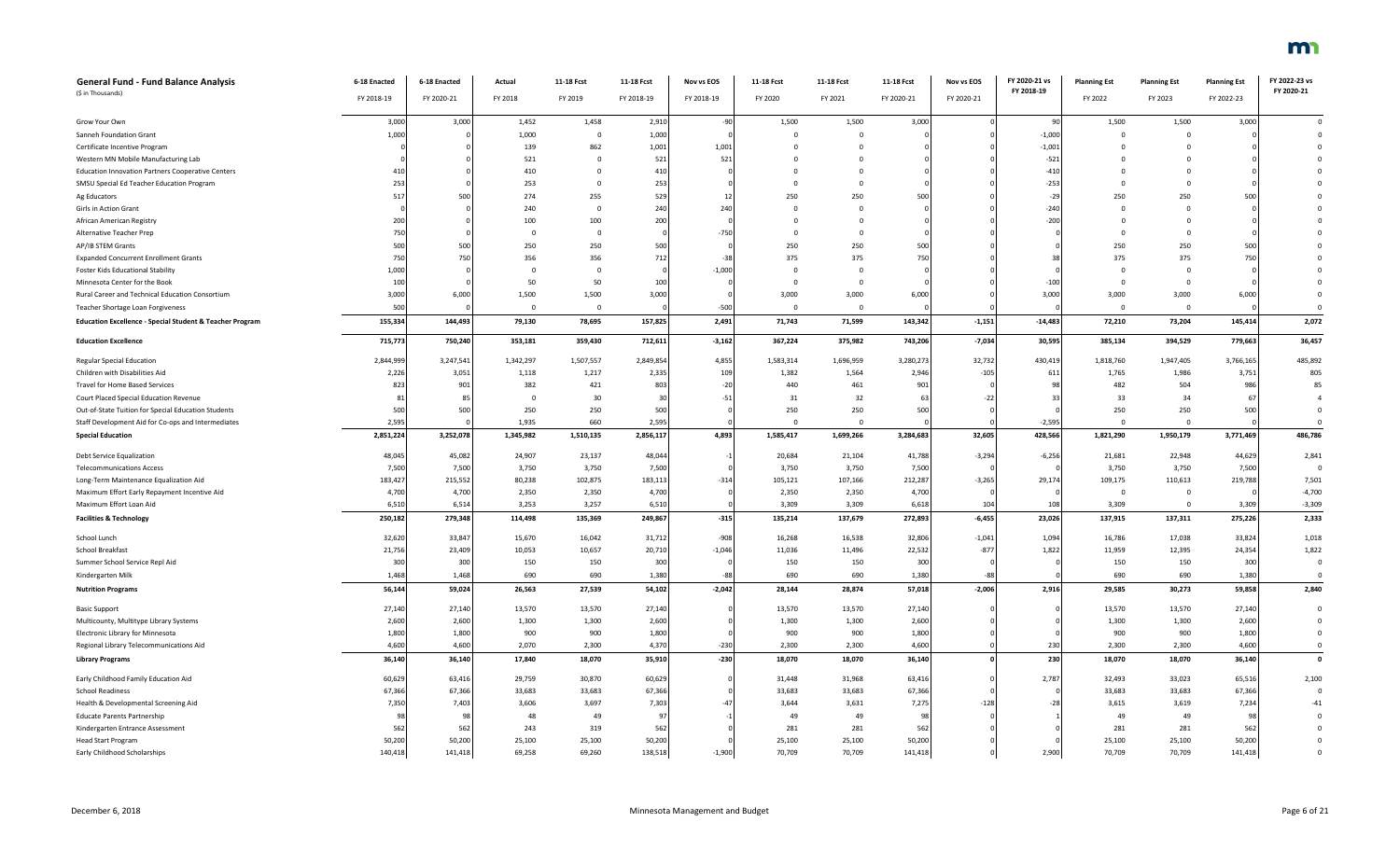| <b>General Fund - Fund Balance Analysis</b>                         | 6-18 Enacted | 6-18 Enacted | Actual       | 11-18 Fcst     | 11-18 Fcst | Nov vs EOS | 11-18 Fcst   | 11-18 Fcst  | 11-18 Fcst | Nov vs EOS | FY 2020-21 vs | <b>Planning Est</b> | <b>Planning Est</b> | <b>Planning Est</b> | FY 2022-23 vs |
|---------------------------------------------------------------------|--------------|--------------|--------------|----------------|------------|------------|--------------|-------------|------------|------------|---------------|---------------------|---------------------|---------------------|---------------|
| (\$ in Thousands)                                                   | FY 2018-19   | FY 2020-21   | FY 2018      | FY 2019        | FY 2018-19 | FY 2018-19 | FY 2020      | FY 2021     | FY 2020-21 | FY 2020-21 | FY 2018-19    | FY 2022             | FY 2023             | FY 2022-23          | FY 2020-21    |
| Grow Your Own                                                       | 3,000        | 3,000        | 1,452        | 1,458          | 2,910      | $-90$      | 1,500        | 1,500       | 3,000      |            | 90            | 1,500               | 1,500               | 3,000               |               |
| Sanneh Foundation Grant                                             | 1,000        |              | 1,000        | $\mathbf{0}$   | 1,000      |            | $\Omega$     | $\Omega$    |            |            | $-1,000$      | $\Omega$            | $\mathbf{0}$        |                     |               |
| Certificate Incentive Program                                       |              |              | 139          | 862            | 1,001      | 1,001      | $\Omega$     | $\Omega$    |            |            | $-1,001$      |                     | $\mathbf{0}$        |                     |               |
| Western MN Mobile Manufacturing Lab                                 |              |              | 521          | $\Omega$       | 521        | 521        | $\Omega$     |             |            |            | $-521$        |                     | $\Omega$            |                     |               |
| <b>Education Innovation Partners Cooperative Centers</b>            | 410          |              | 410          | $\Omega$       | 410        |            | $\Omega$     |             |            |            | $-410$        |                     | 0                   |                     |               |
| SMSU Special Ed Teacher Education Program                           | 253          |              | 253          | $\Omega$       | 253        |            | $\Omega$     |             |            |            | $-253$        |                     | $\Omega$            |                     |               |
| Ag Educators                                                        | 517          | 500          | 274          | 255            | 529        | 12         | 250          | 250         | 500        |            | $-29$         | 250                 | 250                 | 500                 |               |
| Girls in Action Grant                                               |              |              | 240          | $\overline{0}$ | 240        | 240        | $\mathbf 0$  | 0           |            |            | $-240$        |                     | $\mathbf 0$         |                     |               |
| African American Registry                                           | 200          |              | 100          | 100            | 200        |            | $\Omega$     | $\Omega$    |            |            | $-200$        |                     | $\Omega$            |                     |               |
| Alternative Teacher Prep                                            | 750          |              | $\Omega$     | $\mathbf 0$    |            | $-750$     | $\mathbf 0$  | $\Omega$    |            |            |               | $\Omega$            | $\mathbf 0$         |                     |               |
| AP/IB STEM Grants                                                   | 500          | 500          | 250          | 250            | 500        |            | 250          | 250         | 500        |            |               | 250                 | 250                 | 500                 |               |
| <b>Expanded Concurrent Enrollment Grants</b>                        | 750          | 750          | 356          | 356            | 712        | $-35$      | 375          | 375         | 750        |            | 38            | 375                 | 375                 | 750                 |               |
| <b>Foster Kids Educational Stability</b>                            | 1,000        |              | $\mathbf{0}$ | $\mathbf 0$    |            | $-1,000$   | $\mathbf 0$  |             |            |            |               |                     | $\mathbf 0$         |                     |               |
| Minnesota Center for the Book                                       | 100          |              | 50           | 50             | 100        |            | $\Omega$     |             |            |            | $-100$        | $\Omega$            | $\mathbf{0}$        |                     |               |
| Rural Career and Technical Education Consortium                     | 3,000        | 6,000        | 1,500        | 1,500          | 3,000      |            | 3,000        | 3,000       | 6,000      |            | 3,000         | 3,000               | 3,000               | 6,000               |               |
| Teacher Shortage Loan Forgiveness                                   | 500          |              | $\Omega$     | $\mathbf{0}$   |            | $-500$     | $\mathbf{0}$ | $\mathbf 0$ |            |            |               | $\Omega$            | $\mathbf{0}$        |                     |               |
| <b>Education Excellence - Special Student &amp; Teacher Program</b> | 155,334      | 144,493      | 79,130       | 78,695         | 157,825    | 2,491      | 71,743       | 71,599      | 143,342    | $-1,151$   | $-14,483$     | 72,210              | 73,204              | 145,414             | 2,072         |
| <b>Education Excellence</b>                                         | 715,773      | 750,240      | 353,181      | 359,430        | 712,611    | $-3,162$   | 367,224      | 375,982     | 743,206    | $-7,034$   | 30,595        | 385,134             | 394,529             | 779,663             | 36,457        |
| <b>Regular Special Education</b>                                    | 2,844,999    | 3,247,541    | 1,342,297    | 1,507,557      | 2,849,854  | 4,855      | 1,583,314    | 1,696,959   | 3,280,273  | 32,732     | 430,419       | 1,818,760           | 1,947,405           | 3,766,165           | 485,892       |
| Children with Disabilities Aid                                      | 2,226        | 3,051        | 1,118        | 1,217          | 2,335      | 109        | 1,382        | 1,564       | 2,946      | $-105$     | 611           | 1,765               | 1,986               | 3,75                | 805           |
| Travel for Home Based Services                                      | 823          | 901          | 382          | 421            | 803        | $-20$      | 440          | 461         | 901        |            | 98            | 482                 | 504                 | 986                 | 85            |
| Court Placed Special Education Revenue                              | 8            | 8            | $\mathbf{0}$ | 30             | 30         | $-51$      | 31           | 32          | 63         | $-22$      | 33            | 33                  | 34                  | 6                   |               |
| Out-of-State Tuition for Special Education Students                 | 500          | 500          | 250          | 250            | 500        |            | 250          | 250         | 500        |            |               | 250                 | 250                 | 500                 | $\Omega$      |
| Staff Development Aid for Co-ops and Intermediates                  | 2,595        |              | 1,935        | 660            | 2,595      |            | $\mathbf{0}$ | $\mathbf 0$ |            |            | $-2,595$      | $^{\circ}$          | $\mathbf 0$         |                     | $\Omega$      |
| <b>Special Education</b>                                            | 2,851,224    | 3,252,078    | 1,345,982    | 1,510,135      | 2,856,117  | 4,893      | 1,585,417    | 1,699,266   | 3,284,683  | 32,605     | 428,566       | 1,821,290           | 1,950,179           | 3,771,469           | 486,786       |
| Debt Service Equalization                                           | 48,045       | 45,082       | 24,907       | 23,137         | 48,044     |            | 20,684       | 21,104      | 41,788     | $-3,294$   | $-6,256$      | 21,681              | 22,948              | 44,629              | 2,841         |
| <b>Telecommunications Access</b>                                    | 7,500        | 7,500        | 3,750        | 3,750          | 7,500      |            | 3,750        | 3,750       | 7,500      |            |               | 3,750               | 3,750               | 7,500               |               |
| Long-Term Maintenance Equalization Aid                              | 183,427      | 215,552      | 80,238       | 102,875        | 183,113    | $-314$     | 105,121      | 107,166     | 212,287    | $-3,265$   | 29,174        | 109,175             | 110,613             | 219,788             | 7,501         |
| Maximum Effort Early Repayment Incentive Aid                        | 4,700        | 4,700        | 2,350        | 2,350          | 4,700      |            | 2,350        | 2,350       | 4,700      |            |               | $\overline{0}$      | $\mathbf 0$         |                     | $-4,700$      |
| Maximum Effort Loan Aid                                             | 6,510        | 6,514        | 3,253        | 3,257          | 6,510      |            | 3,309        | 3,309       | 6,618      | 104        | 108           | 3,309               | $\mathbf{0}$        | 3,309               | $-3,309$      |
| <b>Facilities &amp; Technology</b>                                  | 250,182      | 279,348      | 114,498      | 135,369        | 249,867    | $-315$     | 135,214      | 137,679     | 272,893    | $-6,455$   | 23,026        | 137,915             | 137,311             | 275,226             | 2,333         |
| School Lunch                                                        | 32,620       | 33,847       | 15,670       | 16,042         | 31,712     | $-908$     | 16,268       | 16,538      | 32,806     | $-1,041$   | 1,094         | 16,786              | 17,038              | 33,824              | 1,018         |
| School Breakfast                                                    | 21,756       | 23,409       | 10,053       | 10,657         | 20,710     | $-1,046$   | 11,036       | 11,496      | 22,532     | $-877$     | 1,822         | 11,959              | 12,395              | 24,354              | 1,822         |
| Summer School Service Repl Aid                                      | 300          | 300          | 150          | 150            | 300        |            | 150          | 150         | 300        |            |               | 150                 | 150                 | 300                 |               |
| Kindergarten Milk                                                   | 1,468        | 1,468        | 690          | 690            | 1,380      | $-88$      | 690          | 690         | 1,380      | $-88$      |               | 690                 | 690                 | 1,380               | $\Omega$      |
| <b>Nutrition Programs</b>                                           | 56,144       | 59,024       | 26,563       | 27,539         | 54,102     | $-2,042$   | 28,144       | 28,874      | 57,018     | $-2,006$   | 2,916         | 29,585              | 30,273              | 59,858              | 2,840         |
| <b>Basic Support</b>                                                | 27,140       | 27,140       | 13,570       | 13,570         | 27,140     |            | 13,570       | 13,570      | 27,140     |            |               | 13,570              | 13,570              | 27,140              | $\Omega$      |
| Multicounty, Multitype Library Systems                              | 2,600        | 2,600        | 1,300        | 1,300          | 2,600      |            | 1,300        | 1,300       | 2,600      |            |               | 1,300               | 1,300               | 2,600               |               |
| Electronic Library for Minnesota                                    | 1,800        | 1,800        | 900          | 900            | 1,800      |            | 900          | 900         | 1,800      |            |               | 900                 | 900                 | 1,800               | $\Omega$      |
| Regional Library Telecommunications Aid                             | 4,600        | 4,600        | 2,070        | 2,300          | 4,370      | $-230$     | 2,300        | 2,300       | 4,600      |            | 230           | 2,300               | 2,300               | 4,600               | $\Omega$      |
| <b>Library Programs</b>                                             | 36,140       | 36,140       | 17,840       | 18,070         | 35,910     | $-230$     | 18,070       | 18,070      | 36,140     |            | 230           | 18,070              | 18,070              | 36,140              | $\mathbf{0}$  |
| Early Childhood Family Education Aid                                | 60,629       | 63,416       | 29,759       | 30,870         | 60,629     |            | 31,448       | 31,968      | 63,416     |            | 2,787         | 32,493              | 33,023              | 65,516              | 2,100         |
| School Readiness                                                    | 67,366       | 67,366       | 33,683       | 33,683         | 67,366     |            | 33,683       | 33,683      | 67,366     |            |               | 33,683              | 33,683              | 67,366              | $\mathbf{0}$  |
| Health & Developmental Screening Aid                                | 7,350        | 7,403        | 3,606        | 3,697          | 7,303      |            | 3,644        | 3,631       | 7,275      | $-128$     | $-28$         | 3,615               | 3,619               | 7,234               | $-41$         |
| <b>Educate Parents Partnership</b>                                  |              |              | 48           | 49             | 97         |            | 49           | 49          |            |            |               | 49                  | 49                  | 9                   | $\Omega$      |
| Kindergarten Entrance Assessment                                    | 56           | 562          | 243          | 319            | 562        |            | 281          | 281         | 562        |            |               | 281                 | 281                 | 562                 |               |
| <b>Head Start Program</b>                                           | 50,200       | 50,200       | 25,100       | 25,100         | 50,200     |            | 25,100       | 25,100      | 50,200     |            |               | 25,100              | 25,100              | 50,200              |               |
| Early Childhood Scholarships                                        | 140,418      | 141,418      | 69,258       | 69,260         | 138,518    | $-1,900$   | 70,709       | 70,709      | 141,418    |            | 2,900         | 70,709              | 70,709              | 141,418             |               |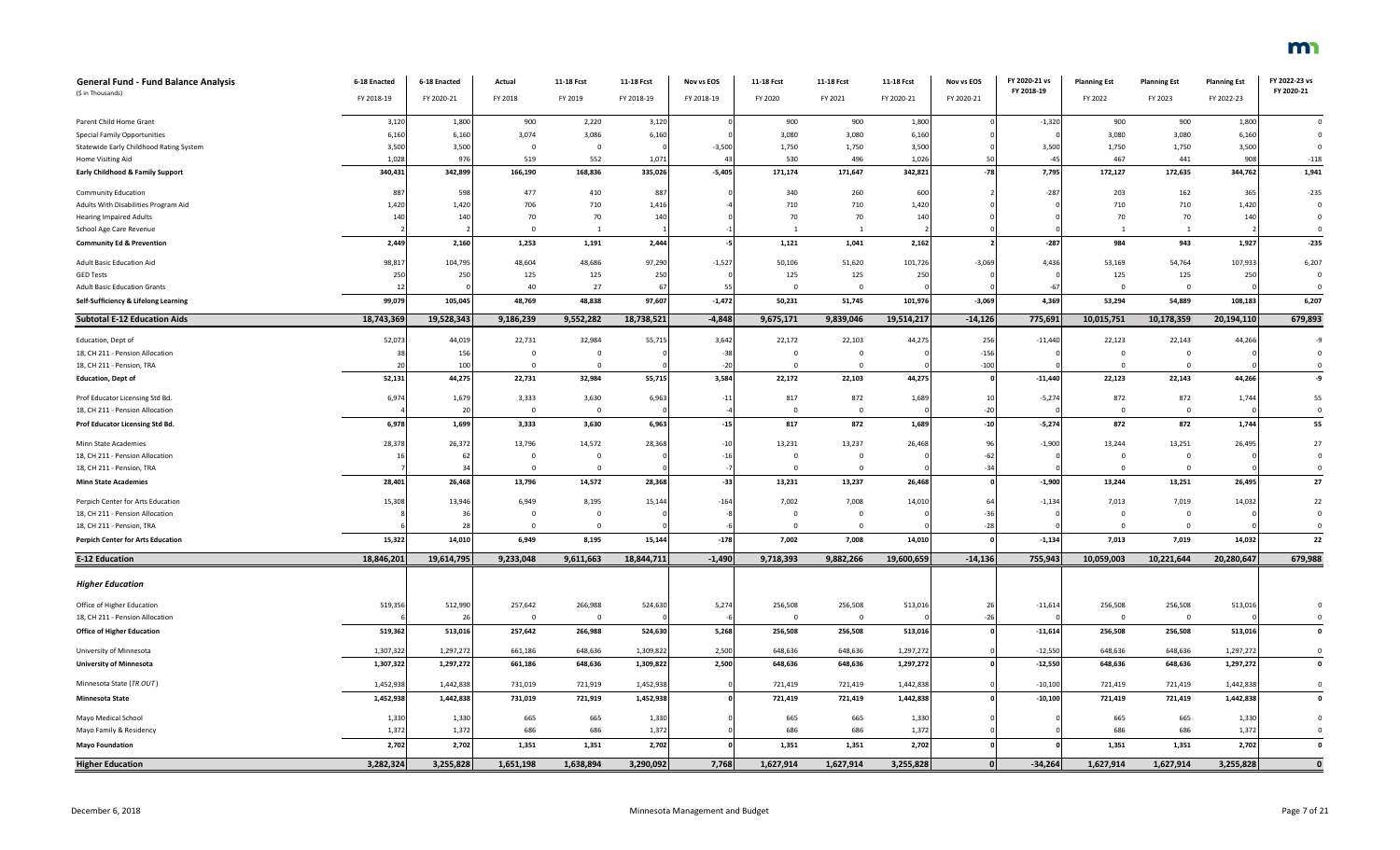| General Fund - Fund Balance Analysis<br>(\$ in Thousands)                      | 6-18 Enacted<br>FY 2018-19 | 6-18 Enacted<br>FY 2020-21 | Actual<br>FY 2018       | 11-18 Fcst<br>FY 2019 | 11-18 Fcst<br>FY 2018-19 | Nov vs EOS<br>FY 2018-19 | 11-18 Fcst<br>FY 2020   | 11-18 Fcst<br>FY 2021 | 11-18 Fcst<br>FY 2020-21 | Nov vs EOS<br>FY 2020-21 | FY 2020-21 vs<br>FY 2018-19 | <b>Planning Est</b><br>FY 2022 | <b>Planning Est</b><br>FY 2023 | <b>Planning Est</b><br>FY 2022-23 | FY 2022-23 vs<br>FY 2020-21 |
|--------------------------------------------------------------------------------|----------------------------|----------------------------|-------------------------|-----------------------|--------------------------|--------------------------|-------------------------|-----------------------|--------------------------|--------------------------|-----------------------------|--------------------------------|--------------------------------|-----------------------------------|-----------------------------|
|                                                                                |                            |                            |                         |                       |                          |                          |                         |                       |                          |                          |                             |                                |                                |                                   |                             |
| Parent Child Home Grant                                                        | 3,120                      | 1,800                      | 900                     | 2,220                 | 3,120                    |                          | 900                     | 900                   | 1,800                    |                          | $-1,320$                    | 900                            | 900                            | 1,800                             | $\Omega$                    |
| <b>Special Family Opportunities</b><br>Statewide Early Childhood Rating System | 6,160<br>3,500             | 6,160<br>3,500             | 3,074<br>$\overline{0}$ | 3,086<br>$\mathbf 0$  | 6,160                    | $-3,500$                 | 3,080<br>1,750          | 3,080<br>1,750        | 6,160                    |                          | 3,500                       | 3,080<br>1,750                 | 3,080<br>1,750                 | 6,160<br>3,500                    | $\mathbf 0$<br>$\mathbf 0$  |
| Home Visiting Aid                                                              | 1,028                      | 976                        | 519                     | 552                   | 1,071                    |                          | 530                     | 496                   | 3,500<br>1,026           | 5                        | $-4!$                       | 467                            | 441                            | 908                               | $-118$                      |
| <b>Early Childhood &amp; Family Support</b>                                    | 340,431                    | 342,899                    | 166,190                 | 168,836               | 335,026                  | $-5,405$                 | 171,174                 | 171,647               | 342,821                  | $-78$                    | 7,795                       | 172,127                        | 172,635                        | 344,762                           | 1,941                       |
|                                                                                |                            |                            |                         |                       |                          |                          |                         |                       |                          |                          |                             |                                |                                |                                   |                             |
| Community Education                                                            | 887                        | 598                        | 477                     | 410                   | 887                      |                          | 340                     | 260                   | 600                      |                          | $-287$                      | 203                            | 162                            | 365                               | $-235$                      |
| Adults With Disabilities Program Aid                                           | 1,420                      | 1,420                      | 706                     | 710                   | 1,416                    |                          | 710                     | 710                   | 1,420                    |                          |                             | 710                            | 710                            | 1,420                             | $\overline{0}$              |
| <b>Hearing Impaired Adults</b>                                                 | 140                        | 140                        | 70<br>$\Omega$          | 70<br>$\overline{1}$  | 140                      |                          | 70                      | 70<br>$\overline{1}$  | 140                      |                          |                             | 70<br>$\overline{1}$           | 70<br>$\overline{1}$           | 140                               | $\Omega$<br>$\mathbf{0}$    |
| School Age Care Revenue                                                        | 2,449                      | 2,160                      | 1,253                   | 1,191                 | 2,444                    |                          | 1,121                   | 1,041                 | 2,162                    |                          | $-287$                      | 984                            | 943                            | 1,927                             | $-235$                      |
| <b>Community Ed &amp; Prevention</b>                                           |                            |                            |                         |                       |                          |                          |                         |                       |                          |                          |                             |                                |                                |                                   |                             |
| <b>Adult Basic Education Aid</b>                                               | 98,817                     | 104,795                    | 48,604                  | 48,686                | 97,290                   | $-1,527$                 | 50,106                  | 51,620                | 101,726                  | $-3,069$                 | 4,436                       | 53,169                         | 54,764                         | 107,933                           | 6,207                       |
| <b>GED Tests</b>                                                               | 250                        | 250                        | 125                     | 125                   | 250                      |                          | 125                     | 125                   | 250                      |                          |                             | 125                            | 125                            | 250                               | $\mathbf 0$                 |
| <b>Adult Basic Education Grants</b>                                            | 12                         |                            | 40                      | $27\,$                | 67                       | -55                      | $\Omega$                | $\mathbf 0$           |                          |                          | $-67$                       | $\Omega$                       | $\Omega$                       |                                   | $\Omega$                    |
| Self-Sufficiency & Lifelong Learning                                           | 99,079                     | 105,045                    | 48,769                  | 48,838                | 97,607                   | $-1,472$                 | 50,231                  | 51,745                | 101,976                  | $-3,069$                 | 4,369                       | 53,294                         | 54,889                         | 108,183                           | 6,207                       |
| <b>Subtotal E-12 Education Aids</b>                                            | 18,743,369                 | 19,528,343                 | 9,186,239               | 9,552,282             | 18,738,521               | $-4,848$                 | 9,675,171               | 9,839,046             | 19,514,217               | $-14,126$                | 775,691                     | 10,015,751                     | 10,178,359                     | 20,194,110                        | 679,893                     |
| Education, Dept of                                                             | 52,073                     | 44,019                     | 22,731                  | 32,984                | 55,715                   | 3,642                    | 22,172                  | 22,103                | 44,275                   | 256                      | $-11,440$                   | 22,123                         | 22,143                         | 44,266                            | $-9$                        |
| 18, CH 211 - Pension Allocation                                                |                            | 156                        | $\overline{0}$          | $^{\circ}$            |                          | $-38$                    | $\mathbf 0$             | $\mathbf 0$           |                          | $-156$                   |                             | $\overline{0}$                 | $\overline{0}$                 |                                   | $\Omega$                    |
| 18, CH 211 - Pension, TRA                                                      |                            | 100                        | $\Omega$                | $\Omega$              |                          | $-20$                    | $\overline{0}$          | $\mathbf{0}$          |                          | $-100$                   |                             | $\mathbf 0$                    | $\Omega$                       |                                   | $\Omega$                    |
| <b>Education, Dept of</b>                                                      | 52,131                     | 44,275                     | 22,731                  | 32,984                | 55,715                   | 3,584                    | 22,172                  | 22,103                | 44,275                   |                          | $-11,440$                   | 22,123                         | 22,143                         | 44,266                            | -9                          |
| Prof Educator Licensing Std Bd.                                                | 6,974                      | 1,679                      | 3,333                   | 3,630                 | 6,963                    | $-11$                    | 817                     | 872                   | 1,689                    | 11                       | $-5,274$                    | 872                            | 872                            | 1,744                             | 55                          |
| 18, CH 211 - Pension Allocation                                                |                            | 20                         | $\overline{0}$          | $\mathbf 0$           |                          |                          | $\overline{0}$          | $\overline{0}$        |                          | $-20$                    |                             | $\overline{0}$                 | $\overline{0}$                 |                                   | $^{\circ}$                  |
| Prof Educator Licensing Std Bd.                                                | 6,978                      | 1,699                      | 3,333                   | 3,630                 | 6,963                    | $-15$                    | 817                     | 872                   | 1,689                    | $-10$                    | $-5,274$                    | 872                            | 872                            | 1,744                             | 55                          |
| Minn State Academies                                                           | 28,378                     | 26,372                     | 13,796                  | 14,572                | 28,368                   | $-10$                    | 13,231                  | 13,237                | 26,468                   | 9                        | $-1,900$                    | 13,244                         | 13,251                         | 26,495                            | 27                          |
| 18, CH 211 - Pension Allocation                                                |                            | 62                         | $\Omega$                | $\Omega$              |                          | $-16$                    | $\Omega$                | $\mathbf{0}$          |                          | $-62$                    |                             | $\Omega$                       | $\Omega$                       |                                   | $\mathbf 0$                 |
| 18, CH 211 - Pension, TRA                                                      |                            | 34                         | $\overline{\mathbf{0}}$ | $\mathbf{0}$          |                          |                          | $\overline{\mathbf{0}}$ | $\mathbf{0}$          |                          | $-34$                    |                             | $\mathbf{0}$                   | $\overline{0}$                 |                                   | $\mathbf 0$                 |
| <b>Minn State Academies</b>                                                    | 28,401                     | 26,468                     | 13,796                  | 14,572                | 28,368                   | $-33$                    | 13,231                  | 13,237                | 26,468                   |                          | $-1,900$                    | 13,244                         | 13,251                         | 26,495                            | 27                          |
| Perpich Center for Arts Education                                              | 15,308                     | 13,946                     | 6,949                   | 8,195                 | 15,144                   | $-164$                   | 7,002                   | 7,008                 | 14,010                   | 6                        | $-1,134$                    | 7,013                          | 7,019                          | 14,032                            | 22                          |
| 18, CH 211 - Pension Allocation                                                |                            | 36                         | $\overline{0}$          | $\mathbf{0}$          |                          |                          | $\overline{0}$          | $\mathbf 0$           |                          | $-3$                     |                             | $\mathbf{0}$                   | $\mathbf{0}$                   |                                   | $\mathbf 0$                 |
| 18, CH 211 - Pension, TRA                                                      |                            | 28                         | $\Omega$                | $\Omega$              |                          |                          | $\overline{\mathbf{0}}$ | $\Omega$              |                          | $-28$                    |                             | $\Omega$                       | $\Omega$                       |                                   | $\mathsf 0$                 |
| <b>Perpich Center for Arts Education</b>                                       | 15,322                     | 14,010                     | 6,949                   | 8,195                 | 15,144                   | $-178$                   | 7,002                   | 7,008                 | 14,010                   |                          | $-1,134$                    | 7,013                          | 7,019                          | 14,032                            | 22                          |
| <b>E-12 Education</b>                                                          | 18,846,201                 | 19,614,795                 | 9,233,048               | 9,611,663             | 18,844,711               | $-1,490$                 | 9,718,393               | 9,882,266             | 19,600,659               | $-14,136$                | 755,943                     | 10,059,003                     | 10,221,644                     | 20,280,647                        | 679,988                     |
| <b>Higher Education</b>                                                        |                            |                            |                         |                       |                          |                          |                         |                       |                          |                          |                             |                                |                                |                                   |                             |
| Office of Higher Education                                                     | 519,356                    | 512,990                    | 257,642                 | 266,988               | 524,630                  | 5,274                    | 256,508                 | 256,508               | 513,016                  | 26                       | $-11,614$                   | 256,508                        | 256,508                        | 513,016                           | $\mathbf 0$                 |
| 18, CH 211 - Pension Allocation                                                |                            | 26                         | $\Omega$                | $^{\circ}$            |                          |                          | $\Omega$                | $\mathbf 0$           |                          | $-2$                     |                             | $\Omega$                       | $\Omega$                       |                                   | $\mathbf{0}$                |
| <b>Office of Higher Education</b>                                              | 519,362                    | 513,016                    | 257,642                 | 266,988               | 524,630                  | 5,268                    | 256,508                 | 256,508               | 513,016                  |                          | $-11,614$                   | 256,508                        | 256,508                        | 513,016                           | $\mathbf 0$                 |
| University of Minnesota                                                        | 1,307,322                  | 1,297,272                  | 661,186                 | 648,636               | 1,309,822                | 2,500                    | 648,636                 | 648,636               | 1,297,272                |                          | $-12,550$                   | 648,636                        | 648,636                        | 1,297,272                         | $\mathbf 0$                 |
| <b>University of Minnesota</b>                                                 | 1,307,322                  | 1,297,272                  | 661,186                 | 648,636               | 1,309,822                | 2,500                    | 648,636                 | 648,636               | 1,297,272                |                          | $-12,550$                   | 648,636                        | 648,636                        | 1,297,272                         | $\pmb{0}$                   |
| Minnesota State (TR OUT)                                                       | 1,452,938                  | 1,442,838                  | 731,019                 | 721,919               | 1,452,938                |                          | 721,419                 | 721,419               | 1,442,838                |                          | $-10,100$                   | 721,419                        | 721,419                        | 1,442,838                         | $\,0\,$                     |
| <b>Minnesota State</b>                                                         | 1,452,938                  | 1,442,838                  | 731,019                 | 721,919               | 1,452,938                |                          | 721,419                 | 721,419               | 1,442,838                |                          | $-10,100$                   | 721,419                        | 721,419                        | 1,442,838                         | $\pmb{\mathsf{o}}$          |
| Mayo Medical School                                                            | 1,330                      | 1,330                      | 665                     | 665                   | 1,330                    |                          | 665                     | 665                   | 1,330                    |                          |                             | 665                            | 665                            | 1,330                             | $\mathbf 0$                 |
| Mayo Family & Residency                                                        | 1,372                      | 1,372                      | 686                     | 686                   | 1,372                    |                          | 686                     | 686                   | 1,372                    |                          |                             | 686                            | 686                            | 1,372                             | $\mathbf 0$                 |
| <b>Mayo Foundation</b>                                                         | 2,702                      | 2,702                      | 1,351                   | 1,351                 | 2,702                    |                          | 1,351                   | 1,351                 | 2,702                    |                          |                             | 1,351                          | 1,351                          | 2,702                             | $\pmb{0}$                   |
| <b>Higher Education</b>                                                        | 3,282,324                  | 3,255,828                  | 1,651,198               | 1.638.894             | 3,290,092                | 7,768                    | 1,627,914               | 1.627.914             | 3,255,828                | $\mathbf{0}$             | $-34.264$                   | 1,627,914                      | 1,627,914                      | 3,255,828                         | $\mathbf{0}$                |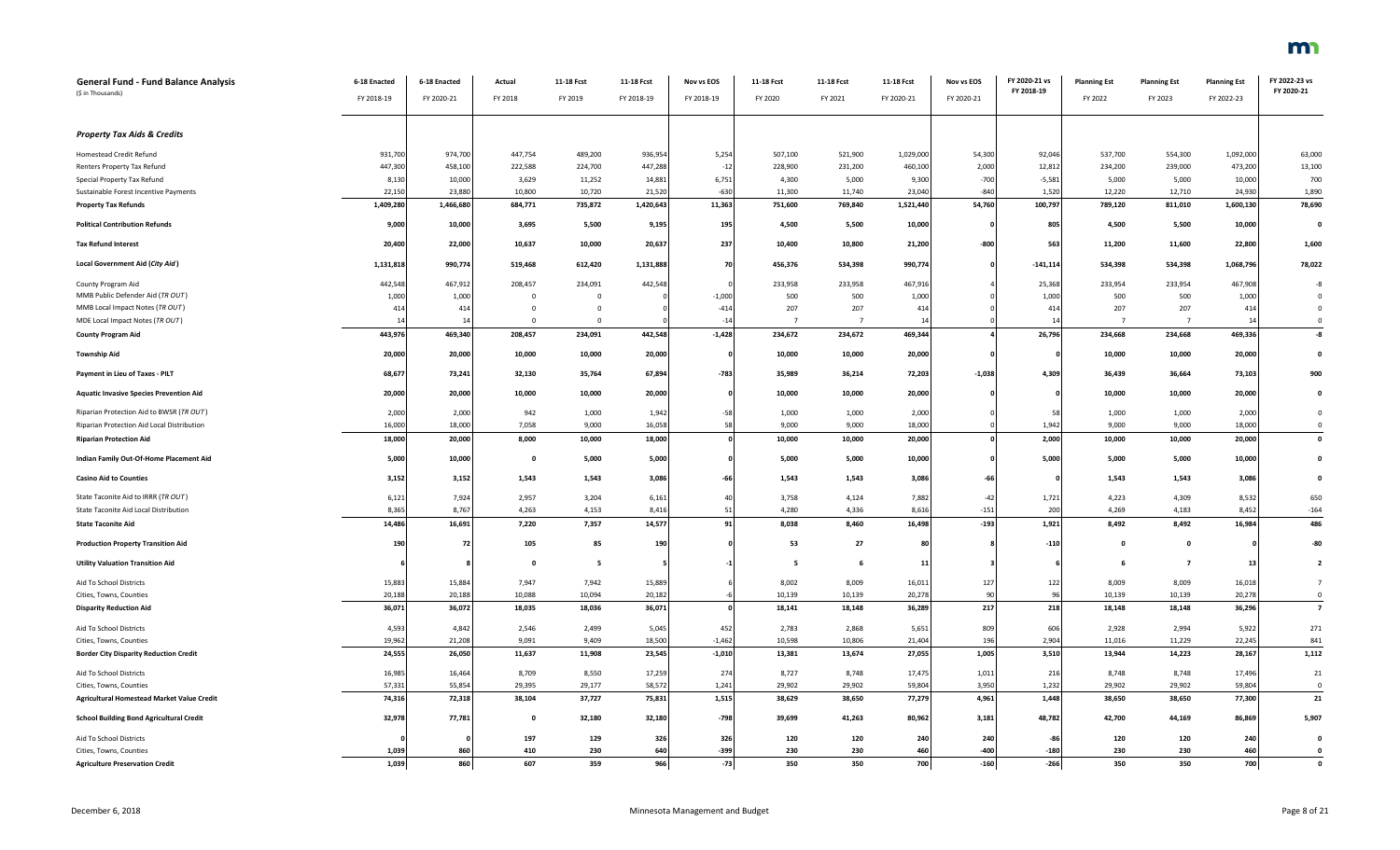| <b>General Fund - Fund Balance Analysis</b><br>(\$ in Thousands) | 6-18 Enacted<br>FY 2018-19 | 6-18 Enacted<br>FY 2020-21 | Actual<br>FY 2018 | 11-18 Fcst<br>FY 2019 | 11-18 Fcst<br>FY 2018-19 | Nov vs EOS<br>FY 2018-19 | 11-18 Fcst<br>FY 2020 | 11-18 Fcst<br>FY 2021 | 11-18 Fcst<br>FY 2020-21 | Nov vs EOS<br>FY 2020-21 | FY 2020-21 vs<br>FY 2018-19 | <b>Planning Est</b><br>FY 2022 | <b>Planning Est</b><br>FY 2023 | <b>Planning Est</b><br>FY 2022-23 | FY 2022-23 vs<br>FY 2020-21 |
|------------------------------------------------------------------|----------------------------|----------------------------|-------------------|-----------------------|--------------------------|--------------------------|-----------------------|-----------------------|--------------------------|--------------------------|-----------------------------|--------------------------------|--------------------------------|-----------------------------------|-----------------------------|
|                                                                  |                            |                            |                   |                       |                          |                          |                       |                       |                          |                          |                             |                                |                                |                                   |                             |
| <b>Property Tax Aids &amp; Credits</b>                           |                            |                            |                   |                       |                          |                          |                       |                       |                          |                          |                             |                                |                                |                                   |                             |
| Homestead Credit Refund                                          | 931,700                    | 974,700                    | 447,754           | 489,200               | 936,954                  | 5,254                    | 507,100               | 521,900               | 1,029,000                | 54,300                   | 92,046                      | 537,700                        | 554,300                        | 1,092,000                         | 63,000                      |
| Renters Property Tax Refund                                      | 447,300                    | 458,100                    | 222,588           | 224,700               | 447,288                  | $-12$                    | 228,900               | 231,200               | 460,100                  | 2,000                    | 12,812                      | 234,200                        | 239,000                        | 473,200                           | 13,100                      |
| Special Property Tax Refund                                      | 8,130                      | 10,000                     | 3,629             | 11,252                | 14,881                   | 6,751                    | 4,300                 | 5,000                 | 9,300                    | $-700$                   | $-5,581$                    | 5,000                          | 5,000                          | 10,000                            | 700                         |
| Sustainable Forest Incentive Payments                            | 22,150                     | 23,880                     | 10,800            | 10,720                | 21,520                   | $-630$                   | 11.300                | 11,740                | 23,040                   | $-840$                   | 1,520                       | 12,220                         | 12,710                         | 24,930                            | 1,890                       |
| <b>Property Tax Refunds</b>                                      | 1,409,280                  | 1,466,680                  | 684,771           | 735,872               | 1,420,643                | 11,363                   | 751,600               | 769,840               | 1,521,440                | 54,760                   | 100,797                     | 789,120                        | 811,010                        | 1,600,130                         | 78,690                      |
| <b>Political Contribution Refunds</b>                            | 9,000                      | 10,000                     | 3,695             | 5,500                 | 9,195                    | 195                      | 4,500                 | 5,500                 | 10,000                   |                          | 805                         | 4,500                          | 5,500                          | 10,000                            |                             |
| <b>Tax Refund Interest</b>                                       | 20,400                     | 22,000                     | 10,637            | 10,000                | 20,637                   | 237                      | 10,400                | 10,800                | 21,200                   | $-800$                   | 563                         | 11,200                         | 11,600                         | 22,800                            | 1,600                       |
| Local Government Aid (City Aid)                                  | 1,131,818                  | 990,774                    | 519,468           | 612,420               | 1,131,888                | 70                       | 456,376               | 534,398               | 990,774                  |                          | $-141, 114$                 | 534,398                        | 534,398                        | 1,068,796                         | 78,022                      |
| County Program Aid                                               | 442,548                    | 467,912                    | 208,457           | 234,091               | 442,548                  |                          | 233,958               | 233,958               | 467,916                  |                          | 25,368                      | 233,954                        | 233,954                        | 467,908                           |                             |
| MMB Public Defender Aid (TR OUT)                                 | 1,000                      | 1,000                      | $\mathbf 0$       | $\overline{0}$        |                          | $-1,000$                 | 500                   | 500                   | 1,000                    |                          | 1,000                       | 500                            | 500                            | 1,000                             |                             |
| MMB Local Impact Notes (TR OUT)                                  | 414                        | 414                        | $\mathbf{0}$      | $\overline{0}$        |                          | $-414$                   | 207                   | 207                   | 414                      |                          | 414                         | 207                            | 207                            | 414                               |                             |
| MDE Local Impact Notes (TR OUT)                                  | 14                         | 14                         | $\Omega$          | $\Omega$              |                          | $-14$                    | $7\overline{ }$       | $\overline{7}$        | 14                       |                          | 14                          | $\overline{7}$                 | $7\overline{ }$                | 14                                | $\mathfrak{c}$              |
| <b>County Program Aid</b>                                        | 443,976                    | 469,340                    | 208,457           | 234,091               | 442,548                  | $-1,428$                 | 234,672               | 234,672               | 469,344                  |                          | 26,796                      | 234,668                        | 234,668                        | 469,336                           | -8                          |
| <b>Township Aid</b>                                              | 20,000                     | 20,000                     | 10,000            | 10,000                | 20,000                   |                          | 10,000                | 10,000                | 20,000                   |                          |                             | 10,000                         | 10,000                         | 20,000                            |                             |
| Payment in Lieu of Taxes - PILT                                  | 68,677                     | 73,241                     | 32,130            | 35,764                | 67,894                   | $-783$                   | 35,989                | 36,214                | 72,203                   | $-1,038$                 | 4,309                       | 36,439                         | 36,664                         | 73,103                            | 900                         |
| <b>Aquatic Invasive Species Prevention Aid</b>                   | 20,000                     | 20,000                     | 10,000            | 10,000                | 20,000                   |                          | 10,000                | 10,000                | 20,000                   |                          | 0                           | 10,000                         | 10,000                         | 20,000                            |                             |
| Riparian Protection Aid to BWSR (TR OUT)                         | 2,000                      | 2,000                      | 942               | 1,000                 | 1,942                    | $-58$                    | 1,000                 | 1,000                 | 2,000                    |                          | 58                          | 1,000                          | 1,000                          | 2,000                             |                             |
| Riparian Protection Aid Local Distribution                       | 16,000                     | 18,000                     | 7,058             | 9,000                 | 16,058                   | 58                       | 9,000                 | 9,000                 | 18,000                   |                          | 1,942                       | 9,000                          | 9,000                          | 18,000                            |                             |
| <b>Riparian Protection Aid</b>                                   | 18,000                     | 20,000                     | 8,000             | 10,000                | 18,000                   |                          | 10,000                | 10,000                | 20,000                   |                          | 2,000                       | 10,000                         | 10,000                         | 20,000                            |                             |
| Indian Family Out-Of-Home Placement Aid                          | 5,000                      | 10,000                     | $\mathbf 0$       | 5,000                 | 5,000                    |                          | 5,000                 | 5,000                 | 10,000                   |                          | 5,000                       | 5,000                          | 5,000                          | 10,000                            |                             |
| <b>Casino Aid to Counties</b>                                    | 3,152                      | 3,152                      | 1,543             | 1,543                 | 3,086                    | $-66$                    | 1,543                 | 1,543                 | 3,086                    | $-66$                    |                             | 1,543                          | 1,543                          | 3,086                             |                             |
| State Taconite Aid to IRRR (TR OUT)                              | 6,121                      | 7,924                      | 2,957             | 3,204                 | 6,161                    | 40                       | 3,758                 | 4,124                 | 7,882                    | $-42$                    | 1,721                       | 4,223                          | 4,309                          | 8,532                             | 650                         |
| State Taconite Aid Local Distribution                            | 8,365                      | 8,767                      | 4,263             | 4,153                 | 8,416                    | 51                       | 4,280                 | 4,336                 | 8,616                    | $-151$                   | 200                         | 4,269                          | 4,183                          | 8,452                             | $-164$                      |
| <b>State Taconite Aid</b>                                        | 14,486                     | 16,691                     | 7,220             | 7,357                 | 14,577                   | 91                       | 8,038                 | 8,460                 | 16,498                   | $-193$                   | 1,921                       | 8,492                          | 8,492                          | 16,984                            | 486                         |
| <b>Production Property Transition Aid</b>                        | 190                        | 72                         | 105               | 85                    | 190                      |                          | 53                    | 27                    | 80                       |                          | $-110$                      | $\mathbf{0}$                   | $\mathbf{0}$                   |                                   | $-80$                       |
| <b>Utility Valuation Transition Aid</b>                          |                            |                            | $\mathbf 0$       | 5                     |                          |                          | 5                     | 6                     | 11                       |                          |                             | 6                              | $\overline{7}$                 | 13                                |                             |
| Aid To School Districts                                          | 15,883                     | 15,884                     | 7,947             | 7,942                 | 15,889                   |                          | 8,002                 | 8,009                 | 16,011                   | 127                      | 122                         | 8,009                          | 8,009                          | 16,018                            |                             |
| Cities, Towns, Counties                                          | 20,188                     | 20,188                     | 10,088            | 10,094                | 20,182                   |                          | 10,139                | 10,139                | 20,278                   | 90                       | 96                          | 10,139                         | 10,139                         | 20,278                            | $\mathsf{C}$                |
| <b>Disparity Reduction Aid</b>                                   | 36,071                     | 36,072                     | 18,035            | 18,036                | 36,071                   |                          | 18,141                | 18,148                | 36,289                   | 217                      | 218                         | 18,148                         | 18,148                         | 36,296                            | $\overline{z}$              |
| Aid To School Districts                                          | 4,593                      | 4,842                      | 2,546             | 2,499                 | 5,045                    | 452                      | 2,783                 | 2,868                 | 5,651                    | 809                      | 606                         | 2,928                          | 2,994                          | 5,922                             | 271                         |
| Cities, Towns, Counties                                          | 19,962                     | 21,208                     | 9,091             | 9,409                 | 18,500                   | $-1,462$                 | 10,598                | 10,806                | 21,404                   | 196                      | 2,904                       | 11,016                         | 11,229                         | 22,245                            | 841                         |
| <b>Border City Disparity Reduction Credit</b>                    | 24,555                     | 26,050                     | 11,637            | 11,908                | 23,545                   | $-1,010$                 | 13,381                | 13,674                | 27,055                   | 1,005                    | 3,510                       | 13,944                         | 14,223                         | 28,167                            | 1,112                       |
| Aid To School Districts                                          | 16,985                     | 16,464                     | 8,709             | 8,550                 | 17,259                   | 274                      | 8,727                 | 8,748                 | 17,475                   | 1,011                    | 216                         | 8,748                          | 8,748                          | 17,496                            | 21                          |
| Cities, Towns, Counties                                          | 57,331                     | 55,854                     | 29,395            | 29,177                | 58,572                   | 1,241                    | 29,902                | 29,902                | 59,804                   | 3,950                    | 1,232                       | 29,902                         | 29,902                         | 59,804                            | $\mathfrak{c}$              |
| <b>Agricultural Homestead Market Value Credit</b>                | 74,316                     | 72,318                     | 38,104            | 37,727                | 75,831                   | 1,515                    | 38,629                | 38,650                | 77,279                   | 4,961                    | 1,448                       | 38,650                         | 38,650                         | 77,300                            | 21                          |
| <b>School Building Bond Agricultural Credit</b>                  | 32,978                     | 77,781                     | $\mathbf{0}$      | 32,180                | 32,180                   | $-798$                   | 39,699                | 41,263                | 80,962                   | 3,181                    | 48,782                      | 42,700                         | 44,169                         | 86,869                            | 5,907                       |
| Aid To School Districts                                          |                            |                            | 197               | 129                   | 326                      | 326                      | 120                   | 120                   | 240                      | 240                      | -86                         | 120                            | 120                            | 240                               |                             |
| Cities, Towns, Counties                                          | 1,039                      | 860                        | 410               | 230                   | 640                      | $-399$                   | 230                   | 230                   | 460                      | $-400$                   | $-180$                      | 230                            | 230                            | 460                               |                             |
| <b>Agriculture Preservation Credit</b>                           | 1.039                      | 860                        | 607               | 359                   | 966                      | $-73$                    | 350                   | 350                   | 700                      | $-160$                   | $-266$                      | 350                            | 350                            | 700                               |                             |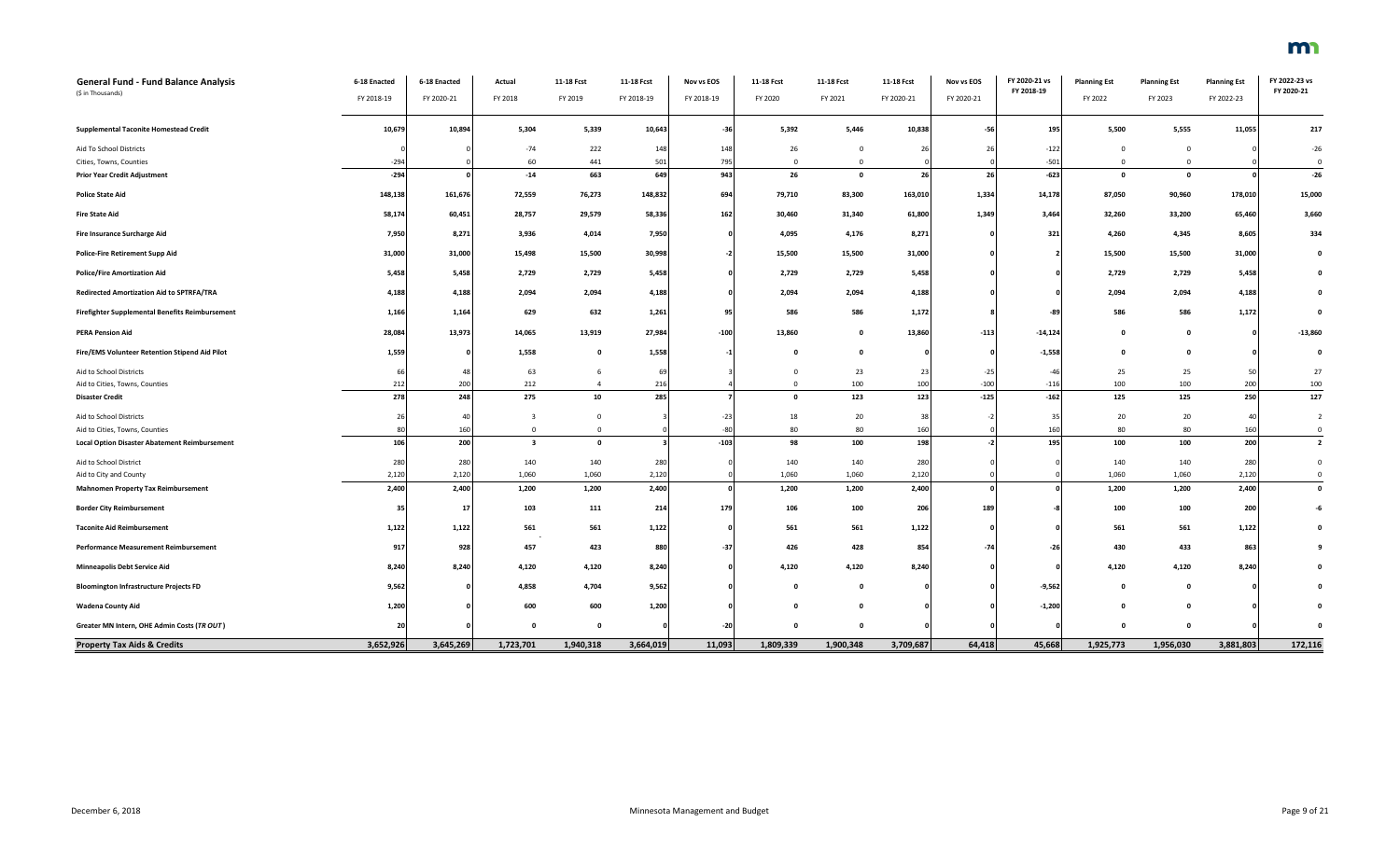| General Fund - Fund Balance Analysis<br>(\$ in Thousands)      | 6-18 Enacted     | 6-18 Enacted | Actual                  | 11-18 Fcst     | 11-18 Fcst     | Nov vs EOS | 11-18 Fcst           | 11-18 Fcst                   | 11-18 Fcst     | Nov vs EOS | FY 2020-21 vs<br>FY 2018-19 | <b>Planning Est</b>            | <b>Planning Est</b>          | <b>Planning Est</b> | FY 2022-23 vs<br>FY 2020-21 |
|----------------------------------------------------------------|------------------|--------------|-------------------------|----------------|----------------|------------|----------------------|------------------------------|----------------|------------|-----------------------------|--------------------------------|------------------------------|---------------------|-----------------------------|
|                                                                | FY 2018-19       | FY 2020-21   | FY 2018                 | FY 2019        | FY 2018-19     | FY 2018-19 | FY 2020              | FY 2021                      | FY 2020-21     | FY 2020-21 |                             | FY 2022                        | FY 2023                      | FY 2022-23          |                             |
| <b>Supplemental Taconite Homestead Credit</b>                  | 10,679           | 10,894       | 5,304                   | 5,339          | 10,643         | $-36$      | 5,392                | 5,446                        | 10,838         | $-56$      | 195                         | 5,500                          | 5,555                        | 11,055              | 217                         |
| Aid To School Districts                                        |                  |              | $-74$                   | 222            | 148            | 148        | 26                   | $\Omega$                     | $\overline{2}$ | 26         | $-122$                      | $\Omega$                       | $\mathbf{0}$                 |                     | $-26$                       |
| Cities, Towns, Counties<br><b>Prior Year Credit Adjustment</b> | $-294$<br>$-294$ |              | 60<br>$-14$             | 441<br>663     | 501<br>649     | 795<br>943 | $\overline{0}$<br>26 | $\mathbf{0}$<br>$\mathbf{0}$ | 26             | 26         | $-501$<br>$-623$            | $\overline{0}$<br>$\mathbf{0}$ | $\mathbf{0}$<br>$\mathbf{0}$ |                     | $\Omega$<br>$-26$           |
|                                                                |                  |              |                         |                |                |            |                      |                              |                |            |                             |                                |                              |                     |                             |
| <b>Police State Aid</b>                                        | 148,138          | 161,676      | 72,559                  | 76,273         | 148,832        | 694        | 79,710               | 83,300                       | 163,010        | 1,334      | 14,178                      | 87,050                         | 90,960                       | 178,010             | 15,000                      |
| <b>Fire State Aid</b>                                          | 58,174           | 60,451       | 28,757                  | 29,579         | 58,336         | 162        | 30,460               | 31,340                       | 61,800         | 1,349      | 3,464                       | 32,260                         | 33,200                       | 65,460              | 3,660                       |
| Fire Insurance Surcharge Aid                                   | 7,950            | 8,271        | 3,936                   | 4,014          | 7,950          | $\sqrt{2}$ | 4,095                | 4,176                        | 8,271          |            | 321                         | 4,260                          | 4,345                        | 8,605               | 334                         |
| <b>Police-Fire Retirement Supp Aid</b>                         | 31,000           | 31,000       | 15,498                  | 15,500         | 30,998         |            | 15,500               | 15,500                       | 31,000         |            |                             | 15,500                         | 15,500                       | 31,000              | $\mathbf{0}$                |
| <b>Police/Fire Amortization Aid</b>                            | 5,458            | 5,458        | 2,729                   | 2,729          | 5,458          |            | 2,729                | 2,729                        | 5,458          |            |                             | 2,729                          | 2,729                        | 5,458               | 0                           |
| Redirected Amortization Aid to SPTRFA/TRA                      | 4,188            | 4,188        | 2,094                   | 2,094          | 4,188          |            | 2,094                | 2,094                        | 4,188          |            |                             | 2,094                          | 2,094                        | 4,188               | $\Omega$                    |
| <b>Firefighter Supplemental Benefits Reimbursement</b>         | 1,166            | 1,164        | 629                     | 632            | 1,261          | 95         | 586                  | 586                          | 1,172          |            | $-89$                       | 586                            | 586                          | 1,172               | 0                           |
| <b>PERA Pension Aid</b>                                        | 28,084           | 13,973       | 14,065                  | 13,919         | 27,984         | $-100$     | 13,860               | $\mathbf 0$                  | 13,860         | $-113$     | $-14,124$                   | $\Omega$                       | $\Omega$                     |                     | $-13,860$                   |
| Fire/EMS Volunteer Retention Stipend Aid Pilot                 | 1,559            | $\Omega$     | 1,558                   | $\mathbf{0}$   | 1,558          |            | $\Omega$             | $\Omega$                     |                |            | $-1,558$                    | $\mathbf{a}$                   | $\Omega$                     |                     | - 0                         |
| Aid to School Districts                                        | -66              | 48           | 63                      | 6              | 6 <sup>c</sup> |            | $\Omega$             | 23                           | 2 <sup>2</sup> | $-25$      | $-46$                       | 25                             | 25                           | 50                  | 27                          |
| Aid to Cities, Towns, Counties                                 | 212              | 200          | 212                     | $\overline{a}$ | 216            |            | $\Omega$             | 100                          | 100            | $-100$     | $-116$                      | 100                            | 100                          | 200                 | 100                         |
| <b>Disaster Credit</b>                                         | 278              | 248          | 275                     | 10             | 285            |            | $\mathbf{0}$         | 123                          | 123            | $-125$     | $-162$                      | 125                            | 125                          | 250                 | 127                         |
| Aid to School Districts                                        | 26               | 40           | $\mathbf{3}$            | $\Omega$       |                | $-23$      | 18                   | 20                           | 38             |            | 35                          | 20                             | 20                           | 40                  | $\overline{2}$              |
| Aid to Cities, Towns, Counties                                 | 80               | 160          | $\overline{0}$          | $\mathbf 0$    |                | $-80$      | 80                   | 80                           | 160            |            | 160                         | 80                             | 80                           | 160                 | $\overline{0}$              |
| <b>Local Option Disaster Abatement Reimbursement</b>           | 106              | 200          | $\overline{\mathbf{3}}$ | $\mathbf 0$    |                | $-103$     | 98                   | 100                          | 198            |            | 195                         | 100                            | 100                          | 200                 | $\overline{\mathbf{2}}$     |
| Aid to School District                                         | 280              | 280          | 140                     | 140            | 280            |            | 140                  | 140                          | 280            |            |                             | 140                            | 140                          | 280                 | $\overline{0}$              |
| Aid to City and County                                         | 2,120            | 2,120        | 1,060                   | 1,060          | 2,120          |            | 1,060                | 1,060                        | 2,120          |            |                             | 1,060                          | 1,060                        | 2,120               | $\overline{0}$              |
| <b>Mahnomen Property Tax Reimbursement</b>                     | 2,400            | 2,400        | 1,200                   | 1,200          | 2,400          |            | 1,200                | 1,200                        | 2,400          |            |                             | 1,200                          | 1,200                        | 2,400               | $\mathbf 0$                 |
| <b>Border City Reimbursement</b>                               | 35               | 17           | 103                     | 111            | 214            | 179        | 106                  | 100                          | 206            | 189        |                             | 100                            | 100                          | 200                 | $-6$                        |
| <b>Taconite Aid Reimbursement</b>                              | 1,122            | 1,122        | 561                     | 561            | 1,122          |            | 561                  | 561                          | 1,122          |            |                             | 561                            | 561                          | 1,122               | $\mathbf{0}$                |
| <b>Performance Measurement Reimbursement</b>                   | 917              | 928          | 457                     | 423            | 880            | $-37$      | 426                  | 428                          | 854            | $-74$      | $-26$                       | 430                            | 433                          | 863                 | -9                          |
| <b>Minneapolis Debt Service Aid</b>                            | 8,240            | 8,240        | 4,120                   | 4,120          | 8,240          |            | 4,120                | 4,120                        | 8,240          |            |                             | 4,120                          | 4,120                        | 8,240               |                             |
| <b>Bloomington Infrastructure Projects FD</b>                  | 9,562            |              | 4,858                   | 4,704          | 9,562          |            | $\Omega$             | $\mathbf 0$                  |                |            | $-9,562$                    | $\mathbf{0}$                   | $\mathbf{o}$                 |                     | 0                           |
| <b>Wadena County Aid</b>                                       | 1,200            |              | 600                     | 600            | 1,200          |            | - 0                  | $\Omega$                     |                |            | $-1,200$                    | - 0                            | $\Omega$                     |                     |                             |
| Greater MN Intern, OHE Admin Costs (TR OUT)                    | 20               |              | $\Omega$                | $\mathbf{0}$   |                | $-20$      | $\Omega$             | 0                            |                |            |                             |                                | $\mathbf 0$                  |                     |                             |
| <b>Property Tax Aids &amp; Credits</b>                         | 3,652,926        | 3,645,269    | 1,723,701               | 1,940,318      | 3,664,019      | 11,093     | 1,809,339            | 1,900,348                    | 3,709,687      | 64,418     | 45,668                      | 1,925,773                      | 1,956,030                    | 3,881,803           | 172,116                     |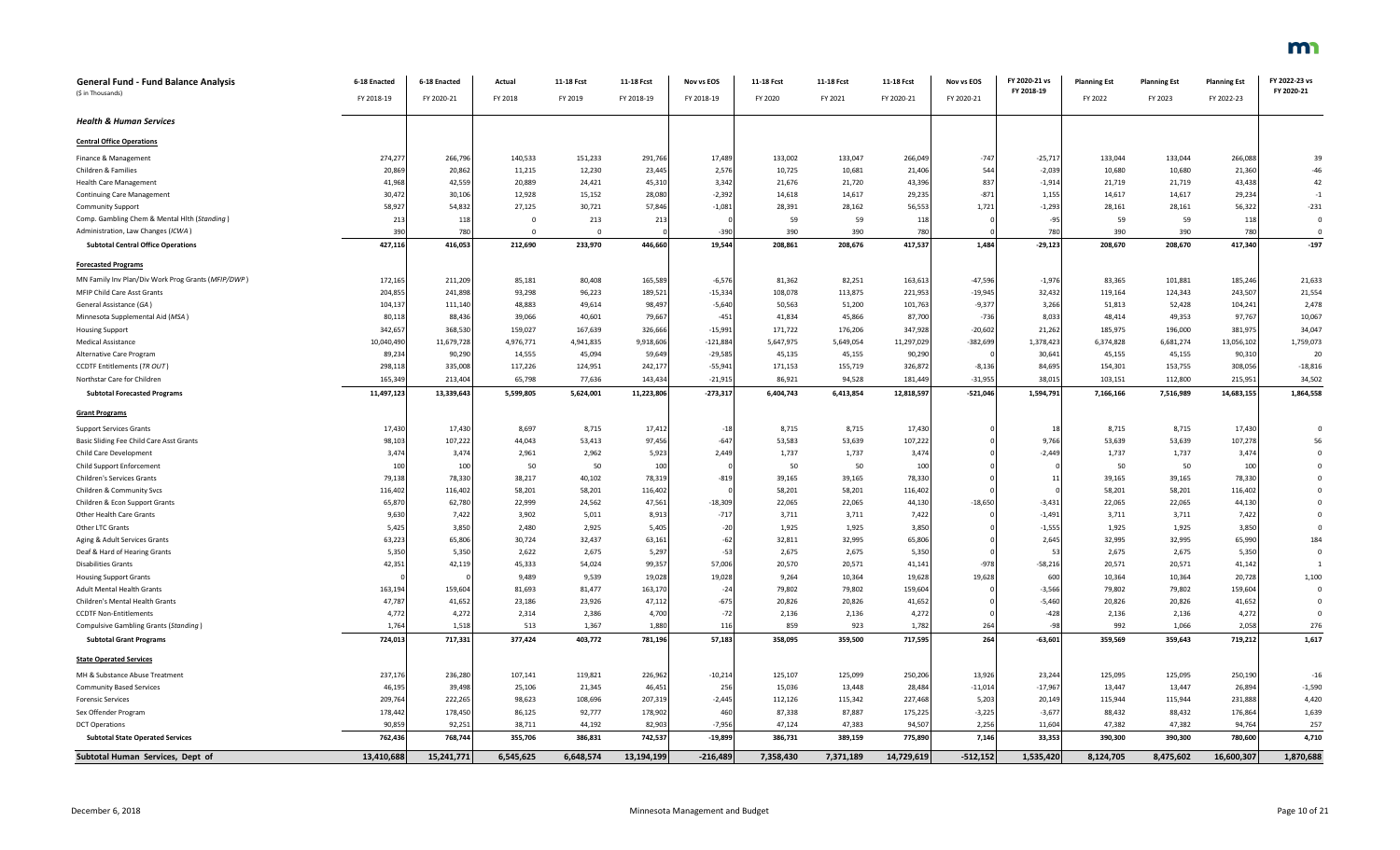| General Fund - Fund Balance Analysis               | 6-18 Enacted | 6-18 Enacted | Actual    | 11-18 Fcst | 11-18 Fcst | <b>Nov vs EOS</b> | 11-18 Fcst | 11-18 Fcst | 11-18 Fcst | Nov vs EOS | FY 2020-21 vs | <b>Planning Est</b> | <b>Planning Est</b> | <b>Planning Est</b> | FY 2022-23 vs |
|----------------------------------------------------|--------------|--------------|-----------|------------|------------|-------------------|------------|------------|------------|------------|---------------|---------------------|---------------------|---------------------|---------------|
| (\$ in Thousands)                                  | FY 2018-19   | FY 2020-21   | FY 2018   | FY 2019    | FY 2018-19 | FY 2018-19        | FY 2020    | FY 2021    | FY 2020-21 | FY 2020-21 | FY 2018-19    | FY 2022             | FY 2023             | FY 2022-23          | FY 2020-21    |
| <b>Health &amp; Human Services</b>                 |              |              |           |            |            |                   |            |            |            |            |               |                     |                     |                     |               |
| <b>Central Office Operations</b>                   |              |              |           |            |            |                   |            |            |            |            |               |                     |                     |                     |               |
| Finance & Management                               | 274,277      | 266,796      | 140,533   | 151,233    | 291,766    | 17,489            | 133,002    | 133,047    | 266,049    | $-747$     | $-25,717$     | 133,044             | 133,044             | 266,088             | 39            |
| Children & Families                                | 20,869       | 20,862       | 11,215    | 12,230     | 23,445     | 2,576             | 10.725     | 10,681     | 21,406     | 544        | $-2,039$      | 10,680              | 10,680              | 21,360              | $-46$         |
| <b>Health Care Management</b>                      | 41,968       | 42,559       | 20.889    | 24,421     | 45,310     | 3.342             | 21.676     | 21.720     | 43,396     | 837        | $-1,914$      | 21,719              | 21,719              | 43.438              | 42            |
| Continuing Care Management                         | 30,472       | 30,106       | 12.928    | 15,152     | 28,080     | $-2,392$          | 14.618     | 14.617     | 29,235     | $-871$     | 1,155         | 14.617              | 14,617              | 29,234              | $-1$          |
| Community Support                                  | 58,927       | 54,832       | 27,125    | 30,721     | 57,846     | $-1,081$          | 28,391     | 28,162     | 56,553     | 1,721      | $-1,293$      | 28,161              | 28,161              | 56,322              | $-231$        |
| Comp. Gambling Chem & Mental Hlth (Standing)       | 213          | 118          | $\Omega$  | 213        | 213        |                   | 59         | 59         | 118        |            | $-95$         | 59                  | 59                  | 118                 |               |
| Administration, Law Changes (ICWA)                 | 390          | 780          | $\Omega$  |            |            | $-390$            | 390        | 390        | 780        |            | 780           | 390                 | 390                 | 780                 | $\Omega$      |
| <b>Subtotal Central Office Operations</b>          | 427,116      | 416,053      | 212,690   | 233,970    | 446.660    | 19.544            | 208.861    | 208,676    | 417,537    | 1.484      | $-29,123$     | 208,670             | 208,670             | 417,340             | $-197$        |
| <b>Forecasted Programs</b>                         |              |              |           |            |            |                   |            |            |            |            |               |                     |                     |                     |               |
| MN Family Inv Plan/Div Work Prog Grants (MFIP/DWP) | 172,165      | 211,209      | 85,181    | 80,408     | 165,589    | $-6,576$          | 81,362     | 82,251     | 163,613    | $-47,596$  | $-1,976$      | 83,365              | 101,881             | 185,246             | 21,633        |
| <b>MFIP Child Care Asst Grants</b>                 | 204,855      | 241,898      | 93,298    | 96,223     | 189,521    | $-15,334$         | 108,078    | 113,875    | 221,953    | $-19,945$  | 32,432        | 119,164             | 124,343             | 243,507             | 21,554        |
| General Assistance (GA)                            | 104,137      | 111,140      | 48,883    | 49,614     | 98,497     | $-5,640$          | 50,563     | 51,200     | 101,763    | $-9,377$   | 3,266         | 51,813              | 52,428              | 104,241             | 2,478         |
| Minnesota Supplemental Aid (MSA)                   | 80,118       | 88,436       | 39,066    | 40,601     | 79,667     | $-451$            | 41.834     | 45.866     | 87,700     | $-736$     | 8,033         | 48,414              | 49,353              | 97,767              | 10,067        |
| <b>Housing Support</b>                             | 342,657      | 368,530      | 159,027   | 167,639    | 326,666    | $-15,991$         | 171.722    | 176,206    | 347,928    | $-20,602$  | 21,262        | 185,975             | 196,000             | 381,975             | 34,047        |
| <b>Medical Assistance</b>                          | 10,040,490   | 11,679,728   | 4.976.771 | 4,941,835  | 9,918,606  | $-121,884$        | 5,647,975  | 5,649,054  | 11,297,029 | $-382,699$ | 1,378,423     | 6,374,828           | 6,681,274           | 13,056,102          | 1,759,073     |
| <b>Alternative Care Program</b>                    | 89,234       | 90,290       | 14,555    | 45,094     | 59,649     | $-29,585$         | 45,135     | 45,155     | 90,290     |            | 30,641        | 45,155              | 45,155              | 90,310              | 20            |
| CCDTF Entitlements (TR OUT)                        | 298,118      | 335,008      | 117,226   | 124,951    | 242,177    | $-55,941$         | 171,153    | 155,719    | 326,872    | $-8,136$   | 84,695        | 154,301             | 153,755             | 308,056             | $-18,816$     |
| Northstar Care for Children                        | 165,349      | 213,404      | 65.798    | 77,636     | 143,434    | $-21,915$         | 86.921     | 94.528     | 181,449    | $-31,955$  | 38,015        | 103,151             | 112,800             | 215,95              | 34,502        |
| <b>Subtotal Forecasted Programs</b>                | 11,497,123   | 13,339,643   | 5,599,805 | 5,624,001  | 11,223,806 | $-273.317$        | 6,404,743  | 6,413,854  | 12,818,597 | $-521,046$ | 1,594,791     | 7,166,166           | 7,516,989           | 14,683,155          | 1,864,558     |
| <b>Grant Programs</b>                              |              |              |           |            |            |                   |            |            |            |            |               |                     |                     |                     |               |
| <b>Cunnart Consigns Grants</b>                     | 17 120       | 17 420       | 9.607     | $Q$ 715    | 17.112     | $-10$             | 9715       | $Q$ 715    | 17 120     |            | 1Q            | 9715                | 9715                | 17 420              |               |

| <b>Central Office Operations</b>                   |            |            |                |           |            |            |           |           |            |            |           |           |           |            |           |
|----------------------------------------------------|------------|------------|----------------|-----------|------------|------------|-----------|-----------|------------|------------|-----------|-----------|-----------|------------|-----------|
| Finance & Management                               | 274,277    | 266,796    | 140,533        | 151,233   | 291,766    | 17,489     | 133,002   | 133,047   | 266,049    | $-747$     | $-25,717$ | 133,044   | 133,044   | 266,088    | 39        |
| Children & Families                                | 20,869     | 20,862     | 11,215         | 12,230    | 23,445     | 2,576      | 10,725    | 10,681    | 21,406     | 544        | $-2,039$  | 10,680    | 10,680    | 21,360     |           |
| <b>Health Care Management</b>                      | 41,968     | 42,559     | 20,889         | 24,421    | 45,310     | 3,342      | 21,676    | 21,720    | 43,396     | 837        | $-1,914$  | 21,719    | 21,719    | 43,438     |           |
| Continuing Care Management                         | 30,472     | 30,106     | 12,928         | 15,152    | 28,080     | $-2,392$   | 14,618    | 14,617    | 29,235     | $-871$     | 1,155     | 14,617    | 14,617    | 29,234     | $-1$      |
| <b>Community Support</b>                           | 58,927     | 54,832     | 27,125         | 30,721    | 57,846     | $-1,081$   | 28,391    | 28,162    | 56,553     | 1,721      | $-1,293$  | 28,161    | 28,161    | 56,322     | $-231$    |
| Comp. Gambling Chem & Mental Hlth (Standing)       | 213        | 118        | $\overline{0}$ | 213       | 213        |            | 59        | 59        | 118        |            | $-95$     | 59        | 59        | 118        |           |
| Administration, Law Changes (ICWA)                 | 390        | 780        | $\Omega$       | $\Omega$  |            | $-390$     | 390       | 390       | 78         |            | 780       | 390       | 390       | 780        |           |
| <b>Subtotal Central Office Operations</b>          | 427,116    | 416,053    | 212,690        | 233,970   | 446,660    | 19,544     | 208,861   | 208,676   | 417,537    | 1,484      | $-29,123$ | 208,670   | 208,670   | 417,340    | $-197$    |
| <b>Forecasted Programs</b>                         |            |            |                |           |            |            |           |           |            |            |           |           |           |            |           |
| MN Family Inv Plan/Div Work Prog Grants (MFIP/DWP) | 172,165    | 211,209    | 85,181         | 80,408    | 165,589    | $-6,576$   | 81,362    | 82,251    | 163,613    | $-47,596$  | $-1,976$  | 83,365    | 101,881   | 185,246    | 21,633    |
| MFIP Child Care Asst Grants                        | 204,855    | 241,898    | 93,298         | 96,223    | 189,521    | $-15,334$  | 108,078   | 113,875   | 221,953    | $-19,945$  | 32,432    | 119,164   | 124,343   | 243,507    | 21,554    |
| General Assistance (GA)                            | 104,137    | 111,140    | 48,883         | 49,614    | 98,497     | $-5,640$   | 50,563    | 51,200    | 101,763    | $-9,377$   | 3,266     | 51,813    | 52,428    | 104,241    | 2,478     |
| Minnesota Supplemental Aid (MSA)                   | 80,118     | 88,436     | 39,066         | 40,601    | 79,667     | $-451$     | 41,834    | 45,866    | 87,700     | $-736$     | 8,033     | 48,414    | 49,353    | 97,767     | 10,067    |
| <b>Housing Support</b>                             | 342,657    | 368,530    | 159,027        | 167,639   | 326,666    | $-15,991$  | 171,722   | 176,206   | 347,928    | $-20,602$  | 21,262    | 185,975   | 196,000   | 381,975    | 34,047    |
| <b>Medical Assistance</b>                          | 10,040,490 | 11,679,728 | 4,976,771      | 4,941,835 | 9,918,606  | $-121,884$ | 5,647,975 | 5,649,054 | 11,297,029 | $-382,699$ | 1,378,423 | 6,374,828 | 6,681,274 | 13,056,102 | 1,759,073 |
| Alternative Care Program                           | 89,234     | 90,290     | 14,555         | 45,094    | 59,649     | $-29,585$  | 45,135    | 45,155    | 90,290     |            | 30,641    | 45,155    | 45,155    | 90,310     | 20        |
| CCDTF Entitlements (TR OUT)                        | 298,118    | 335,008    | 117,226        | 124,951   | 242,177    | $-55,941$  | 171,153   | 155,719   | 326,87     | $-8,136$   | 84,695    | 154,301   | 153,755   | 308,056    | $-18,816$ |
| Northstar Care for Children                        | 165,349    | 213,404    | 65,798         | 77,636    | 143,434    | $-21,915$  | 86,921    | 94,528    | 181,44     | $-31,955$  | 38,019    | 103,151   | 112,800   | 215,95:    | 34,502    |
| <b>Subtotal Forecasted Programs</b>                | 11,497,123 | 13,339,643 | 5,599,805      | 5,624,001 | 11,223,806 | $-273,317$ | 6,404,743 | 6,413,854 | 12,818,597 | $-521,046$ | 1,594,791 | 7,166,166 | 7,516,989 | 14,683,155 | 1,864,558 |
| <b>Grant Programs</b>                              |            |            |                |           |            |            |           |           |            |            |           |           |           |            |           |
| <b>Support Services Grants</b>                     | 17,430     | 17,430     | 8,697          | 8,715     | 17,412     | $-18$      | 8,715     | 8,715     | 17,430     |            | 18        | 8,715     | 8,715     | 17,430     |           |
| Basic Sliding Fee Child Care Asst Grants           | 98,103     | 107,222    | 44,043         | 53,413    | 97,456     | $-647$     | 53,583    | 53,639    | 107,222    |            | 9,766     | 53,639    | 53,639    | 107,278    |           |
| Child Care Development                             | 3,474      | 3,474      | 2,961          | 2,962     | 5,923      | 2,449      | 1,737     | 1,737     | 3,474      |            | $-2,449$  | 1,737     | 1,737     | 3,474      |           |
| Child Support Enforcement                          | 100        | 100        | 50             | 50        | 100        |            | 50        | 50        | 100        |            |           | 50        | 50        | 100        |           |
| <b>Children's Services Grants</b>                  | 79,138     | 78,330     | 38,217         | 40,102    | 78,319     | $-819$     | 39,165    | 39,165    | 78,330     |            | 11        | 39,165    | 39,165    | 78,330     |           |
| Children & Community Svcs                          | 116,402    | 116,402    | 58,201         | 58,201    | 116,402    |            | 58,201    | 58,201    | 116,402    |            |           | 58,201    | 58,201    | 116,402    |           |
| Children & Econ Support Grants                     | 65,870     | 62,780     | 22,999         | 24,562    | 47,561     | $-18,309$  | 22,065    | 22,065    | 44,130     | $-18,650$  | $-3,431$  | 22,065    | 22,065    | 44,130     |           |
| Other Health Care Grants                           | 9,630      | 7,422      | 3,902          | 5,011     | 8,913      | $-717$     | 3,711     | 3,711     | 7,422      |            | $-1,491$  | 3,711     | 3,711     | 7,422      |           |
| Other LTC Grants                                   | 5,425      | 3,850      | 2,480          | 2,925     | 5,405      | $-20$      | 1,925     | 1,925     | 3,850      |            | $-1,555$  | 1,925     | 1,925     | 3,850      |           |
| Aging & Adult Services Grants                      | 63,223     | 65,806     | 30,724         | 32,437    | 63,161     | $-62$      | 32,811    | 32,995    | 65,806     |            | 2,645     | 32,995    | 32,995    | 65,990     | 184       |
| Deaf & Hard of Hearing Grants                      | 5,350      | 5,350      | 2,622          | 2,675     | 5,297      | $-53$      | 2,675     | 2,675     | 5,350      |            | - 53      | 2,675     | 2,675     | 5,350      |           |
| <b>Disabilities Grants</b>                         | 42,351     | 42,119     | 45,333         | 54,024    | 99,357     | 57,006     | 20,570    | 20,571    | 41,141     | $-978$     | $-58,216$ | 20,571    | 20,571    | 41,142     |           |
| <b>Housing Support Grants</b>                      |            |            | 9,489          | 9,539     | 19,028     | 19,028     | 9,264     | 10,364    | 19,628     | 19,628     | 600       | 10,364    | 10,364    | 20,728     | 1,100     |
| <b>Adult Mental Health Grants</b>                  | 163,194    | 159,604    | 81,693         | 81,477    | 163,170    | $-24$      | 79,802    | 79,802    | 159,604    |            | $-3,566$  | 79,802    | 79,802    | 159,604    |           |
| Children's Mental Health Grants                    | 47,787     | 41,652     | 23,186         | 23,926    | 47,112     | $-675$     | 20,826    | 20,826    | 41,652     |            | $-5,460$  | 20,826    | 20,826    | 41,652     |           |
| <b>CCDTF Non-Entitlements</b>                      | 4,772      | 4,272      | 2,314          | 2,386     | 4,700      | $-72$      | 2,136     | 2,136     | 4,272      |            | $-428$    | 2,136     | 2,136     | 4,272      |           |
| Compulsive Gambling Grants (Standing)              | 1,764      | 1,518      | 513            | 1,367     | 1,880      | 116        | 859       | 923       | 1,782      | 264        | $-98$     | 992       | 1,066     | 2,058      | 276       |
| <b>Subtotal Grant Programs</b>                     | 724,013    | 717,331    | 377,424        | 403,772   | 781,196    | 57,183     | 358,095   | 359,500   | 717,595    | 264        | $-63,601$ | 359,569   | 359,643   | 719,212    | 1,617     |
| <b>State Operated Services</b>                     |            |            |                |           |            |            |           |           |            |            |           |           |           |            |           |
| MH & Substance Abuse Treatment                     | 237,176    | 236,280    | 107,141        | 119,821   | 226,962    | $-10,214$  | 125,107   | 125,099   | 250,206    | 13,926     | 23,244    | 125,095   | 125,095   | 250,190    | $-16$     |
| <b>Community Based Services</b>                    | 46,195     | 39,498     | 25,106         | 21,345    | 46,451     | 256        | 15,036    | 13,448    | 28,484     | $-11,014$  | $-17,967$ | 13,447    | 13,447    | 26,894     | $-1,590$  |
| <b>Forensic Services</b>                           | 209,764    | 222,265    | 98,623         | 108,696   | 207,319    | $-2,445$   | 112,126   | 115,342   | 227,468    | 5,203      | 20,149    | 115,944   | 115,944   | 231,888    | 4,420     |
| Sex Offender Program                               | 178,442    | 178,450    | 86,125         | 92,777    | 178,902    | 460        | 87,338    | 87,887    | 175,225    | $-3,225$   | $-3,677$  | 88,432    | 88,432    | 176,864    | 1,639     |
| <b>DCT Operations</b>                              | 90,859     | 92,251     | 38,711         | 44,192    | 82,903     | $-7,956$   | 47,124    | 47,383    | 94,507     | 2,256      | 11,604    | 47,382    | 47,382    | 94,764     | 257       |
| <b>Subtotal State Operated Services</b>            | 762,436    | 768,744    | 355,706        | 386,831   | 742,537    | $-19,899$  | 386,731   | 389,159   | 775,890    | 7,146      | 33,353    | 390,300   | 390,300   | 780,600    | 4,710     |
| Subtotal Human Services, Dept of                   | 13,410,688 | 15,241,771 | 6,545,625      | 6,648,574 | 13,194,199 | $-216,489$ | 7,358,430 | 7,371,189 | 14,729,619 | $-512,152$ | 1,535,420 | 8,124,705 | 8,475,602 | 16,600,307 | 1,870,688 |
|                                                    |            |            |                |           |            |            |           |           |            |            |           |           |           |            |           |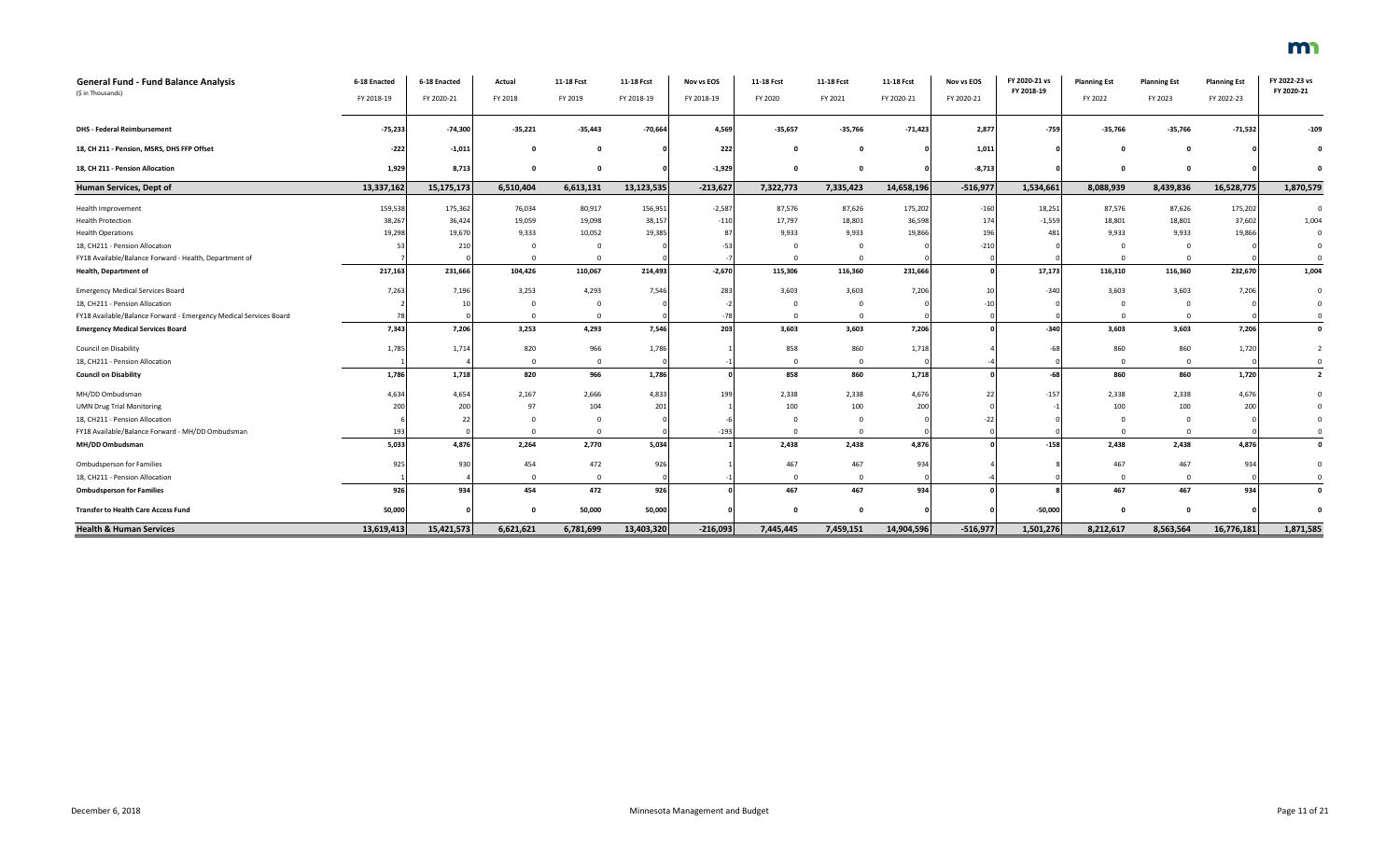| <b>General Fund - Fund Balance Analysis</b>                       | 6-18 Enacted | 6-18 Enacted | Actual      | 11-18 Fcst  | 11-18 Fcst | Nov vs EOS | 11-18 Fcst | 11-18 Fcst   | 11-18 Fcst | Nov vs EOS | FY 2020-21 vs | <b>Planning Est</b> | <b>Planning Est</b> | <b>Planning Est</b> | FY 2022-23 vs<br>FY 2020-21 |
|-------------------------------------------------------------------|--------------|--------------|-------------|-------------|------------|------------|------------|--------------|------------|------------|---------------|---------------------|---------------------|---------------------|-----------------------------|
| (\$ in Thousands)                                                 | FY 2018-19   | FY 2020-21   | FY 2018     | FY 2019     | FY 2018-19 | FY 2018-19 | FY 2020    | FY 2021      | FY 2020-21 | FY 2020-21 | FY 2018-19    | FY 2022             | FY 2023             | FY 2022-23          |                             |
| <b>DHS - Federal Reimbursement</b>                                | $-75,233$    | $-74,300$    | $-35,221$   | $-35,443$   | $-70,664$  | 4,569      | $-35,657$  | $-35,766$    | $-71,423$  | 2,877      | $-759$        | $-35,766$           | $-35,766$           | $-71,532$           | $-109$                      |
| 18, CH 211 - Pension, MSRS, DHS FFP Offset                        | $-222$       | $-1,011$     | $\mathbf 0$ |             |            | 222        |            | $\Omega$     |            | 1,011      |               |                     | $\Omega$            |                     |                             |
| 18, CH 211 - Pension Allocation                                   | 1,929        | 8,713        | $\Omega$    | O           |            | $-1,929$   | $\Omega$   | $\Omega$     |            | $-8,713$   |               |                     | $\Omega$            |                     |                             |
| Human Services, Dept of                                           | 13,337,162   | 15,175,173   | 6,510,404   | 6,613,131   | 13,123,535 | $-213,627$ | 7,322,773  | 7,335,423    | 14,658,196 | $-516,977$ | 1,534,661     | 8,088,939           | 8,439,836           | 16,528,775          | 1,870,579                   |
| Health Improvement                                                | 159,538      | 175,362      | 76,034      | 80,917      | 156,951    | $-2,587$   | 87,576     | 87,626       | 175,202    | $-160$     | 18,251        | 87,576              | 87,626              | 175,202             |                             |
| <b>Health Protection</b>                                          | 38,267       | 36,424       | 19,059      | 19,098      | 38,157     | $-110$     | 17,797     | 18,801       | 36,598     | 174        | $-1,559$      | 18,801              | 18,801              | 37,602              | 1,004                       |
| <b>Health Operations</b>                                          | 19,298       | 19,670       | 9,333       | 10,052      | 19,385     |            | 9,933      | 9,933        | 19,866     | 196        | 481           | 9,933               | 9,933               | 19,866              |                             |
| 18, CH211 - Pension Allocation                                    | 53           | 210          | $\Omega$    | $\Omega$    |            |            | $\Omega$   | $\Omega$     |            | $-210$     |               |                     | $^{\circ}$          |                     |                             |
| FY18 Available/Balance Forward - Health, Department of            |              |              | $\Omega$    | $\Omega$    |            |            | $\Omega$   | $\Omega$     |            |            |               |                     | $\Omega$            |                     |                             |
| Health, Department of                                             | 217,163      | 231,666      | 104,426     | 110,067     | 214,493    | $-2,670$   | 115,306    | 116,360      | 231,666    |            | 17,173        | 116,310             | 116,360             | 232,670             | 1,004                       |
| <b>Emergency Medical Services Board</b>                           | 7,263        | 7,196        | 3,253       | 4,293       | 7,546      | 283        | 3,603      | 3,603        | 7,206      |            | $-340$        | 3,603               | 3,603               | 7,206               |                             |
| 18, CH211 - Pension Allocation                                    |              |              |             |             |            |            |            |              |            |            |               |                     | $\Omega$            |                     |                             |
| FY18 Available/Balance Forward - Emergency Medical Services Board |              |              |             |             |            |            | $\Omega$   | $\Omega$     |            |            |               |                     | $\Omega$            |                     |                             |
| <b>Emergency Medical Services Board</b>                           | 7,343        | 7,206        | 3,253       | 4,293       | 7,546      | 203        | 3,603      | 3,603        | 7,206      |            | $-340$        | 3,603               | 3,603               | 7,206               |                             |
| <b>Council on Disability</b>                                      | 1,785        | 1,714        | 820         | 966         | 1,786      |            | 858        | 860          | 1,718      |            | $-6$          | 860                 | 860                 | 1,720               |                             |
| 18, CH211 - Pension Allocation                                    |              |              | $\Omega$    | $\mathbf 0$ |            |            | $\Omega$   | $\mathbf{0}$ |            |            |               |                     | $\mathbf{0}$        |                     |                             |
| <b>Council on Disability</b>                                      | 1,786        | 1,718        | 820         | 966         | 1,786      |            | 858        | 860          | 1,718      |            | $-68$         | 860                 | 860                 | 1,720               | $\overline{2}$              |
| MH/DD Ombudsman                                                   | 4,634        | 4,654        | 2,167       | 2,666       | 4,833      | 199        | 2,338      | 2,338        | 4,676      |            | $-157$        | 2,338               | 2,338               | 4,676               |                             |
| <b>UMN Drug Trial Monitoring</b>                                  | 200          | 200          | 97          | 104         | 201        |            | 100        | 100          | 200        |            |               | 100                 | 100                 | 200                 |                             |
| 18, CH211 - Pension Allocation                                    |              |              |             |             |            |            |            |              |            |            |               |                     | $\Omega$            |                     |                             |
| FY18 Available/Balance Forward - MH/DD Ombudsman                  | 193          |              |             |             |            | $-193$     |            | $\Omega$     |            |            |               |                     | $\Omega$            |                     |                             |
| MH/DD Ombudsman                                                   | 5,033        | 4,876        | 2.264       | 2.770       | 5,034      |            | 2,438      | 2,438        | 4,876      |            | $-158$        | 2,438               | 2,438               | 4,876               |                             |
| <b>Ombudsperson for Families</b>                                  | 925          | 930          | 454         | 472         | 926        |            | 467        | 467          | 934        |            |               | 467                 | 467                 | 934                 |                             |
| 18, CH211 - Pension Allocation                                    |              |              | $\Omega$    | $\Omega$    |            |            | $\Omega$   | $\Omega$     |            |            |               |                     | $\Omega$            |                     |                             |
| <b>Ombudsperson for Families</b>                                  | 926          | 934          | 454         | 472         | 926        |            | 467        | 467          | 934        |            |               | 467                 | 467                 | 934                 |                             |
| <b>Transfer to Health Care Access Fund</b>                        | 50,000       |              | $\Omega$    | 50,000      | 50,000     |            | n          | $\Omega$     |            |            | $-50,000$     |                     | $\Omega$            |                     |                             |
| <b>Health &amp; Human Services</b>                                | 13,619,413   | 15,421,573   | 6,621,621   | 6,781,699   | 13,403,320 | $-216,093$ | 7,445,445  | 7,459,151    | 14,904,596 | $-516,977$ | 1,501,276     | 8,212,617           | 8,563,564           | 16,776,181          | 1,871,585                   |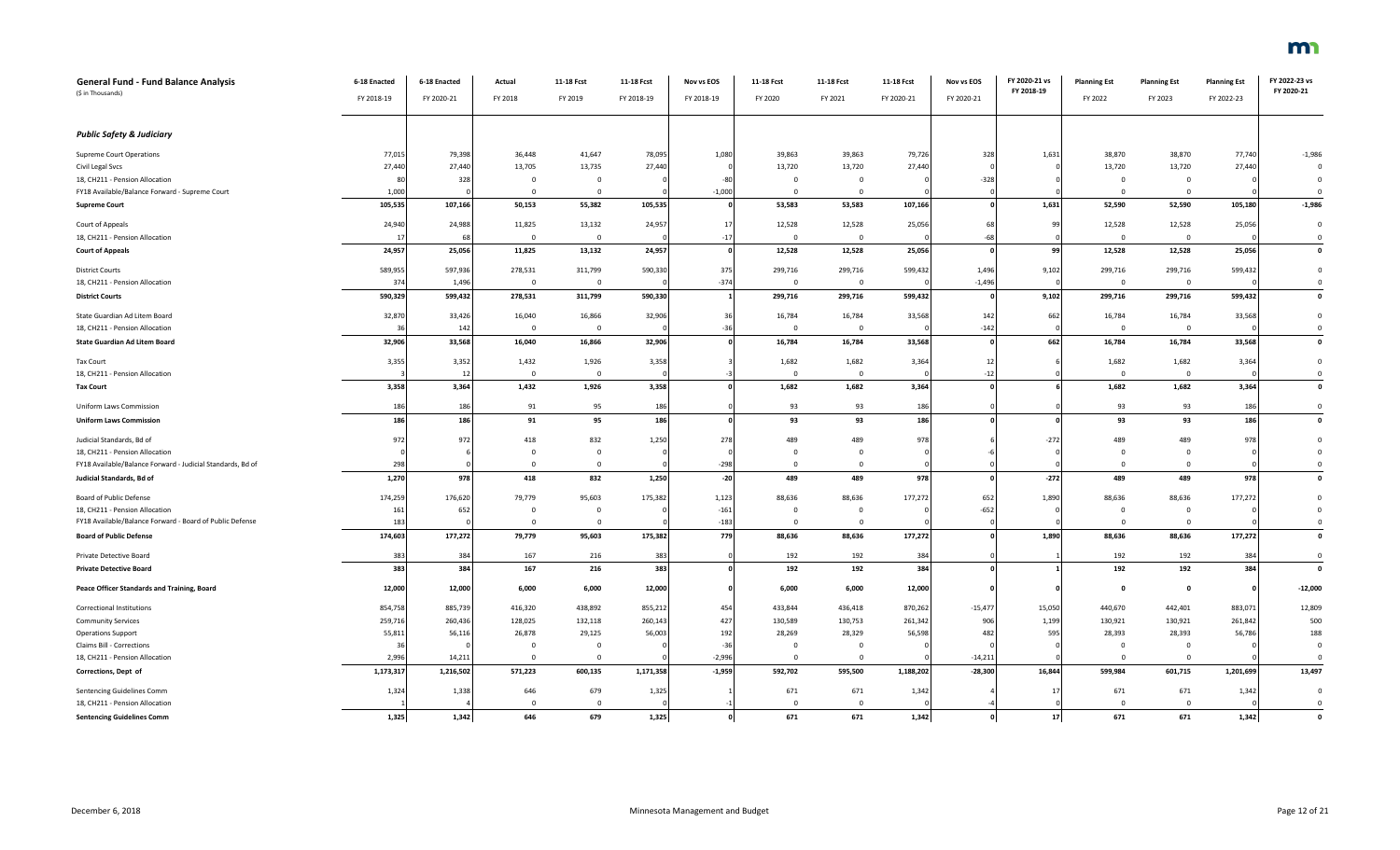| <b>General Fund - Fund Balance Analysis</b><br>(\$ in Thousands) | 6-18 Enacted<br>FY 2018-19 | 6-18 Enacted<br>FY 2020-21 | Actual<br>FY 2018       | 11-18 Fcst<br>FY 2019    | 11-18 Fcst<br>FY 2018-19 | Nov vs EOS<br>FY 2018-19 | 11-18 Fcst<br>FY 2020 | 11-18 Fcst<br>FY 2021    | 11-18 Fcst<br>FY 2020-21 | Nov vs EOS<br>FY 2020-21 | FY 2020-21 vs<br>FY 2018-19 | <b>Planning Est</b><br>FY 2022 | <b>Planning Est</b><br>FY 2023 | <b>Planning Est</b><br>FY 2022-23 | FY 2022-23 vs<br>FY 2020-21 |
|------------------------------------------------------------------|----------------------------|----------------------------|-------------------------|--------------------------|--------------------------|--------------------------|-----------------------|--------------------------|--------------------------|--------------------------|-----------------------------|--------------------------------|--------------------------------|-----------------------------------|-----------------------------|
| <b>Public Safety &amp; Judiciary</b>                             |                            |                            |                         |                          |                          |                          |                       |                          |                          |                          |                             |                                |                                |                                   |                             |
|                                                                  |                            |                            |                         |                          |                          |                          |                       |                          |                          |                          |                             |                                |                                |                                   |                             |
| <b>Supreme Court Operations</b>                                  | 77,015                     | 79,398                     | 36,448                  | 41,647                   | 78,095                   | 1,080                    | 39,863<br>13,720      | 39,863                   | 79,726                   | 328                      | 1,631                       | 38,870                         | 38,870<br>13,720               | 77,740<br>27,440                  | $-1,986$<br>$\Omega$        |
| Civil Legal Svcs<br>18, CH211 - Pension Allocation               | 27,440<br>80               | 27,440<br>328              | 13,705<br>0             | 13,735<br>$\overline{0}$ | 27,440                   | $-80$                    | $\mathbf 0$           | 13,720<br>$\overline{0}$ | 27,440                   | $-328$                   |                             | 13,720<br>$^{\circ}$           | 0                              |                                   | $^{\circ}$                  |
| FY18 Available/Balance Forward - Supreme Court                   | 1,000                      |                            | $\Omega$                | $\Omega$                 |                          | $-1,000$                 | $\Omega$              | $\Omega$                 |                          |                          |                             | $\Omega$                       | $\Omega$                       |                                   | $\Omega$                    |
| <b>Supreme Court</b>                                             | 105,535                    | 107,166                    | 50,153                  | 55,382                   | 105,535                  |                          | 53,583                | 53,583                   | 107,166                  |                          | 1,631                       | 52,590                         | 52,590                         | 105,180                           | $-1,986$                    |
| Court of Appeals                                                 | 24,940                     | 24,988                     | 11,825                  | 13,132                   | 24,957                   | 17                       | 12,528                | 12,528                   | 25,056                   | 63                       | 99                          | 12,528                         | 12,528                         | 25,056                            | $\mathbf 0$                 |
| 18, CH211 - Pension Allocation                                   | 1                          |                            | $\overline{0}$          | $\overline{0}$           |                          | $-17$                    | $\overline{0}$        | $\mathbf{0}$             |                          | -6                       |                             | $\mathbf{0}$                   | $\overline{0}$                 |                                   | $\mathbf 0$                 |
| <b>Court of Appeals</b>                                          | 24,957                     | 25,056                     | 11,825                  | 13,132                   | 24,957                   |                          | 12,528                | 12,528                   | 25,056                   |                          | 99                          | 12,528                         | 12,528                         | 25,056                            | $\pmb{\mathsf{o}}$          |
| <b>District Courts</b>                                           | 589,955                    | 597,936                    | 278,531                 | 311,799                  | 590,330                  | 375                      | 299,716               | 299,716                  | 599,432                  | 1,496                    | 9,102                       | 299,716                        | 299,716                        | 599,432                           | $\mathbf 0$                 |
| 18, CH211 - Pension Allocation                                   | 374                        | 1,496                      | $\mathbf 0$             | $\overline{0}$           |                          | $-374$                   | $\Omega$              | $\overline{0}$           |                          | $-1,496$                 |                             | $^{\circ}$                     | $\mathbf{0}$                   |                                   | $\mathbf 0$                 |
| <b>District Courts</b>                                           | 590,329                    | 599,432                    | 278,531                 | 311,799                  | 590,330                  |                          | 299,716               | 299,716                  | 599,432                  |                          | 9,102                       | 299,716                        | 299,716                        | 599,432                           | $\pmb{\mathsf{o}}$          |
| State Guardian Ad Litem Board                                    | 32,870                     | 33,426                     | 16,040                  | 16,866                   | 32,906                   | 36                       | 16,784                | 16,784                   | 33,568                   | 142                      | 662                         | 16,784                         | 16,784                         | 33,568                            | $\mathbf 0$                 |
| 18, CH211 - Pension Allocation                                   | 36                         | 142                        | $\overline{0}$          | $\overline{0}$           |                          | $-36$                    | $\overline{0}$        | $\overline{0}$           |                          | $-142$                   |                             | $\Omega$                       | $\overline{0}$                 |                                   | $\mathbf 0$                 |
| <b>State Guardian Ad Litem Board</b>                             | 32,906                     | 33,568                     | 16,040                  | 16,866                   | 32,906                   |                          | 16,784                | 16,784                   | 33,568                   |                          | 662                         | 16,784                         | 16,784                         | 33,568                            | $\pmb{\mathsf{o}}$          |
| Tax Court                                                        | 3,355                      | 3,352                      | 1,432                   | 1,926                    | 3,358                    |                          | 1,682                 | 1,682                    | 3,364                    | 12                       |                             | 1,682                          | 1,682                          | 3,364                             | $\overline{0}$              |
| 18, CH211 - Pension Allocation                                   |                            | 12                         | $\overline{\mathbf{0}}$ | $\overline{0}$           |                          |                          | $\overline{0}$        | $\overline{0}$           |                          | $-12$                    |                             | $\Omega$                       | $\overline{0}$                 |                                   | $\mathbf 0$                 |
| <b>Tax Court</b>                                                 | 3,358                      | 3,364                      | 1,432                   | 1,926                    | 3,358                    |                          | 1,682                 | 1,682                    | 3,364                    |                          |                             | 1,682                          | 1,682                          | 3,364                             | $\mathbf 0$                 |
| Uniform Laws Commission                                          | 186                        | 186                        | 91                      | 95                       | 186                      |                          | 93                    | 93                       | 186                      |                          |                             | 93                             | 93                             | 186                               | $\mathbf 0$                 |
| <b>Uniform Laws Commission</b>                                   | 186                        | 186                        | 91                      | 95                       | 186                      |                          | 93                    | 93                       | 186                      |                          |                             | 93                             | 93                             | 186                               | $\mathbf{0}$                |
| Judicial Standards, Bd of                                        | 972                        | 972                        | 418                     | 832                      | 1,250                    | 278                      | 489                   | 489                      | 978                      |                          | $-272$                      | 489                            | 489                            | 978                               | $\mathbf 0$                 |
| 18, CH211 - Pension Allocation                                   |                            |                            | $\mathbf 0$             | $\overline{0}$           |                          |                          | $\Omega$              | $\overline{0}$           |                          |                          |                             | $\Omega$                       | $\overline{0}$                 |                                   | $\Omega$                    |
| FY18 Available/Balance Forward - Judicial Standards, Bd of       | 298                        |                            | $\Omega$                | $\overline{0}$           |                          | $-298$                   | $\Omega$              | $\Omega$                 |                          |                          |                             | $\Omega$                       | $\Omega$                       |                                   | $\Omega$                    |
| Judicial Standards, Bd of                                        | 1,270                      | 978                        | 418                     | 832                      | 1,250                    | $-20$                    | 489                   | 489                      | 978                      |                          | $-272$                      | 489                            | 489                            | 978                               | $\pmb{\mathsf{o}}$          |
| Board of Public Defense                                          | 174,259                    | 176,620                    | 79,779                  | 95,603                   | 175,382                  | 1,123                    | 88,636                | 88,636                   | 177,27                   | 652                      | 1,890                       | 88,636                         | 88,636                         | 177,272                           | $\Omega$                    |
| 18, CH211 - Pension Allocation                                   | 161                        | 652                        | $^{\circ}$              | $\mathbf{0}$             |                          | $-161$                   | $\overline{0}$        | $\mathbf{0}$             |                          | $-652$                   |                             | $\mathbf 0$                    | $\overline{0}$                 |                                   | $\mathbf{0}$                |
| FY18 Available/Balance Forward - Board of Public Defense         | 183                        |                            | $\Omega$                | $\Omega$                 |                          | $-183$                   | $\Omega$              | $\Omega$                 |                          |                          |                             | $\mathbf 0$                    | $^{\circ}$                     |                                   | $\mathbf 0$                 |
| <b>Board of Public Defense</b>                                   | 174,603                    | 177,272                    | 79,779                  | 95,603                   | 175,382                  | 779                      | 88,636                | 88,636                   | 177,272                  |                          | 1,890                       | 88,636                         | 88,636                         | 177,272                           | $\mathbf 0$                 |
| Private Detective Board                                          | 383                        | 384                        | 167                     | 216                      | 383                      |                          | 192                   | 192                      | 384                      |                          |                             | 192                            | 192                            | 384                               | $\overline{0}$              |
| <b>Private Detective Board</b>                                   | 383                        | 384                        | 167                     | 216                      | 383                      |                          | 192                   | 192                      | 384                      |                          |                             | 192                            | 192                            | 384                               | $\mathbf{0}$                |
| Peace Officer Standards and Training, Board                      | 12,000                     | 12,000                     | 6,000                   | 6,000                    | 12,000                   |                          | 6,000                 | 6,000                    | 12,000                   |                          |                             | $\Omega$                       | $\mathbf 0$                    |                                   | $-12,000$                   |
| Correctional Institutions                                        | 854,758                    | 885,739                    | 416,320                 | 438,892                  | 855,212                  | 454                      | 433,844               | 436,418                  | 870,262                  | $-15,477$                | 15,050                      | 440,670                        | 442,401                        | 883,071                           | 12,809                      |
| <b>Community Services</b>                                        | 259,716                    | 260,436                    | 128,025                 | 132,118                  | 260,143                  | 427                      | 130,589               | 130,753                  | 261,342                  | 906                      | 1,199                       | 130,921                        | 130,921                        | 261,842                           | 500                         |
| <b>Operations Support</b>                                        | 55,811                     | 56,11                      | 26,878                  | 29,125                   | 56,003                   | 192                      | 28,269                | 28,329                   | 56,598                   | 482                      | 595                         | 28,393                         | 28,393                         | 56,786                            | 188                         |
| Claims Bill - Corrections                                        | 36                         |                            | $^{\circ}$              | $\mathbf{0}$             |                          | $-36$                    | $\overline{0}$        | $\mathbf{0}$             |                          |                          |                             | $\mathbf 0$                    | $\overline{0}$                 |                                   | $\mathbf 0$                 |
| 18, CH211 - Pension Allocation                                   | 2,996                      | 14,211                     | $\mathbf{0}$            | $\overline{0}$           |                          | $-2,996$                 | $\Omega$              | $\mathbf{0}$             |                          | $-14,211$                |                             | $\Omega$                       | $\Omega$                       |                                   | $\overline{0}$              |
| Corrections, Dept of                                             | 1,173,317                  | 1,216,502                  | 571,223                 | 600,135                  | 1,171,358                | $-1,959$                 | 592,702               | 595,500                  | 1,188,202                | $-28,300$                | 16,844                      | 599,984                        | 601,715                        | 1,201,699                         | 13,497                      |
| Sentencing Guidelines Comm                                       | 1,324                      | 1,338                      | 646                     | 679                      | 1,325                    |                          | 671                   | 671                      | 1,342                    |                          | $\overline{1}$              | 671                            | 671                            | 1,342                             | $\mathbf 0$                 |
| 18, CH211 - Pension Allocation                                   |                            |                            | $\Omega$                | $\Omega$                 |                          |                          | $\Omega$              | $\Omega$                 |                          |                          |                             | $\Omega$                       | $\Omega$                       |                                   | $\Omega$                    |

**Sentencing Guidelines Comm 1,325 1,342 646 679 1,325 0 671 671 1,342 0 17 671 671 1,342 0**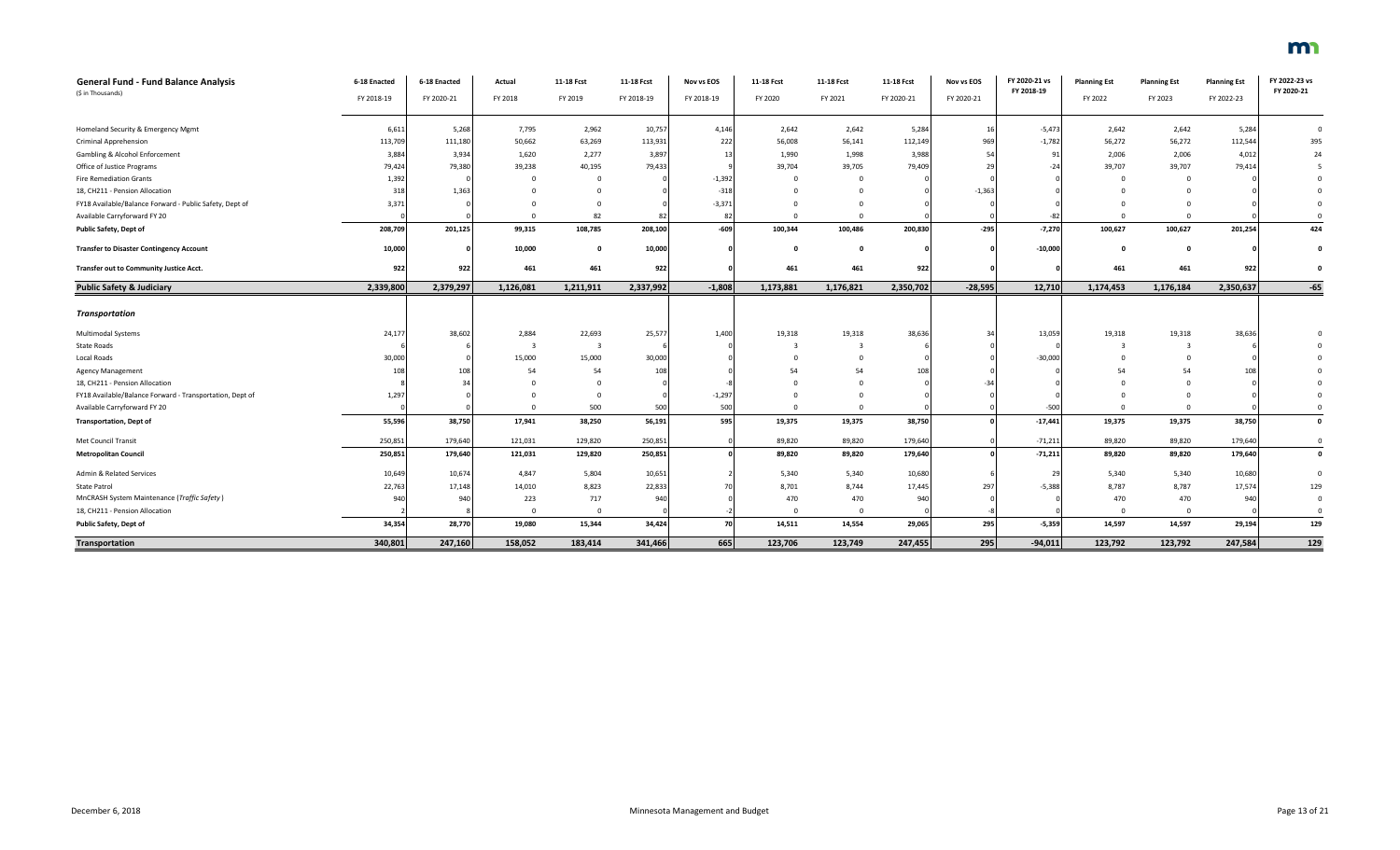| <b>General Fund - Fund Balance Analysis</b>              | 6-18 Enacted | 6-18 Enacted | Actual                  | 11-18 Fcst     | 11-18 Fcst | Nov vs EOS | 11-18 Fcst | 11-18 Fcst   | 11-18 Fcst | Nov vs EOS | FY 2020-21 vs | <b>Planning Est</b> | <b>Planning Est</b> | <b>Planning Est</b> | FY 2022-23 vs |
|----------------------------------------------------------|--------------|--------------|-------------------------|----------------|------------|------------|------------|--------------|------------|------------|---------------|---------------------|---------------------|---------------------|---------------|
| (\$ in Thousands)                                        | FY 2018-19   | FY 2020-21   | FY 2018                 | FY 2019        | FY 2018-19 | FY 2018-19 | FY 2020    | FY 2021      | FY 2020-21 | FY 2020-21 | FY 2018-19    | FY 2022             | FY 2023             | FY 2022-23          | FY 2020-21    |
|                                                          |              |              |                         |                |            |            |            |              |            |            |               |                     |                     |                     |               |
| Homeland Security & Emergency Mgmt                       | 6,611        | 5,268        | 7,795                   | 2,962          | 10,757     | 4,146      | 2,642      | 2,642        | 5,284      | 16         | $-5,473$      | 2,642               | 2,642               | 5,284               | $\mathbf{0}$  |
| Criminal Apprehension                                    | 113,709      | 111,180      | 50,662                  | 63,269         | 113,931    | 222        | 56,008     | 56,141       | 112,149    | 969        | $-1,782$      | 56,272              | 56,272              | 112,544             | 395           |
| Gambling & Alcohol Enforcement                           | 3,884        | 3,934        | 1,620                   | 2,277          | 3,897      | 13         | 1,990      | 1,998        | 3,988      | 54         | 91            | 2,006               | 2,006               | 4,012               | 24            |
| Office of Justice Programs                               | 79,424       | 79,380       | 39,238                  | 40,195         | 79,433     |            | 39,704     | 39,705       | 79,409     | 29         | $-24$         | 39,707              | 39,707              | 79,414              |               |
| <b>Fire Remediation Grants</b>                           | 1,392        |              |                         | $\Omega$       |            | $-1,392$   | - 0        | $\Omega$     |            |            |               | - 0                 | - 0                 |                     |               |
| 18, CH211 - Pension Allocation                           | 318          | 1,363        |                         |                |            | $-318$     |            |              |            | $-1,363$   |               |                     |                     |                     |               |
| FY18 Available/Balance Forward - Public Safety, Dept of  | 3,371        |              |                         | $\Omega$       |            | $-3,371$   |            |              |            |            |               |                     |                     |                     |               |
| Available Carryforward FY 20                             |              |              |                         | 82             | 82         | 82         |            | $\Omega$     |            |            |               | $\Omega$            | $\Omega$            |                     |               |
| Public Safety, Dept of                                   | 208,709      | 201,125      | 99,315                  | 108,785        | 208,100    | $-609$     | 100,344    | 100,486      | 200,830    | $-295$     | $-7,270$      | 100,627             | 100,627             | 201,254             | 424           |
| <b>Transfer to Disaster Contingency Account</b>          | 10,000       |              | 10,000                  | $\Omega$       | 10,000     |            | $\Omega$   | $\Omega$     |            |            | $-10,000$     | $\Omega$            | $\mathbf{0}$        |                     |               |
| <b>Transfer out to Community Justice Acct.</b>           | 922          | 922          | 461                     | 461            | 922        |            | 461        | 461          | 922        |            |               | 461                 | 461                 | 922                 |               |
| <b>Public Safety &amp; Judiciary</b>                     | 2,339,800    | 2,379,297    | 1,126,081               | 1,211,911      | 2,337,992  | $-1,808$   | 1,173,881  | 1,176,821    | 2,350,702  | $-28,595$  | 12,710        | 1,174,453           | 1,176,184           | 2,350,637           | $-65$         |
|                                                          |              |              |                         |                |            |            |            |              |            |            |               |                     |                     |                     |               |
| Transportation                                           |              |              |                         |                |            |            |            |              |            |            |               |                     |                     |                     |               |
| Multimodal Systems                                       | 24,177       | 38,602       | 2,884                   | 22,693         | 25,577     | 1,400      | 19,318     | 19,318       | 38,636     | 34         | 13,059        | 19,318              | 19,318              | 38,636              |               |
| State Roads                                              |              |              | $\overline{\mathbf{3}}$ | $\overline{3}$ |            |            |            | 3            |            |            |               | $\mathbf{B}$        | -3                  |                     |               |
| Local Roads                                              | 30,000       |              | 15,000                  | 15,000         | 30,000     |            |            | $\Omega$     |            |            | $-30,000$     |                     | $\Omega$            |                     |               |
| <b>Agency Management</b>                                 | 108          | 108          | 54                      | 54             | 108        |            | 54         | 54           | 108        |            |               | 54                  | 54                  | 108                 |               |
| 18, CH211 - Pension Allocation                           |              |              |                         | $\Omega$       |            |            |            | $\Omega$     |            |            |               |                     |                     |                     |               |
| FY18 Available/Balance Forward - Transportation, Dept of | 1,297        |              |                         | $\mathbf{0}$   |            | $-1,297$   |            | $\Omega$     |            |            |               | $\Omega$            |                     |                     |               |
| Available Carryforward FY 20                             |              |              | $\Omega$                | 500            | 500        | 500        | $\Omega$   | $\mathbf{0}$ |            |            | $-500$        | $\Omega$            | $\Omega$            |                     |               |
| <b>Transportation, Dept of</b>                           | 55,596       | 38,750       | 17,941                  | 38,250         | 56,191     | 595        | 19,375     | 19,375       | 38,750     |            | $-17,441$     | 19,375              | 19,375              | 38,750              | $\mathbf{o}$  |
| Met Council Transit                                      | 250,851      | 179,640      | 121,031                 | 129,820        | 250,851    |            | 89,820     | 89,820       | 179,640    |            | $-71,211$     | 89,820              | 89,820              | 179,640             | $\mathbf 0$   |
| <b>Metropolitan Council</b>                              | 250,851      | 179,640      | 121,031                 | 129,820        | 250,851    |            | 89,820     | 89,820       | 179,640    |            | $-71,211$     | 89,820              | 89,820              | 179,640             | $\mathbf 0$   |
| Admin & Related Services                                 | 10,649       | 10,674       | 4,847                   | 5,804          | 10,651     |            | 5,340      | 5,340        | 10,680     |            | - 29          | 5,340               | 5,340               | 10,680              |               |
| State Patrol                                             | 22,763       | 17,148       | 14,010                  | 8,823          | 22,833     |            | 8,701      | 8,744        | 17,445     | 297        | $-5,388$      | 8,787               | 8,787               | 17,574              | 129           |
| MnCRASH System Maintenance (Traffic Safety)              | 940          | 940          | 223                     | 717            | 940        |            | 470        | 470          | 940        |            |               | 470                 | 470                 | 940                 | 0             |
| 18, CH211 - Pension Allocation                           |              |              | $\Omega$                | $\Omega$       |            |            | $\Omega$   | $\Omega$     |            |            |               | $\Omega$            | $\Omega$            |                     | $\Omega$      |
| Public Safety, Dept of                                   | 34,354       | 28,770       | 19,080                  | 15,344         | 34,424     | <b>70</b>  | 14,511     | 14,554       | 29,065     | 295        | $-5,359$      | 14,597              | 14,597              | 29,194              | 129           |
| <b>Transportation</b>                                    | 340,801      | 247,160      | 158,052                 | 183,414        | 341,466    | 665        | 123,706    | 123,749      | 247,455    | 295        | $-94,011$     | 123,792             | 123,792             | 247,584             | 129           |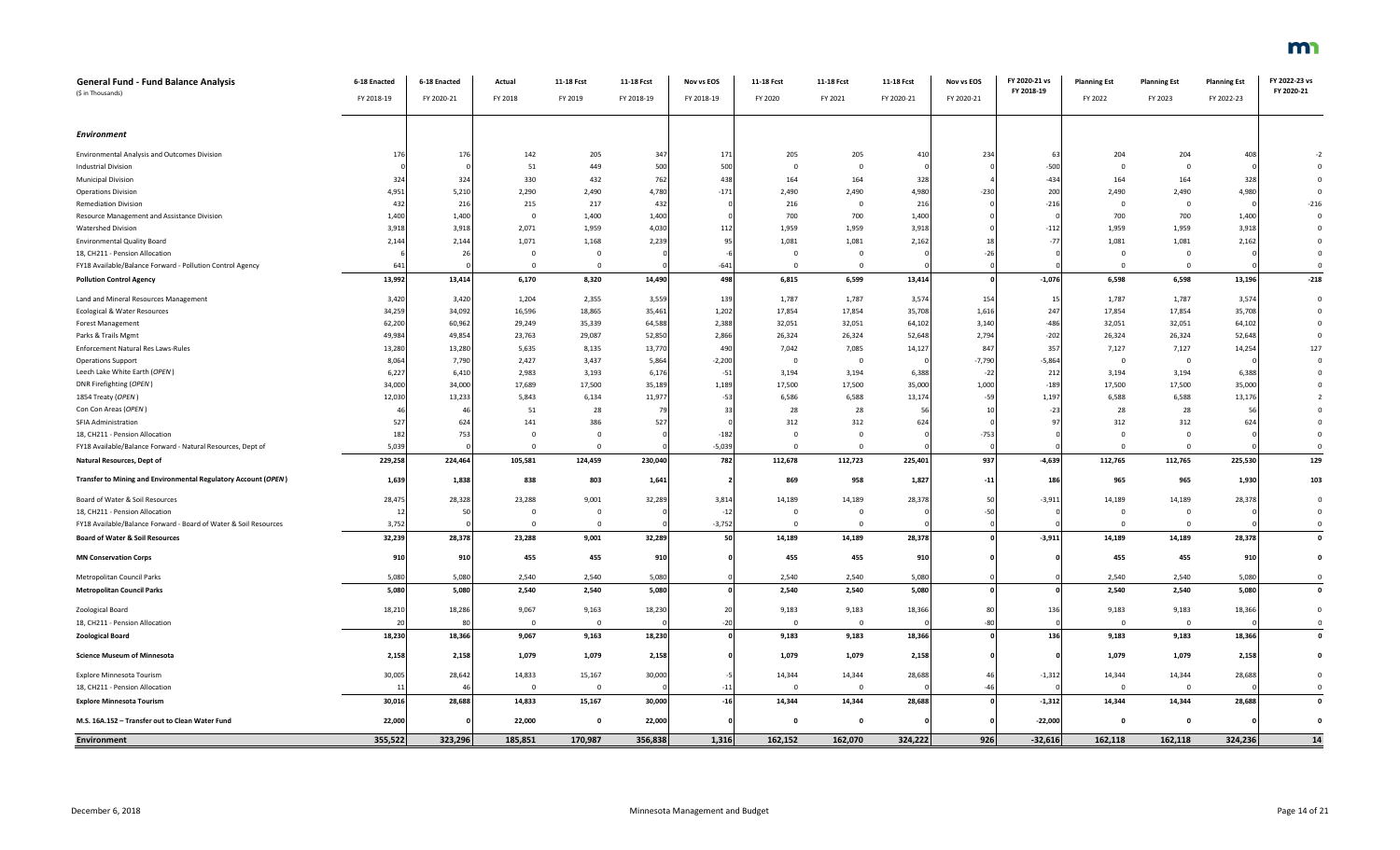| <b>Planning Est</b> | <b>Planning Est</b> |  |
|---------------------|---------------------|--|
|                     |                     |  |
|                     |                     |  |

| General Fund - Fund Balance Analysis                             | 6-18 Enacted | 6-18 Enacted | Actual       | 11-18 Fcst     | 11-18 Fcst | Nov vs EOS      | 11-18 Fcst     | 11-18 Fcst              | 11-18 Fcst | Nov vs EOS | FY 2020-21 vs | <b>Planning Est</b> | <b>Planning Est</b>     | <b>Planning Est</b> | FY 2022-23 vs      |
|------------------------------------------------------------------|--------------|--------------|--------------|----------------|------------|-----------------|----------------|-------------------------|------------|------------|---------------|---------------------|-------------------------|---------------------|--------------------|
| (\$ in Thousands)                                                | FY 2018-19   | FY 2020-21   | FY 2018      | FY 2019        | FY 2018-19 | FY 2018-19      | FY 2020        | FY 2021                 | FY 2020-21 | FY 2020-21 | FY 2018-19    | FY 2022             | FY 2023                 | FY 2022-23          | FY 2020-21         |
|                                                                  |              |              |              |                |            |                 |                |                         |            |            |               |                     |                         |                     |                    |
|                                                                  |              |              |              |                |            |                 |                |                         |            |            |               |                     |                         |                     |                    |
| <b>Environment</b>                                               |              |              |              |                |            |                 |                |                         |            |            |               |                     |                         |                     |                    |
|                                                                  |              |              |              |                |            |                 |                |                         |            |            |               |                     |                         |                     |                    |
| <b>Environmental Analysis and Outcomes Division</b>              | 176          | 176          | 142          | 205            | 347        | 17 <sub>2</sub> | 205            | 205                     | 41         | 234        | - 63          | 204                 | 204                     | 408                 |                    |
| <b>Industrial Division</b>                                       |              |              | 51           | 449            | 500        | 500             | $\mathbf 0$    | $\overline{0}$          |            |            | $-500$        | $\Omega$            | $\mathbf{0}$            |                     | $\Omega$           |
| <b>Municipal Division</b>                                        | 324          | 324          | 330          | 432            | 762        | 438             | 164            | 164                     | 328        |            | $-434$        | 164                 | 164                     | 328                 | $\Omega$           |
| <b>Operations Division</b>                                       | 4,95         | 5,210        | 2,290        | 2,490          | 4,780      | $-171$          | 2,490          | 2,490                   | 4,980      | $-230$     | 200           | 2,490               | 2,490                   | 4,980               | $\mathbf 0$        |
| <b>Remediation Division</b>                                      | 432          | 216          | 215          | 217            | 432        |                 | 216            | $\overline{\mathbf{0}}$ | 216        |            | $-216$        | $\overline{0}$      | $\mathbf 0$             |                     | $-216$             |
| Resource Management and Assistance Division                      | 1,400        | 1,400        | $\Omega$     | 1,400          | 1,400      |                 | 700            | 700                     | 1,400      |            |               | 700                 | 700                     | 1,400               | $\Omega$           |
| <b>Watershed Division</b>                                        | 3,918        | 3,918        | 2,071        | 1,959          | 4,030      | 112             | 1,959          | 1,959                   | 3,918      |            | $-112$        | 1,959               | 1,959                   | 3,918               | $\mathbf 0$        |
| <b>Environmental Quality Board</b>                               | 2,144        | 2,144        | 1,071        | 1,168          | 2,239      | 95              | 1,081          | 1,081                   | 2,162      |            | $-77$         | 1,081               | 1,081                   | 2,162               | $\mathbf 0$        |
| 18, CH211 - Pension Allocation                                   |              | 26           | $\mathbf{0}$ | $\mathbf{0}$   |            |                 | $\mathbf 0$    | $\overline{0}$          |            | $-26$      |               | $\overline{0}$      | $\overline{0}$          |                     | $\mathbf 0$        |
| FY18 Available/Balance Forward - Pollution Control Agency        | 641          |              | $\Omega$     | $\overline{0}$ |            | $-641$          | $\mathbf 0$    | $\overline{0}$          |            |            |               | $\Omega$            | $\mathbf 0$             |                     | $\mathbf 0$        |
| <b>Pollution Control Agency</b>                                  | 13,992       | 13,414       | 6,170        | 8,320          | 14,490     | 498             | 6,815          | 6,599                   | 13,414     |            | $-1,076$      | 6,598               | 6,598                   | 13,196              | $-218$             |
|                                                                  |              |              |              |                |            |                 |                |                         |            |            |               |                     |                         |                     |                    |
| Land and Mineral Resources Management                            | 3,420        | 3,420        | 1,204        | 2,355          | 3,559      | 139             | 1,787          | 1,787                   | 3,574      | 154        | - 15          | 1,787               | 1,787                   | 3,574               | $\mathbf 0$        |
| Ecological & Water Resources                                     | 34,259       | 34,092       | 16,596       | 18,865         | 35,461     | 1,202           | 17,854         | 17,854                  | 35,708     | 1,616      | 247           | 17,854              | 17,854                  | 35,708              | $\mathbf 0$        |
| Forest Management                                                | 62,200       | 60,962       | 29,249       | 35,339         | 64,588     | 2,388           | 32,051         | 32,051                  | 64,102     | 3,140      | $-486$        | 32,051              | 32,051                  | 64,102              | $\Omega$           |
| Parks & Trails Mgmt                                              | 49,984       | 49,854       | 23,763       | 29,087         | 52,850     | 2,866           | 26,324         | 26,324                  | 52,648     | 2,794      | $-202$        | 26,324              | 26,324                  | 52,648              | $\Omega$           |
| Enforcement Natural Res Laws-Rules                               | 13,280       | 13,280       | 5,635        | 8,135          | 13,770     | 490             | 7,042          | 7,085                   | 14,127     | 847        | 357           | 7,127               | 7,127                   | 14,254              | 127                |
| <b>Operations Support</b>                                        | 8,064        | 7,790        | 2,427        | 3,437          | 5,864      | $-2,200$        | $\overline{0}$ | $\overline{0}$          |            | $-7,790$   | $-5,864$      | $\Omega$            | $\overline{\mathbf{0}}$ |                     | $\Omega$           |
| Leech Lake White Earth (OPEN                                     | 6,227        | 6,410        | 2,983        | 3,193          | 6,176      | $-51$           | 3,194          | 3,194                   | 6,388      | $-22$      | 212           | 3,194               | 3,194                   | 6,388               | $\Omega$           |
| DNR Firefighting (OPEN)                                          | 34,000       | 34,000       | 17,689       | 17,500         | 35,189     | 1,189           | 17,500         | 17,500                  | 35,000     | 1,000      | $-189$        | 17,500              | 17,500                  | 35,000              | $\mathbf 0$        |
| 1854 Treaty (OPEN)                                               | 12,030       | 13,233       | 5,843        | 6,134          | 11,977     | $-53$           | 6,586          | 6,588                   | 13,174     | $-59$      | 1,197         | 6,588               | 6,588                   | 13,176              | $\overline{2}$     |
| Con Con Areas (OPEN                                              |              | $\Delta$     | 51           | 28             | 79         | $-33$           | 28             | 28                      |            |            | $-23$         | 28                  | 28                      | 56                  | $\Omega$           |
| SFIA Administration                                              | 527          | 624          | 141          | 386            | 527        |                 | 312            | 312                     | 62         |            | q             | 312                 | 312                     | 624                 | $\mathbf 0$        |
| 18, CH211 - Pension Allocation                                   | 182          | 753          | $\Omega$     | $\mathbf{0}$   |            | $-182$          | $\overline{0}$ | $\mathbf{0}$            |            | $-753$     |               | $\mathbf{0}$        | $\overline{0}$          |                     | $\mathbf 0$        |
| FY18 Available/Balance Forward - Natural Resources, Dept of      | 5,039        |              | $\Omega$     | $\Omega$       |            | $-5,039$        | $\overline{0}$ | $\overline{0}$          |            |            |               | $\Omega$            | $\overline{0}$          |                     | $\mathbf 0$        |
| Natural Resources, Dept of                                       | 229,258      | 224,464      | 105,581      | 124,459        | 230,040    | 782             | 112,678        | 112,723                 | 225,401    | 937        | $-4,639$      | 112,765             | 112,765                 | 225,530             | 129                |
| Transfer to Mining and Environmental Regulatory Account (OPEN)   | 1,639        | 1,838        | 838          | 803            | 1,641      |                 | 869            | 958                     | 1,827      | $-11$      | 186           | 965                 | 965                     | 1,930               | 103                |
|                                                                  |              |              |              |                |            |                 |                |                         |            |            |               |                     |                         |                     |                    |
| Board of Water & Soil Resources                                  | 28,475       | 28,328       | 23,288       | 9,001          | 32,289     | 3,814           | 14,189         | 14,189                  | 28,37      | 50         | $-3,911$      | 14,189              | 14,189                  | 28,378              | $\mathbf 0$        |
| 18, CH211 - Pension Allocation                                   | 12           | 50           | $\Omega$     | $\Omega$       |            | $-12$           | $\Omega$       | $\overline{0}$          |            |            |               | $\Omega$            | $\Omega$                |                     | $\Omega$           |
| FY18 Available/Balance Forward - Board of Water & Soil Resources | 3,752        |              | $\mathbf{0}$ | $\mathbf{0}$   |            | $-3,752$        | $\overline{0}$ | $\overline{0}$          |            |            |               | $\overline{0}$      | $\overline{0}$          |                     | $\mathbf 0$        |
| <b>Board of Water &amp; Soil Resources</b>                       | 32,239       | 28,378       | 23,288       | 9,001          | 32,289     | 50              | 14,189         | 14,189                  | 28,378     |            | $-3,911$      | 14,189              | 14,189                  | 28,378              | $\mathbf 0$        |
|                                                                  |              |              |              |                |            |                 |                |                         |            |            |               |                     |                         |                     |                    |
| <b>MN Conservation Corps</b>                                     | 910          | 910          | 455          | 455            | 910        |                 | 455            | 455                     | 910        |            |               | 455                 | 455                     | 910                 | $\pmb{0}$          |
| Metropolitan Council Parks                                       | 5,080        | 5,080        | 2,540        | 2,540          | 5,080      |                 | 2,540          | 2,540                   | 5,080      |            |               | 2,540               | 2,540                   | 5,080               | $\overline{0}$     |
| <b>Metropolitan Council Parks</b>                                | 5,080        | 5,080        | 2,540        | 2,540          | 5,080      |                 | 2,540          | 2,540                   | 5,080      |            |               | 2,540               | 2,540                   | 5,080               | $\pmb{\mathsf{o}}$ |
|                                                                  |              |              |              |                |            |                 |                |                         |            |            |               |                     |                         |                     |                    |
| Zoological Board                                                 | 18,210       | 18,286       | 9,067        | 9,163          | 18,230     | 20              | 9,183          | 9,183                   | 18,366     | 80         | 136           | 9,183               | 9,183                   | 18,366              | $\mathbf 0$        |
| 18, CH211 - Pension Allocation                                   | 20           | 80           | $\Omega$     | $\overline{0}$ |            | $-20$           | $\overline{0}$ | $\mathbf{0}$            |            | $-80$      |               | $\overline{0}$      | $\overline{\mathbf{0}}$ |                     | $\mathbf 0$        |
| <b>Zoological Board</b>                                          | 18,230       | 18,366       | 9,067        | 9,163          | 18,230     |                 | 9,183          | 9,183                   | 18,366     |            | 136           | 9,183               | 9,183                   | 18,366              | $\mathbf 0$        |
|                                                                  |              |              |              |                |            |                 |                |                         |            |            |               |                     |                         |                     |                    |
| <b>Science Museum of Minnesota</b>                               | 2,158        | 2,158        | 1,079        | 1,079          | 2,158      |                 | 1,079          | 1,079                   | 2,158      |            |               | 1,079               | 1,079                   | 2,158               | $\mathbf 0$        |
| Explore Minnesota Tourism                                        | 30,005       | 28,642       | 14,833       | 15,167         | 30,000     |                 | 14,344         | 14,344                  | 28,688     |            | $-1,312$      | 14,344              | 14,344                  | 28,688              | $\mathbf 0$        |
| 18, CH211 - Pension Allocation                                   | 1            | $\Delta$     | $\mathbf{0}$ | $\mathbf{0}$   |            | $-11$           | $\mathbf 0$    | $\overline{0}$          |            | $-46$      |               | $\Omega$            | $\overline{\mathbf{0}}$ |                     | $\mathbf 0$        |
| <b>Explore Minnesota Tourism</b>                                 | 30,016       | 28,688       | 14,833       | 15,167         | 30,000     | $-16$           | 14,344         | 14,344                  | 28,688     |            | $-1,312$      | 14,344              | 14,344                  | 28,688              | $\mathbf 0$        |
|                                                                  |              |              |              |                |            |                 |                |                         |            |            |               |                     |                         |                     |                    |
| M.S. 16A.152 - Transfer out to Clean Water Fund                  | 22,000       |              | 22,000       | $\mathbf{0}$   | 22,000     |                 | $\mathbf{0}$   | $\mathbf{0}$            |            |            | $-22,000$     | $\mathbf{0}$        | $\mathbf{0}$            |                     | $\mathbf 0$        |
| <b>Environment</b>                                               | 355,522      | 323,296      | 185,851      | 170,987        | 356,838    | 1,316           | 162,152        | 162,070                 | 324,222    | 926        | $-32,616$     | 162,118             | 162,118                 | 324,236             | 14                 |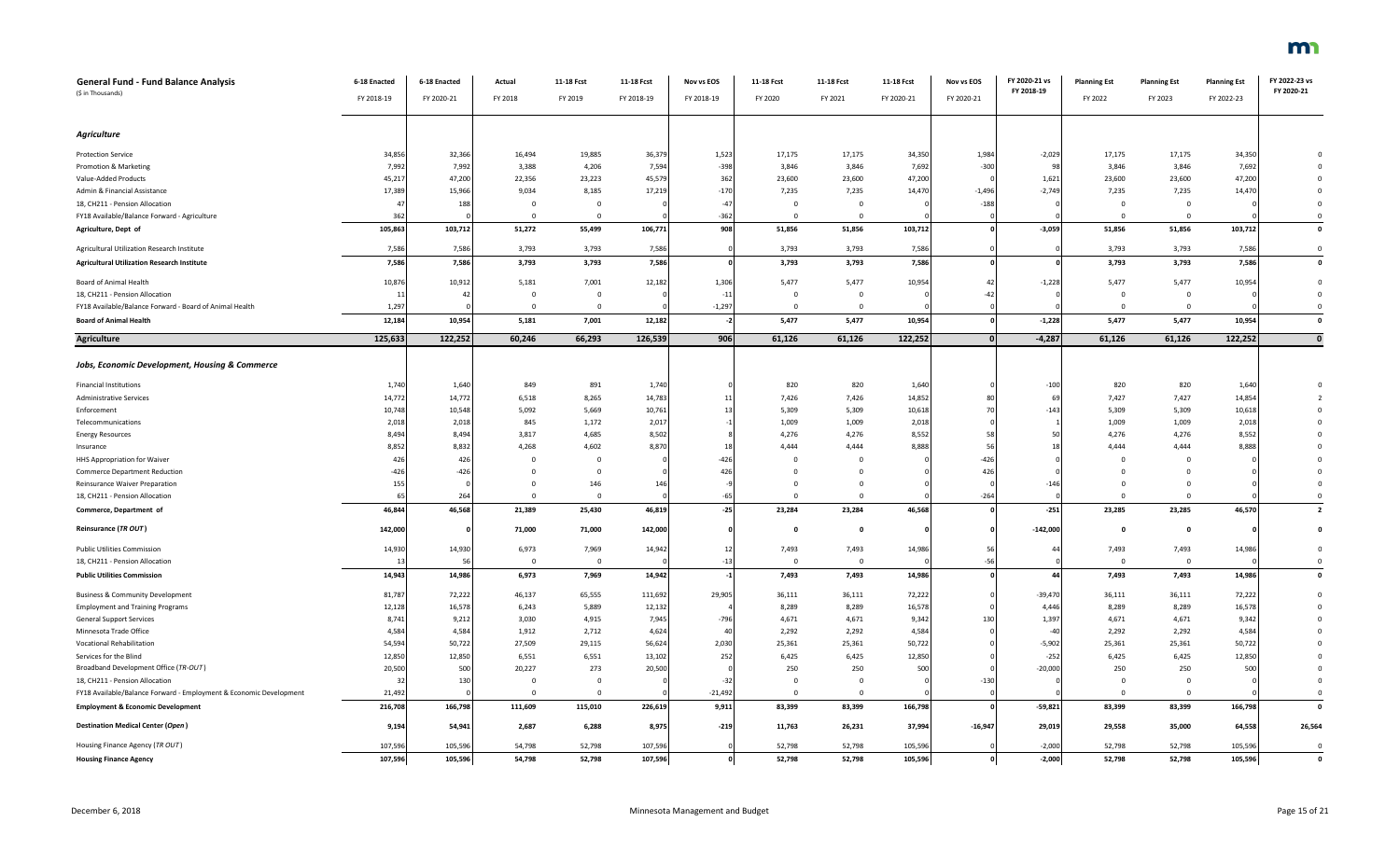| <b>General Fund - Fund Balance Analysis</b><br>(\$ in Thousands)     | 6-18 Enacted<br>FY 2018-19 | 6-18 Enacted<br>FY 2020-21 | Actual<br>FY 2018     | 11-18 Fcst<br>FY 2019   | 11-18 Fcst<br>FY 2018-19 | Nov vs EOS<br>FY 2018-19 | 11-18 Fcst<br>FY 2020 | 11-18 Fcst<br>FY 2021 | 11-18 Fcst<br>FY 2020-21 | Nov vs EOS<br>FY 2020-21 | FY 2020-21 vs<br>FY 2018-19 | <b>Planning Est</b><br>FY 2022 | <b>Planning Est</b><br>FY 2023 | <b>Planning Est</b><br>FY 2022-23 | FY 2022-23 vs<br>FY 2020-21 |
|----------------------------------------------------------------------|----------------------------|----------------------------|-----------------------|-------------------------|--------------------------|--------------------------|-----------------------|-----------------------|--------------------------|--------------------------|-----------------------------|--------------------------------|--------------------------------|-----------------------------------|-----------------------------|
| Agriculture                                                          |                            |                            |                       |                         |                          |                          |                       |                       |                          |                          |                             |                                |                                |                                   |                             |
| <b>Protection Service</b>                                            | 34,856                     | 32,366                     | 16,494                | 19,885                  | 36,379                   | 1,523                    | 17,175                | 17,175                | 34,350                   | 1,984                    | $-2,029$                    | 17,175                         | 17,175                         | 34,350                            | $\mathbf 0$                 |
| Promotion & Marketing                                                | 7,992                      | 7,992                      | 3,388                 | 4,206                   | 7,594                    | $-398$                   | 3,846                 | 3,846                 | 7,692                    | $-300$                   | 98                          | 3,846                          | 3,846                          | 7,692                             |                             |
| Value-Added Products                                                 | 45,217                     | 47,200                     | 22,356                | 23,223                  | 45,579                   | 362                      | 23,600                | 23,600                | 47,200                   |                          | 1,621                       | 23,600                         | 23,600                         | 47,200                            | $\mathbf 0$                 |
| Admin & Financial Assistance                                         | 17,389                     | 15,966                     | 9,034                 | 8,185                   | 17,219                   | $-170$                   | 7,235                 | 7,235                 | 14,470                   | $-1,496$                 | $-2,749$                    | 7,235                          | 7,235                          | 14,470                            |                             |
| 18, CH211 - Pension Allocation                                       | 47                         | 188                        | $\mathbf{0}$          | $\overline{\mathbf{0}}$ |                          | $-47$                    | $\mathbf{0}$          | $\mathbf 0$           |                          | $-188$                   |                             | $\overline{0}$                 | $\overline{0}$                 |                                   | $\mathbf{0}$                |
| FY18 Available/Balance Forward - Agriculture                         | 362                        |                            | $\Omega$              | $\overline{0}$          |                          | $-362$                   | $\mathbf 0$           | $\mathbf 0$           |                          |                          |                             | $\overline{0}$                 | $\overline{0}$                 |                                   | $^{\circ}$                  |
| Agriculture, Dept of                                                 | 105,863                    | 103,712                    | 51,272                | 55,499                  | 106,771                  | 908                      | 51,856                | 51,856                | 103,712                  |                          | $-3,059$                    | 51,856                         | 51,856                         | 103,712                           | $\mathbf 0$                 |
|                                                                      |                            |                            |                       |                         |                          |                          |                       |                       |                          |                          |                             |                                |                                |                                   |                             |
| Agricultural Utilization Research Institute                          | 7,586                      | 7,586                      | 3,793                 | 3,793                   | 7,586                    |                          | 3,793                 | 3,793                 | 7,586                    |                          |                             | 3,793                          | 3,793                          | 7,586                             | $\mathbf{0}$                |
| <b>Agricultural Utilization Research Institute</b>                   | 7,586                      | 7,586                      | 3,793                 | 3,793                   | 7,586                    |                          | 3,793                 | 3,793                 | 7,586                    |                          |                             | 3,793                          | 3,793                          | 7,586                             | $\mathbf{0}$                |
| <b>Board of Animal Health</b>                                        | 10,876                     | 10,912                     | 5,181                 | 7,001                   | 12,182                   | 1,306                    | 5,477                 | 5,477                 | 10,954                   | 47                       | $-1,228$                    | 5,477                          | 5,477                          | 10,954                            | $\mathbf 0$                 |
| 18, CH211 - Pension Allocation                                       | 11                         | 42                         | $\mathbf 0$           | $\overline{0}$          |                          | $-11$                    | $\mathbf{0}$          | $\pmb{0}$             |                          | $-42$                    |                             | $\mathbf 0$                    | $\overline{0}$                 |                                   | $\mathbf 0$                 |
| FY18 Available/Balance Forward - Board of Animal Health              | 1,297                      |                            | $\mathbf{0}$          | $\mathbf 0$             |                          | $-1,297$                 | $\mathbf 0$           | $\mathbf 0$           |                          |                          |                             | $\mathbf 0$                    | $\mathbf{0}$                   |                                   | $\mathbf 0$                 |
| <b>Board of Animal Health</b>                                        | 12,184                     | 10,954                     | 5,181                 | 7,001                   | 12,182                   | $-2$                     | 5,477                 | 5,477                 | 10,954                   |                          | $-1,228$                    | 5,477                          | 5,477                          | 10,954                            | $\pmb{\mathsf{o}}$          |
| <b>Agriculture</b>                                                   | 125,633                    | 122,252                    | 60,246                | 66,293                  | 126,539                  | 906                      | 61,126                | 61,126                | 122,252                  | $\Omega$                 | $-4,287$                    | 61,126                         | 61,126                         | 122,252                           | $\mathbf{0}$                |
|                                                                      |                            |                            |                       |                         |                          |                          |                       |                       |                          |                          |                             |                                |                                |                                   |                             |
| Jobs, Economic Development, Housing & Commerce                       |                            |                            |                       |                         |                          |                          |                       |                       |                          |                          |                             |                                |                                |                                   |                             |
| <b>Financial Institutions</b>                                        | 1,740                      | 1,640                      | 849                   | 891                     | 1,740                    |                          | 820                   | 820                   | 1,640                    |                          | $-100$                      | 820                            | 820                            | 1,640                             |                             |
| Administrative Services                                              | 14,772                     | 14,772                     | 6,518                 | 8,265                   | 14,783                   | 11                       | 7,426                 | 7,426                 | 14,852                   |                          | 69                          | 7,427                          | 7,427                          | 14,854                            | 2                           |
| Enforcement                                                          | 10,748                     | 10,548                     | 5,092                 | 5,669                   | 10,761                   |                          | 5,309                 | 5,309                 | 10,618                   | -70                      | $-143$                      | 5,309                          | 5,309                          | 10,618                            | $\mathbf 0$                 |
| Telecommunications                                                   | 2,018                      | 2,018                      | 845                   | 1,172                   | 2,017                    |                          | 1,009                 | 1,009                 | 2,018                    |                          |                             | 1,009                          | 1,009                          | 2,018                             |                             |
| <b>Energy Resources</b>                                              | 8,494                      | 8,494                      | 3,817                 | 4,685                   | 8,502                    |                          | 4,276                 | 4,276                 | 8,552                    |                          | 50                          | 4,276                          | 4,276                          | 8,552                             |                             |
| Insurance                                                            | 8,852                      | 8,832                      | 4,268                 | 4,602                   | 8,870                    |                          | 4,444                 | 4,444                 | 8,888                    |                          | 18                          | 4,444                          | 4,444                          | 8,888                             |                             |
| HHS Appropriation for Waiver                                         | 426                        | 426                        | $\Omega$              | $\mathbf{0}$            |                          | $-426$                   | $\Omega$              | $\Omega$              |                          | $-426$                   |                             | $\Omega$                       | $\mathbf{0}$                   |                                   |                             |
| Commerce Department Reduction                                        | $-426$                     | $-426$                     | $^{\circ}$            | $\overline{\mathbf{0}}$ |                          | 426                      | $\mathbf{0}$          | 0                     |                          | 426                      |                             | $^{\circ}$                     | $\mathbf 0$                    |                                   |                             |
| Reinsurance Waiver Preparation                                       | 155                        |                            | $^{\circ}$            | 146                     | 146                      |                          | $\mathbf 0$           | $\mathbf 0$           |                          |                          | $-146$                      | $\mathbf 0$                    | $\mathbf{0}$                   |                                   | $\mathbf 0$                 |
| 18, CH211 - Pension Allocation                                       | 6                          | 264                        |                       | $\mathbf 0$             |                          | $-65$                    | $\mathbf{0}$          | $\mathbf 0$           |                          | $-264$                   |                             | $\mathbf 0$                    | $\Omega$                       |                                   | $\mathbf 0$                 |
| Commerce, Department of                                              | 46,844                     | 46,568                     | 21,389                | 25,430                  | 46,819                   | $-25$                    | 23,284                | 23,284                | 46,568                   |                          | $-251$                      | 23,285                         | 23,285                         | 46,570                            | $\overline{2}$              |
| Reinsurance (TR OUT)                                                 | 142,000                    |                            | 71,000                | 71,000                  | 142,000                  |                          | $\mathbf{o}$          | $\mathbf 0$           |                          |                          | $-142,000$                  | $\mathbf{0}$                   | $\mathbf{0}$                   |                                   | $\pmb{0}$                   |
|                                                                      |                            |                            |                       |                         |                          |                          |                       |                       |                          | 56                       |                             |                                |                                |                                   |                             |
| <b>Public Utilities Commission</b><br>18, CH211 - Pension Allocation | 14,930<br>1 <sup>2</sup>   | 14,930<br>-56              | 6,973<br>$\mathbf{0}$ | 7,969<br>$\mathbf{0}$   | 14,942                   | 12<br>$-13$              | 7,493<br>$\mathbf{0}$ | 7,493<br>$\mathbf{0}$ | 14,986                   | $-56$                    | 44                          | 7,493<br>$\overline{0}$        | 7,493<br>$\overline{0}$        | 14,986                            | $\mathbf 0$<br>$\Omega$     |
| <b>Public Utilities Commission</b>                                   |                            |                            | 6,973                 | 7,969                   |                          | $-1$                     | 7,493                 | 7,493                 | 14,986                   |                          | 44                          | 7,493                          | 7,493                          | 14,986                            | $\mathbf 0$                 |
|                                                                      | 14,943                     | 14,986                     |                       |                         | 14,942                   |                          |                       |                       |                          |                          |                             |                                |                                |                                   |                             |
| <b>Business &amp; Community Development</b>                          | 81,787                     | 72,222                     | 46,137                | 65,555                  | 111,692                  | 29,905                   | 36,111                | 36,111                | 72,222                   |                          | $-39,470$                   | 36,111                         | 36,111                         | 72,222                            | $\mathsf 0$                 |
| <b>Employment and Training Programs</b>                              | 12,128                     | 16,578                     | 6,243                 | 5,889                   | 12,132                   |                          | 8,289                 | 8,289                 | 16,578                   |                          | 4,446                       | 8,289                          | 8,289                          | 16,578                            |                             |
| <b>General Support Services</b>                                      | 8,741                      | 9,212                      | 3,030                 | 4,915                   | 7,945                    | $-796$                   | 4,671                 | 4,671                 | 9,342                    | 130                      | 1,397                       | 4,671                          | 4,671                          | 9,342                             |                             |
| Minnesota Trade Office                                               | 4,584                      | 4,584                      | 1,912                 | 2,712                   | 4,624                    | 40                       | 2,292                 | 2,292                 | 4,584                    |                          | $-40$                       | 2,292                          | 2,292                          | 4,584                             |                             |
| Vocational Rehabilitation                                            | 54,594                     | 50,722                     | 27,509                | 29,115                  | 56,624                   | 2,030                    | 25,361                | 25,361                | 50,722                   |                          | $-5,902$                    | 25,361                         | 25,361                         | 50,722                            |                             |
| Services for the Blind                                               | 12,850                     | 12,850                     | 6,551                 | 6,551                   | 13,102                   | 252                      | 6,425                 | 6,425                 | 12,850                   |                          | $-252$                      | 6,425                          | 6,425                          | 12,850                            |                             |
| Broadband Development Office (TR-OUT)                                | 20,500                     | 500                        | 20,227                | 273                     | 20,500                   |                          | 250                   | 250                   | 500                      |                          | $-20,000$                   | 250                            | 250                            | 500                               | $\mathbf 0$                 |
| 18, CH211 - Pension Allocation                                       | 32                         | 130                        | $\mathbf{0}$          | $\mathbf{0}$            |                          | $-32$                    | $\mathbf{0}$          | $\mathbf 0$           |                          | $-130$                   |                             | $\overline{0}$                 | $\overline{0}$                 |                                   | $\mathbf 0$                 |
| FY18 Available/Balance Forward - Employment & Economic Development   | 21,492                     |                            | $\Omega$              | $\mathbf 0$             |                          | $-21,492$                | $\mathbf{0}$          | $\mathbf 0$           |                          |                          |                             | $\Omega$                       | $\Omega$                       |                                   | $\mathbf 0$                 |
| <b>Employment &amp; Economic Development</b>                         | 216,708                    | 166,798                    | 111,609               | 115,010                 | 226,619                  | 9,911                    | 83,399                | 83,399                | 166,798                  |                          | $-59,821$                   | 83,399                         | 83,399                         | 166,798                           | $\mathbf{0}$                |
| Destination Medical Center (Open)                                    | 9,194                      | 54,941                     | 2,687                 | 6,288                   | 8,975                    | $-219$                   | 11,763                | 26,231                | 37,994                   | $-16,947$                | 29,019                      | 29,558                         | 35,000                         | 64,558                            | 26,564                      |
| Housing Finance Agency (TR OUT)                                      | 107,596                    | 105,596                    | 54,798                | 52,798                  | 107,596                  |                          | 52,798                | 52,798                | 105,596                  |                          | $-2,000$                    | 52,798                         | 52,798                         | 105,596                           | $\mathbf{0}$                |
| <b>Housing Finance Agency</b>                                        | 107,596                    | 105.596                    | 54.798                | 52.798                  | 107.596                  |                          | 52.798                | 52.798                | 105.596                  |                          | $-2.000$                    | 52.798                         | 52.798                         | 105.596                           | $\Omega$                    |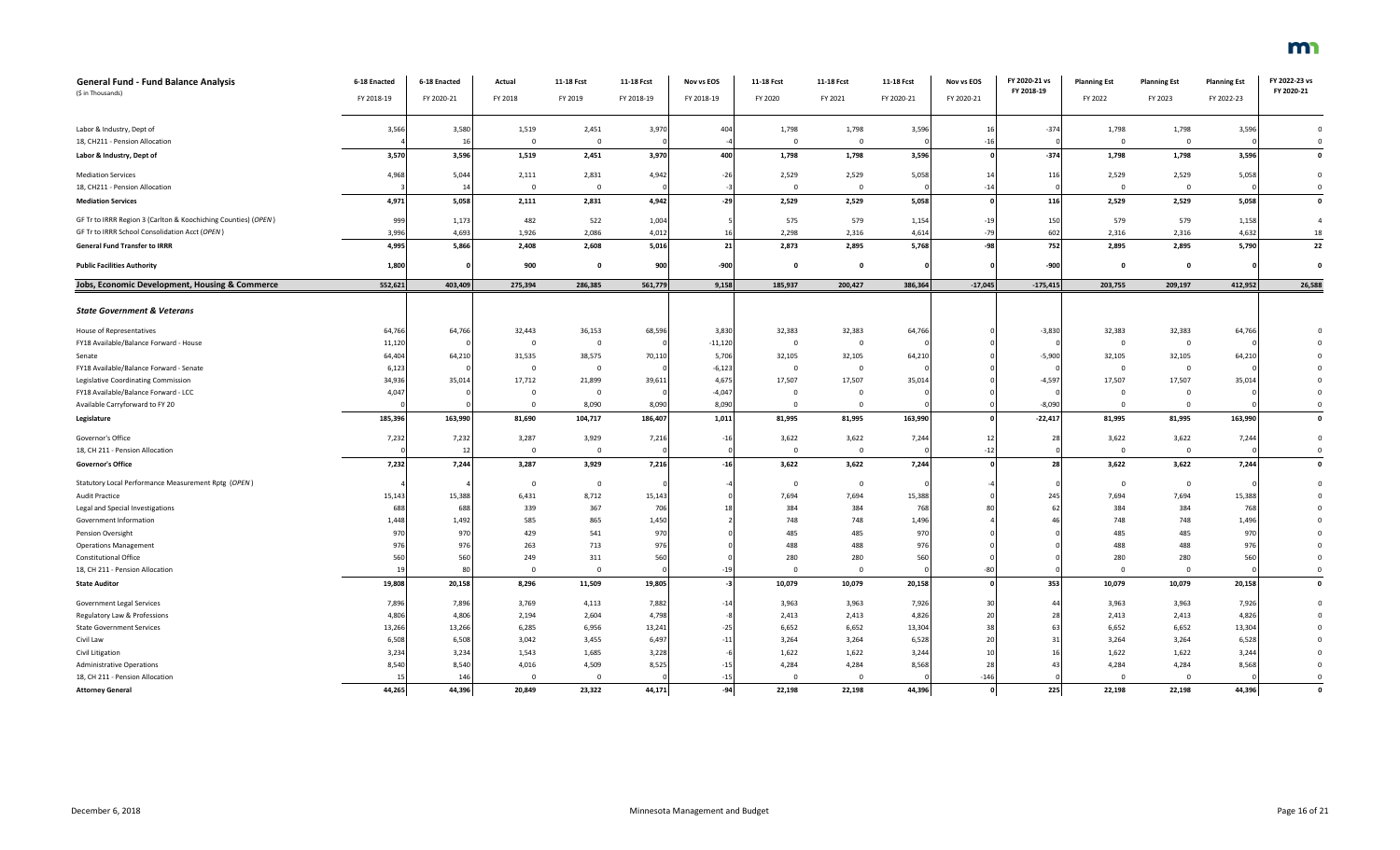| General Fund - Fund Balance Analysis                           | 6-18 Enacted | 6-18 Enacted | Actual       | 11-18 Fcst              | 11-18 Fcst | Nov vs EOS | 11-18 Fcst     | 11-18 Fcst     | 11-18 Fcst | Nov vs EOS     | FY 2020-21 vs | <b>Planning Est</b> | <b>Planning Est</b> | <b>Planning Est</b> | FY 2022-23 vs      |
|----------------------------------------------------------------|--------------|--------------|--------------|-------------------------|------------|------------|----------------|----------------|------------|----------------|---------------|---------------------|---------------------|---------------------|--------------------|
| (\$ in Thousands)                                              | FY 2018-19   | FY 2020-21   | FY 2018      | FY 2019                 | FY 2018-19 | FY 2018-19 | FY 2020        | FY 2021        | FY 2020-21 | FY 2020-21     | FY 2018-19    | FY 2022             | FY 2023             | FY 2022-23          | FY 2020-21         |
|                                                                |              |              |              |                         |            |            |                |                |            |                |               |                     |                     |                     |                    |
| Labor & Industry, Dept of                                      | 3,566        | 3,580        | 1,519        | 2,451                   | 3,970      | 404        | 1,798          | 1,798          | 3,596      | 1 <sup>1</sup> | $-374$        | 1,798               | 1,798               | 3,596               | $\mathbf 0$        |
| 18, CH211 - Pension Allocation                                 |              | 16           | $\mathbf{0}$ | $\overline{0}$          |            |            | $\Omega$       | $\overline{0}$ |            | $-16$          |               | $\overline{0}$      | $\overline{0}$      |                     | $\mathbf 0$        |
| Labor & Industry, Dept of                                      | 3,570        | 3,596        | 1,519        | 2,451                   | 3,970      | 400        | 1,798          | 1,798          | 3,596      |                | $-374$        | 1,798               | 1,798               | 3,596               | $\pmb{\mathsf{o}}$ |
| <b>Mediation Services</b>                                      | 4,968        | 5,044        | 2,111        | 2,831                   | 4,942      | $-26$      | 2,529          | 2,529          | 5,058      | 14             | 116           | 2,529               | 2,529               | 5,058               | $\mathbf 0$        |
| 18, CH211 - Pension Allocation                                 |              | 14           | $\mathbf 0$  | $\overline{\mathbf{0}}$ |            | -3         | $\Omega$       | $\overline{0}$ |            | $-14$          |               | $\Omega$            | $\overline{0}$      |                     | $\mathbf 0$        |
| <b>Mediation Services</b>                                      | 4,971        | 5,058        | 2,111        | 2,831                   | 4,942      | $-29$      | 2,529          | 2,529          | 5,058      |                | 116           | 2,529               | 2,529               | 5,058               | $\mathbf{0}$       |
| GF Tr to IRRR Region 3 (Carlton & Koochiching Counties) (OPEN) | 999          | 1,173        | 482          | 522                     | 1,004      |            | 575            | 579            | 1,154      | $-19$          | 150           | 579                 | 579                 | 1,158               | $\overline{4}$     |
| GF Tr to IRRR School Consolidation Acct (OPEN)                 | 3,996        | 4,693        | 1,926        | 2,086                   | 4,012      | 16         | 2,298          | 2,316          | 4,614      | $-79$          | 602           | 2,316               | 2,316               | 4,632               | 18                 |
| <b>General Fund Transfer to IRRR</b>                           | 4,995        | 5,866        | 2,408        | 2,608                   | 5,016      | 21         | 2,873          | 2,895          | 5,768      | -98            | 752           | 2,895               | 2,895               | 5,790               | 22                 |
| <b>Public Facilities Authority</b>                             | 1,800        |              | 900          | 0                       | 900        | -900       | $\mathbf{o}$   | $\mathbf 0$    |            |                | $-900$        | $\mathbf{o}$        | $\mathbf{0}$        |                     | $\mathbf 0$        |
| Jobs, Economic Development, Housing & Commerce                 | 552,621      | 403,409      | 275,394      | 286.385                 | 561,779    | 9,158      | 185.937        | 200,427        | 386,364    | $-17,045$      | $-175,415$    | 203,755             | 209,197             | 412,952             | 26,588             |
|                                                                |              |              |              |                         |            |            |                |                |            |                |               |                     |                     |                     |                    |
| <b>State Government &amp; Veterans</b>                         |              |              |              |                         |            |            |                |                |            |                |               |                     |                     |                     |                    |
| House of Representatives                                       | 64,766       | 64,766       | 32,443       | 36,153                  | 68,596     | 3,830      | 32,383         | 32,383         | 64,766     |                | $-3,830$      | 32,383              | 32,383              | 64,766              |                    |
| FY18 Available/Balance Forward - House                         | 11,120       |              | $\mathbf{0}$ | $\mathbf 0$             |            | $-11,120$  | $\mathbf 0$    | $\overline{0}$ |            |                |               | $\overline{0}$      | $\mathbf{0}$        |                     |                    |
| Senate                                                         | 64,404       | 64,210       | 31,535       | 38,575                  | 70,110     | 5,706      | 32,105         | 32,105         | 64,210     |                | $-5,900$      | 32,105              | 32,105              | 64,210              |                    |
| FY18 Available/Balance Forward - Senate                        | 6,123        |              | 0            | $\overline{\mathbf{0}}$ |            | $-6,12$    | $\mathbf 0$    | $\mathbf{0}$   |            |                |               | $\mathbf 0$         | $\mathbf{0}$        |                     |                    |
| Legislative Coordinating Commission                            | 34,936       | 35,014       | 17,712       | 21,899                  | 39,611     | 4,675      | 17,507         | 17,507         | 35,014     |                | $-4,597$      | 17,507              | 17,507              | 35,014              | $\mathbf 0$        |
| FY18 Available/Balance Forward - LCC                           | 4,047        |              | $^{\circ}$   | $\overline{0}$          |            | $-4,047$   | $\mathbf 0$    | $\overline{0}$ |            |                |               | $\mathbf{0}$        | $\overline{0}$      |                     | $\Omega$           |
| Available Carryforward to FY 20                                |              |              | $\Omega$     | 8,090                   | 8,090      | 8,090      | $\overline{0}$ | $\overline{0}$ |            |                | $-8,090$      | $\mathbf{0}$        | $\overline{0}$      |                     | $\Omega$           |
| Legislature                                                    | 185,396      | 163,990      | 81,690       | 104,717                 | 186,407    | 1,011      | 81,995         | 81,995         | 163,990    |                | $-22,417$     | 81,995              | 81,995              | 163,990             | $\mathbf{0}$       |
| Governor's Office                                              | 7,232        | 7,232        | 3,287        | 3,929                   | 7,216      | $-16$      | 3,622          | 3,622          | 7,244      | 12             | 28            | 3,622               | 3,622               | 7,244               | $\mathbf 0$        |
| 18, CH 211 - Pension Allocation                                |              | 12           | $\mathbf{0}$ | $\overline{0}$          |            |            | $\mathbf 0$    | $\Omega$       |            | $-1.$          |               | $\overline{0}$      | $\Omega$            |                     | $\mathbf 0$        |
| <b>Governor's Office</b>                                       | 7,232        | 7,244        | 3,287        | 3,929                   | 7,216      | $-16$      | 3,622          | 3,622          | 7,244      |                | 28            | 3,622               | 3,622               | 7,244               | $\pmb{\mathsf{o}}$ |
| Statutory Local Performance Measurement Rptg (OPEN)            |              |              | $\mathbf 0$  | 0                       |            |            | 0              | $\overline{0}$ |            |                |               | $\mathbf 0$         | $\overline{0}$      |                     | $\mathbf 0$        |
| Audit Practice                                                 | 15,143       | 15,388       | 6,431        | 8,712                   | 15,143     |            | 7,694          | 7,694          | 15,388     |                | 245           | 7,694               | 7,694               | 15,388              |                    |
| Legal and Special Investigations                               | 688          | 688          | 339          | 367                     | 706        | 1S         | 384            | 384            | 768        |                | 63            | 384                 | 384                 | 768                 |                    |
| Government Information                                         | 1,448        | 1,492        | 585          | 865                     | 1,450      |            | 748            | 748            | 1,496      |                |               | 748                 | 748                 | 1,496               |                    |
| Pension Oversight                                              | 970          | 970          | 429          | 541                     | 970        |            | 485            | 485            | 970        |                |               | 485                 | 485                 | 970                 |                    |
| <b>Operations Management</b>                                   | 976          | 976          | 263          | 713                     | 976        |            | 488            | 488            | 976        |                |               | 488                 | 488                 | 976                 | $\Omega$           |
| <b>Constitutional Office</b>                                   | 560          | 560          | 249          | 311                     | 560        |            | 280            | 280            | 560        |                |               | 280                 | 280                 | 560                 | $\Omega$           |
| 18, CH 211 - Pension Allocation                                | 19           | 80           | $\mathbf{0}$ | $\overline{0}$          |            | $-19$      | $\overline{0}$ | $\overline{0}$ |            | $-80$          |               | $\overline{0}$      | $\overline{0}$      |                     | $\mathbf 0$        |
| <b>State Auditor</b>                                           | 19,808       | 20,158       | 8,296        | 11,509                  | 19,805     | $-3$       | 10,079         | 10,079         | 20,158     |                | 353           | 10,079              | 10,079              | 20,158              | $\mathbf 0$        |
| <b>Government Legal Services</b>                               | 7,896        | 7,896        | 3,769        | 4,113                   | 7,882      | $-14$      | 3,963          | 3,963          | 7,926      |                | 44            | 3,963               | 3,963               | 7,926               | $\Omega$           |
| Regulatory Law & Professions                                   | 4,806        | 4,806        | 2,194        | 2,604                   | 4,798      |            | 2,413          | 2,413          | 4,826      | $\overline{2}$ | 2i            | 2,413               | 2,413               | 4,826               |                    |
| <b>State Government Services</b>                               | 13,266       | 13,266       | 6,285        | 6,956                   | 13,241     | $-25$      | 6,652          | 6,652          | 13,304     | 38             | 63            | 6,652               | 6,652               | 13,304              | $\Omega$           |
| Civil Law                                                      | 6,508        | 6,508        | 3,042        | 3,455                   | 6,497      | $-11$      | 3,264          | 3,264          | 6,528      | 20             | 31            | 3,264               | 3,264               | 6,528               |                    |
| Civil Litigation                                               | 3,234        | 3,234        | 1,543        | 1,685                   | 3,228      |            | 1,622          | 1,622          | 3,244      | 10             |               | 1,622               | 1,622               | 3,244               |                    |
| <b>Administrative Operations</b>                               | 8,540        | 8,540        | 4,016        | 4,509                   | 8,525      | $-15$      | 4,284          | 4,284          | 8,568      | 28             | 43            | 4,284               | 4,284               | 8,568               | $\mathbf 0$        |
| 18, CH 211 - Pension Allocation                                | 15           | 146          | $^{\circ}$   | $\Omega$                |            | $-15$      | $\Omega$       | $\Omega$       |            | $-146$         |               | $\Omega$            | $\Omega$            |                     | $\mathbf 0$        |
| <b>Attorney General</b>                                        | 44,265       | 44,396       | 20,849       | 23,322                  | 44,171     | $-94$      | 22,198         | 22,198         | 44,396     |                | 225           | 22,198              | 22,198              | 44,396              | $\mathbf 0$        |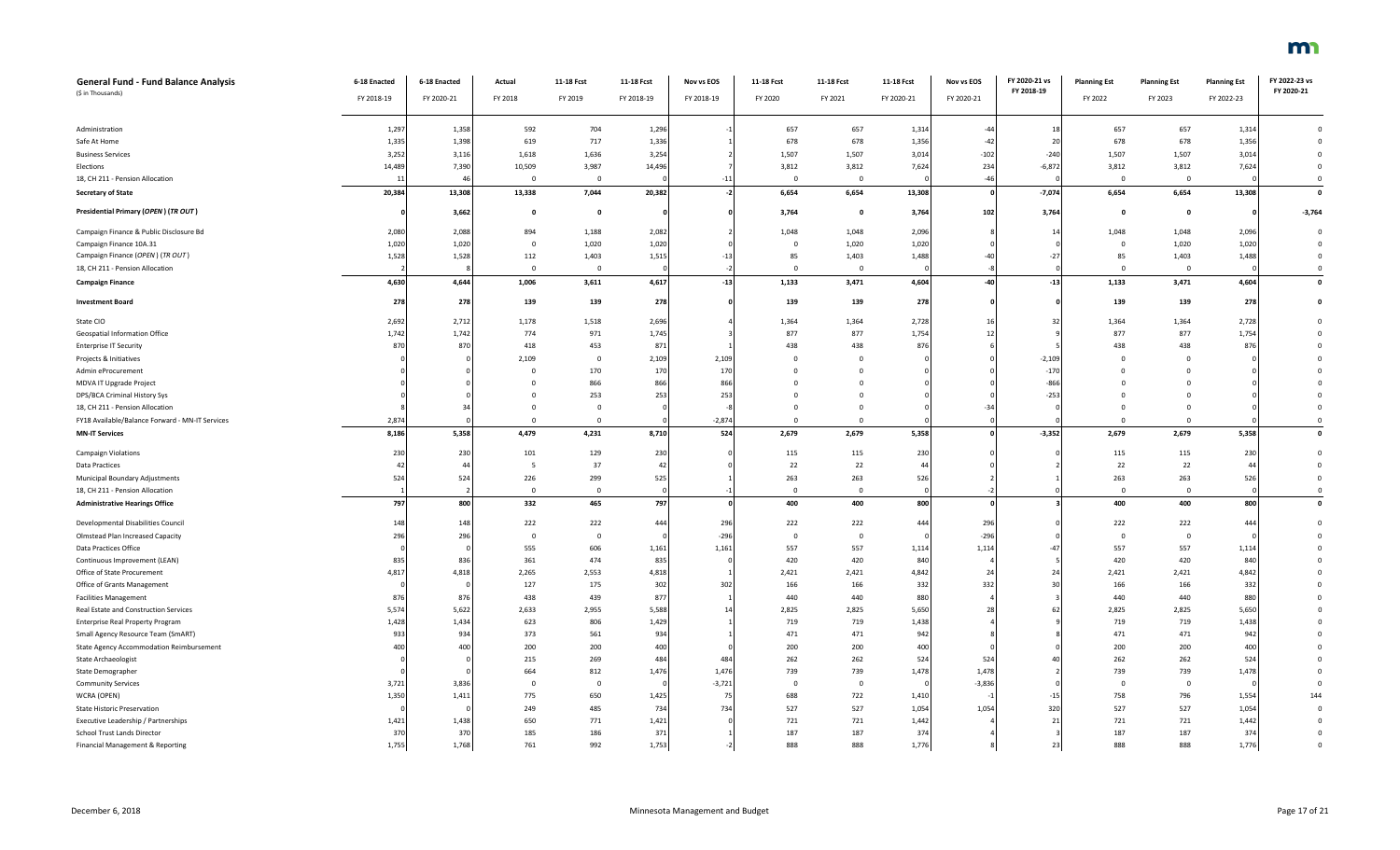| <b>General Fund - Fund Balance Analysis</b>     | 6-18 Enacted    | 6-18 Enacted | Actual                  | 11-18 Fcst     | 11-18 Fcst | Nov vs EOS | 11-18 Fcst  | 11-18 Fcst   | 11-18 Fcst | Nov vs EOS     | FY 2020-21 vs<br>FY 2018-19 | <b>Planning Est</b>     | <b>Planning Est</b> | <b>Planning Est</b> | FY 2022-23 vs<br>FY 2020-21 |
|-------------------------------------------------|-----------------|--------------|-------------------------|----------------|------------|------------|-------------|--------------|------------|----------------|-----------------------------|-------------------------|---------------------|---------------------|-----------------------------|
| (\$ in Thousands)                               | FY 2018-19      | FY 2020-21   | FY 2018                 | FY 2019        | FY 2018-19 | FY 2018-19 | FY 2020     | FY 2021      | FY 2020-21 | FY 2020-21     |                             | FY 2022                 | FY 2023             | FY 2022-23          |                             |
|                                                 |                 |              |                         |                |            |            |             |              |            |                |                             |                         |                     |                     |                             |
| Administration                                  | 1,297           | 1,358        | 592                     | 704            | 1,296      |            | 657         | 657          | 1,314      | $-44$          | 18                          | 657                     | 657                 | 1,314               | $\Omega$                    |
| Safe At Home                                    | 1,335           | 1,398        | 619                     | 717            | 1,336      |            | 678         | 678          | 1,356      | $-42$          | 20                          | 678                     | 678                 | 1,356               | $\Omega$                    |
| <b>Business Services</b>                        | 3,25            | 3,11         | 1,618                   | 1,636          | 3,254      |            | 1,507       | 1,507        | 3,014      | $-102$         | $-240$                      | 1,507                   | 1,507               | 3,014               | $\mathbf 0$                 |
| Elections                                       | 14,489          | 7,390        | 10,509                  | 3,987          | 14,496     |            | 3,812       | 3,812        | 7,624      | 234            | $-6,872$                    | 3,812                   | 3,812               | 7,624               | $\mathbf 0$                 |
| 18, CH 211 - Pension Allocation                 |                 | $\Delta f$   | $\overline{0}$          | $\overline{0}$ |            | $-11$      | $\Omega$    | $\mathbf 0$  |            | $-46$          |                             | $\overline{0}$          | $\mathbf{0}$        |                     | $\Omega$                    |
| <b>Secretary of State</b>                       | 20,384          | 13,308       | 13,338                  | 7,044          | 20,382     | $-2$       | 6,654       | 6,654        | 13,308     | $\epsilon$     | $-7,074$                    | 6,654                   | 6,654               | 13,308              | $\mathbf{0}$                |
| Presidential Primary (OPEN) (TR OUT)            |                 | 3,662        | $\mathbf{0}$            | $\Omega$       |            |            | 3,764       | $\mathbf{o}$ | 3,764      | 102            | 3,764                       | $\mathbf{0}$            | $\mathbf 0$         |                     | $-3,764$                    |
| Campaign Finance & Public Disclosure Bd         | 2,08            | 2,088        | 894                     | 1,188          | 2,082      |            | 1,048       | 1,048        | 2,096      |                | 14                          | 1,048                   | 1,048               | 2,09                | $\mathbf 0$                 |
| Campaign Finance 10A.31                         | 1,020           | 1,020        | $\Omega$                | 1,020          | 1,020      |            | $\Omega$    | 1,020        | 1,020      |                |                             | $\overline{0}$          | 1,020               | 1,020               | $\overline{0}$              |
| Campaign Finance (OPEN) (TR OUT)                | 1,528           | 1,528        | 112                     | 1,403          | 1,515      | $-13$      | 85          | 1,403        | 1,488      | -40            | $-27$                       | 85                      | 1,403               | 1,488               | $\Omega$                    |
| 18, CH 211 - Pension Allocation                 |                 |              | $\overline{0}$          | $\mathbf 0$    |            |            | $\Omega$    | $\Omega$     |            |                |                             | $\overline{0}$          | $\mathbf 0$         |                     | $\Omega$                    |
| <b>Campaign Finance</b>                         | 4,630           | 4,644        | 1,006                   | 3,611          | 4,617      | $-13$      | 1,133       | 3,471        | 4,604      | $-40$          | $-13$                       | 1,133                   | 3,471               | 4,604               | $\mathbf 0$                 |
| <b>Investment Board</b>                         | 278             | 278          | 139                     | 139            | 278        |            | 139         | 139          | 278        |                |                             | 139                     | 139                 | 278                 | $\Omega$                    |
| State CIO                                       | 2,692           | 2,712        | 1,178                   | 1,518          | 2,696      |            | 1,364       | 1,364        | 2,728      | 16             | 32                          | 1,364                   | 1,364               | 2,728               |                             |
| Geospatial Information Office                   | 1,742           | 1,742        | 774                     | 971            | 1,745      |            | 877         | 877          | 1,754      | 12             |                             | 877                     | 877                 | 1,754               |                             |
| <b>Enterprise IT Security</b>                   | 870             | 870          | 418                     | 453            | 871        |            | 438         | 438          | 876        |                |                             | 438                     | 438                 | 876                 |                             |
| Projects & Initiatives                          |                 |              | 2,109                   | $\mathbf 0$    | 2,109      | 2,109      |             | $\mathbf 0$  |            |                | $-2,109$                    | $\Omega$                | $\Omega$            |                     |                             |
| Admin eProcurement                              |                 |              | $\Omega$                | 170            | 170        | 170        |             | $\Omega$     |            |                | $-170$                      | $\Omega$                | $\Omega$            |                     |                             |
| MDVA IT Upgrade Project                         |                 |              |                         | 866            | 866        | 866        |             |              |            |                | $-866$                      |                         | $\Omega$            |                     |                             |
| DPS/BCA Criminal History Sys                    |                 |              |                         | 253            | 253        | 253        |             | $\Omega$     |            |                | $-253$                      |                         |                     |                     |                             |
| 18, CH 211 - Pension Allocation                 |                 |              | $\Omega$                | $\Omega$       |            |            | $\Omega$    | $\mathbf 0$  |            | $-34$          |                             | $\Omega$                | $\Omega$            |                     | $\Omega$                    |
| FY18 Available/Balance Forward - MN-IT Services | 2,87            |              | $\Omega$                | $\Omega$       |            | $-2,874$   | $\Omega$    | $\mathbf 0$  |            |                |                             | $\overline{0}$          | $\mathbf{0}$        |                     | $\Omega$                    |
| <b>MN-IT Services</b>                           | 8,186           | 5,358        | 4,479                   | 4,231          | 8,710      | 524        | 2,679       | 2,679        | 5,358      |                | $-3,352$                    | 2,679                   | 2,679               | 5,358               | $\mathbf{0}$                |
| Campaign Violations                             | 230             | 230          | 101                     | 129            | 230        |            | 115         | 115          | 230        |                |                             | 115                     | 115                 | 230                 | $\Omega$                    |
| <b>Data Practices</b>                           |                 | $\Delta$     |                         | 37             | 42         |            | 22          | 22           | 44         |                |                             | 22                      | 22                  | 44                  | $\Omega$                    |
| Municipal Boundary Adjustments                  | 52 <sub>4</sub> | 524          | 226                     | 299            | 525        |            | 263         | 263          | 526        |                |                             | 263                     | 263                 | 526                 | $\Omega$                    |
| 18, CH 211 - Pension Allocation                 |                 |              | $\overline{0}$          | $\overline{0}$ |            |            | $\Omega$    | $\mathbf 0$  |            |                |                             | $\overline{\mathbf{0}}$ | $\mathbf{0}$        |                     | $\overline{0}$              |
| <b>Administrative Hearings Office</b>           | 797             | 800          | 332                     | 465            | 797        |            | 400         | 400          | 800        |                |                             | 400                     | 400                 | 800                 | $\mathbf{o}$                |
| Developmental Disabilities Council              | 148             | 148          | 222                     | 222            | 444        | 296        | 222         | 222          | 444        | 296            |                             | 222                     | 222                 | 444                 |                             |
| Olmstead Plan Increased Capacity                | 296             | 296          | $\overline{\mathbf{0}}$ | $\mathbf{0}$   |            | $-296$     | $\mathbf 0$ | $\mathbf 0$  |            | $-296$         |                             | $\overline{0}$          | $\overline{0}$      |                     |                             |
| Data Practices Office                           |                 |              | 555                     | 606            | 1,161      | 1,161      | 557         | 557          | 1,114      | 1,114          | $-47$                       | 557                     | 557                 | 1,114               |                             |
| Continuous Improvement (LEAN)                   | 83              | 836          | 361                     | 474            | 835        |            | 420         | 420          | 840        |                |                             | 420                     | 420                 | 840                 |                             |
| Office of State Procurement                     | 4,81            | 4,818        | 2,265                   | 2,553          | 4,818      |            | 2,421       | 2,421        | 4,842      | 2 <sup>2</sup> | 24                          | 2,421                   | 2,421               | 4,842               |                             |
| Office of Grants Management                     |                 |              | 127                     | 175            | 302        | 302        | 166         | 166          | 332        | 332            | 30                          | 166                     | 166                 | 332                 |                             |
| <b>Facilities Management</b>                    | 87              | 876          | 438                     | 439            | 877        |            | 440         | 440          | 880        |                |                             | 440                     | 440                 | 880                 |                             |
| Real Estate and Construction Services           | 5,574           | 5,622        | 2,633                   | 2,955          | 5,588      | 14         | 2,825       | 2,825        | 5,650      | 28             | 63                          | 2,825                   | 2,825               | 5,650               |                             |
| Enterprise Real Property Program                | 1,428           | 1,434        | 623                     | 806            | 1,429      |            | 719         | 719          | 1,438      |                |                             | 719                     | 719                 | 1,438               |                             |
| Small Agency Resource Team (SmART)              | 933             | 934          | 373                     | 561            | 934        |            | 471         | 471          | 942        |                |                             | 471                     | 471                 | 942                 |                             |
| State Agency Accommodation Reimbursement        | 401             | 400          | 200                     | 200            | 400        |            | 200         | 200          | 400        |                |                             | 200                     | 200                 | 400                 |                             |
| State Archaeologist                             |                 |              | 215                     | 269            | 484        | 484        | 262         | 262          | 524        | 524            |                             | 262                     | 262                 | 524                 |                             |
| State Demographer                               |                 |              | 664                     | 812            | 1,476      | 1,476      | 739         | 739          | 1,478      | 1,478          |                             | 739                     | 739                 | 1,478               |                             |
| <b>Community Services</b>                       | 3,721           | 3,836        | $\overline{\mathbf{0}}$ | $\Omega$       |            | $-3,721$   | $\Omega$    | 0            |            | $-3,836$       |                             | $\Omega$                | $\mathbf{0}$        |                     |                             |
| WCRA (OPEN)                                     | 1,350           | 1,411        | 775                     | 650            | 1,425      | 75         | 688         | 722          | 1,410      |                | -15                         | 758                     | 796                 | 1,554               | 144                         |
| <b>State Historic Preservation</b>              |                 |              | 249                     | 485            | 734        | 734        | 527         | 527          | 1,054      | 1,054          | 320                         | 527                     | 527                 | 1,054               | $\Omega$                    |
| Executive Leadership / Partnerships             | 1,421           | 1,438        | 650                     | 771            | 1,421      |            | 721         | 721          | 1,442      |                | 21                          | 721                     | 721                 | 1,442               |                             |
| <b>School Trust Lands Director</b>              | 370             | 370          | 185                     | 186            | 371        |            | 187         | 187          | 374        |                |                             | 187                     | 187                 | 374                 | $\Omega$                    |
| Financial Management & Reporting                | 1,755           | 1,768        | 761                     | 992            | 1,753      |            | 888         | 888          | 1,776      |                | 23                          | 888                     | 888                 | 1,776               |                             |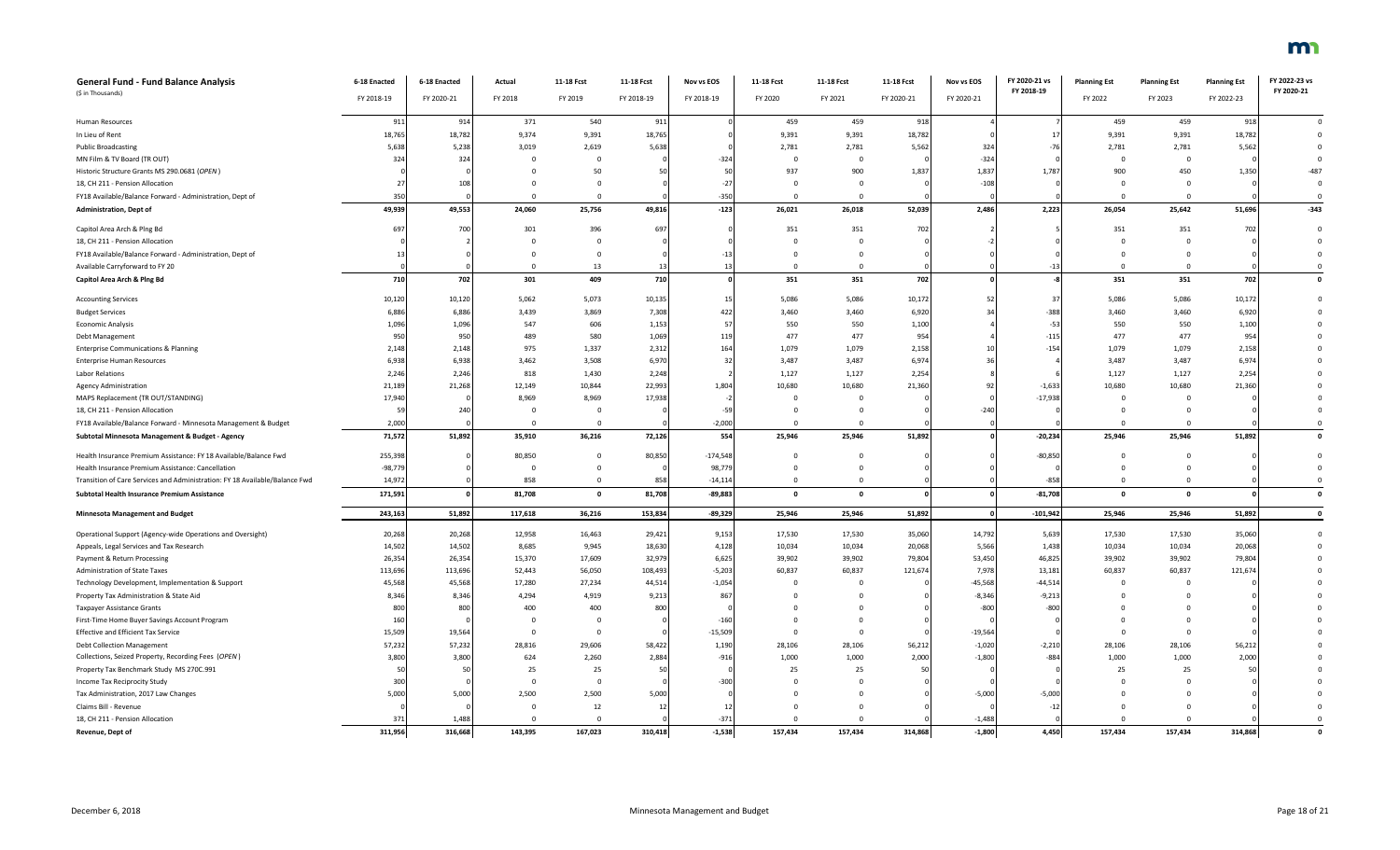| General Fund - Fund Balance Analysis                                        | 6-18 Enacted | 6-18 Enacted | Actual         | 11-18 Fcst   | 11-18 Fcst | Nov vs EOS | 11-18 Fcst     | 11-18 Fcst   | 11-18 Fcst | Nov vs EOS   | FY 2020-21 vs | <b>Planning Est</b> | <b>Planning Est</b> | <b>Planning Est</b> | FY 2022-23 vs  |
|-----------------------------------------------------------------------------|--------------|--------------|----------------|--------------|------------|------------|----------------|--------------|------------|--------------|---------------|---------------------|---------------------|---------------------|----------------|
| (\$ in Thousands)                                                           | FY 2018-19   | FY 2020-21   | FY 2018        | FY 2019      | FY 2018-19 | FY 2018-19 | FY 2020        | FY 2021      | FY 2020-21 | FY 2020-21   | FY 2018-19    | FY 2022             | FY 2023             | FY 2022-23          | FY 2020-21     |
|                                                                             |              |              |                |              |            |            |                |              |            |              |               |                     |                     |                     |                |
| Human Resources                                                             | 911          | 914          | 371            | 540          | 911        |            | 459            | 459          | 918        |              |               | 459                 | 459                 | 918                 | $\overline{0}$ |
| In Lieu of Rent                                                             | 18,765       | 18,782       | 9,374          | 9,391        | 18,765     |            | 9,391          | 9,391        | 18,782     |              | 17            | 9,391               | 9,391               | 18,782              | $\mathbf{0}$   |
| <b>Public Broadcasting</b>                                                  | 5,638        | 5,238        | 3,019          | 2,619        | 5,638      |            | 2,781          | 2,781        | 5,562      | 324          | $-76$         | 2,781               | 2,781               | 5,562               | $\Omega$       |
| MN Film & TV Board (TR OUT)                                                 | 324          | 324          | $\Omega$       | $\Omega$     |            | $-324$     | $\Omega$       | $\Omega$     |            | $-324$       |               | $\Omega$            | $\Omega$            |                     | $\Omega$       |
| Historic Structure Grants MS 290.0681 (OPEN)                                |              |              |                | 50           | 50         | 50         | 937            | 900          | 1,837      | 1,837        | 1,787         | 900                 | 450                 | 1,350               | $-487$         |
| 18, CH 211 - Pension Allocation                                             |              | 10           |                |              |            | $-27$      | $\Omega$       | $\Omega$     |            | $-108$       |               | $\Omega$            | $\Omega$            |                     | $\Omega$       |
| FY18 Available/Balance Forward - Administration, Dept of                    | 35           |              | $\Omega$       | $\Omega$     |            | $-350$     | $\Omega$       | $\mathbf{0}$ |            |              |               | $\mathbf 0$         | $\overline{0}$      |                     | $\overline{0}$ |
| <b>Administration, Dept of</b>                                              | 49,939       | 49,553       | 24,060         | 25,756       | 49,816     | $-123$     | 26,021         | 26,018       | 52,039     | 2,486        | 2,223         | 26,054              | 25,642              | 51,696              | $-343$         |
| Capitol Area Arch & Ping Bd                                                 | 697          | 700          | 301            | 396          | 697        |            | 351            | 351          | 702        |              |               | 351                 | 351                 | 702                 | $\mathbf 0$    |
| 18, CH 211 - Pension Allocation                                             |              |              | $\Omega$       | $\Omega$     |            |            | $\Omega$       | $\mathbf{0}$ |            |              |               | $\Omega$            | $\overline{0}$      |                     | $\Omega$       |
| FY18 Available/Balance Forward - Administration, Dept of                    |              |              |                |              |            | -13        | $\Omega$       | $\mathbf 0$  |            |              |               |                     | $\Omega$            |                     |                |
| Available Carryforward to FY 20                                             |              |              | $\Omega$       | 13           | -13        | 13         | $\Omega$       | $\Omega$     |            |              | $-13$         | $\Omega$            | $\Omega$            |                     | $\Omega$       |
| Capitol Area Arch & Ping Bd                                                 | 710          | 702          | 301            | 409          | 710        |            | 351            | 351          | 702        |              | -s            | 351                 | 351                 | 702                 | $\mathbf 0$    |
| <b>Accounting Services</b>                                                  | 10,120       | 10,120       | 5,062          | 5,073        | 10,135     | 15         | 5,086          | 5,086        | 10,172     | 53           | -37           | 5,086               | 5,086               | 10,172              |                |
| <b>Budget Services</b>                                                      | 6,886        | 6,886        | 3,439          | 3,869        | 7,308      | 422        | 3,460          | 3,460        | 6,920      | 34           | $-388$        | 3,460               | 3,460               | 6,920               | $\Omega$       |
| <b>Economic Analysis</b>                                                    | 1,096        | 1,096        | 547            | 606          | 1,153      | 57         | 550            | 550          | 1,100      |              | $-53$         | 550                 | 550                 | 1,100               |                |
| Debt Management                                                             | 950          | 95           | 489            | 580          | 1,069      | 119        | 477            | 477          | 954        |              | $-115$        | 477                 | 477                 | 954                 |                |
| <b>Enterprise Communications &amp; Planning</b>                             | 2,148        | 2,148        | 975            | 1,337        | 2,312      | 164        | 1,079          | 1,079        | 2,158      |              | $-154$        | 1,079               | 1,079               | 2,158               |                |
| <b>Enterprise Human Resources</b>                                           | 6,938        | 6,938        | 3,462          | 3,508        | 6,970      | 32         | 3,487          | 3,487        | 6,974      |              |               | 3,487               | 3,487               | 6,974               |                |
| Labor Relations                                                             | 2,24         | 2,246        | 818            | 1,430        | 2,248      |            | 1,127          | 1,127        | 2,254      |              |               | 1,127               | 1,127               | 2,254               |                |
| <b>Agency Administration</b>                                                | 21,189       | 21,268       | 12,149         | 10,844       | 22,993     | 1,804      | 10,680         | 10,680       | 21,360     | 9.           | $-1,633$      | 10,680              | 10,680              | 21,360              |                |
| MAPS Replacement (TR OUT/STANDING)                                          | 17,940       |              | 8,969          | 8,969        | 17,938     |            | $\Omega$       | $\mathbf 0$  |            |              | $-17,938$     | $\overline{0}$      | $^{\circ}$          |                     |                |
| 18, CH 211 - Pension Allocation                                             | -59          | 240          | $\overline{0}$ | $\mathbf{0}$ |            | $-59$      | $\overline{0}$ | $\mathbf{0}$ |            | $-240$       |               | $^{\circ}$          | $\overline{0}$      |                     |                |
| FY18 Available/Balance Forward - Minnesota Management & Budget              | 2,000        |              | $\Omega$       | $\Omega$     |            | $-2,000$   | $\Omega$       | $\Omega$     |            |              |               | $\Omega$            | $\Omega$            |                     |                |
| Subtotal Minnesota Management & Budget - Agency                             | 71,572       | 51,892       | 35,910         | 36,216       | 72,126     | 554        | 25,946         | 25,946       | 51,892     |              | $-20,234$     | 25,946              | 25,946              | 51,892              | $\mathbf 0$    |
| Health Insurance Premium Assistance: FY 18 Available/Balance Fwd            | 255,398      |              | 80,850         |              | 80,850     | $-174,548$ | $\Omega$       | $\Omega$     |            |              | $-80,850$     | $\Omega$            | $\Omega$            |                     |                |
| Health Insurance Premium Assistance: Cancellation                           | $-98,779$    |              | $\Omega$       |              |            | 98,779     |                | $\mathbf 0$  |            |              |               |                     |                     |                     |                |
| Transition of Care Services and Administration: FY 18 Available/Balance Fwd | 14,972       |              | 858            | $\Omega$     | 858        | $-14,114$  | $\Omega$       | $\Omega$     |            |              | $-858$        | $\Omega$            | $\Omega$            |                     | $\Omega$       |
| Subtotal Health Insurance Premium Assistance                                | 171,591      |              | 81,708         | $\mathbf{o}$ | 81,708     | $-89,883$  | $\mathbf{0}$   | $\mathbf 0$  |            |              | $-81,708$     | $\mathbf{0}$        | $\mathbf{0}$        |                     | $\mathbf{0}$   |
| <b>Minnesota Management and Budget</b>                                      | 243,163      | 51,892       | 117,618        | 36,216       | 153,834    | $-89,329$  | 25,946         | 25,946       | 51,892     | $\mathbf{o}$ | $-101,942$    | 25,946              | 25,946              | 51,892              | $\overline{ }$ |
| Operational Support (Agency-wide Operations and Oversight)                  | 20,268       | 20,268       | 12,958         | 16,463       | 29,421     | 9,153      | 17,530         | 17,530       | 35,060     | 14,792       | 5,639         | 17,530              | 17,530              | 35,060              | $\Omega$       |
| Appeals, Legal Services and Tax Research                                    | 14,502       | 14,502       | 8,685          | 9,945        | 18,630     | 4,128      | 10,034         | 10,034       | 20,068     | 5,566        | 1,438         | 10,034              | 10,034              | 20,068              |                |
| Payment & Return Processing                                                 | 26,35        | 26,354       | 15,370         | 17,609       | 32,979     | 6,625      | 39,902         | 39,902       | 79,804     | 53,450       | 46,825        | 39,902              | 39,902              | 79,804              |                |
| <b>Administration of State Taxes</b>                                        | 113,696      | 113,696      | 52,443         | 56,050       | 108,493    | $-5,203$   | 60,837         | 60,837       | 121,674    | 7,978        | 13,181        | 60,837              | 60,837              | 121,674             |                |
| Technology Development, Implementation & Support                            | 45,568       | 45,568       | 17,280         | 27,234       | 44,514     | $-1,054$   | $\Omega$       | $\Omega$     |            | $-45,568$    | $-44,514$     | $\Omega$            | $\Omega$            |                     |                |
| Property Tax Administration & State Aid                                     | 8,34         | 8,346        | 4,294          | 4,919        | 9,213      | 867        |                | $\mathbf 0$  |            | $-8,346$     | $-9,213$      |                     | $\Omega$            |                     |                |
| <b>Taxpayer Assistance Grants</b>                                           | 800          | 800          | 400            | 400          | 800        |            |                | $\Omega$     |            | $-800$       | $-800$        |                     |                     |                     |                |
| First-Time Home Buyer Savings Account Program                               | 160          |              | $\Omega$       |              |            | $-160$     |                | $\mathbf 0$  |            |              |               |                     |                     |                     |                |
| <b>Effective and Efficient Tax Service</b>                                  | 15,509       | 19,564       | $\Omega$       |              |            | $-15,509$  | $\Omega$       | $\mathbf 0$  |            | $-19,564$    |               | $\Omega$            | $\Omega$            |                     |                |
| <b>Debt Collection Management</b>                                           | 57,232       | 57,232       | 28,816         | 29,606       | 58,422     | 1,190      | 28,106         | 28,106       | 56,212     | $-1,020$     | $-2,210$      | 28,106              | 28,106              | 56,212              |                |
| Collections, Seized Property, Recording Fees (OPEN)                         | 3,800        | 3,800        | 624            | 2,260        | 2,884      | $-916$     | 1,000          | 1,000        | 2,000      | $-1,800$     | $-884$        | 1,000               | 1,000               | 2,000               |                |
| Property Tax Benchmark Study MS 270C.991                                    |              | 50           | 25             | 25           | 50         |            | 25             | 25           |            |              |               | 25                  | 25                  |                     |                |
| Income Tax Reciprocity Study                                                | 300          |              | $\Omega$       | $\Omega$     |            | $-300$     |                | $\Omega$     |            |              |               |                     |                     |                     |                |
| Tax Administration, 2017 Law Changes                                        | 5,000        | 5,000        | 2,500          | 2,500        | 5,000      |            |                | $\Omega$     |            | $-5,000$     | $-5,000$      |                     | $\Omega$            |                     |                |
| Claims Bill - Revenue                                                       |              |              | $\Omega$       | 12           | 12         |            |                | $\Omega$     |            |              | $-12$         |                     |                     |                     |                |
| 18, CH 211 - Pension Allocation                                             | 37           | 1,488        | $\Omega$       | $\Omega$     |            | $-371$     | $\Omega$       | $\Omega$     |            | $-1,488$     |               | $\Omega$            | $\Omega$            |                     |                |
| Revenue, Dept of                                                            | 311,956      | 316,668      | 143,395        | 167,023      | 310,418    | $-1,538$   | 157,434        | 157,434      | 314,868    | $-1,800$     | 4,450         | 157,434             | 157,434             | 314,868             | $\mathbf 0$    |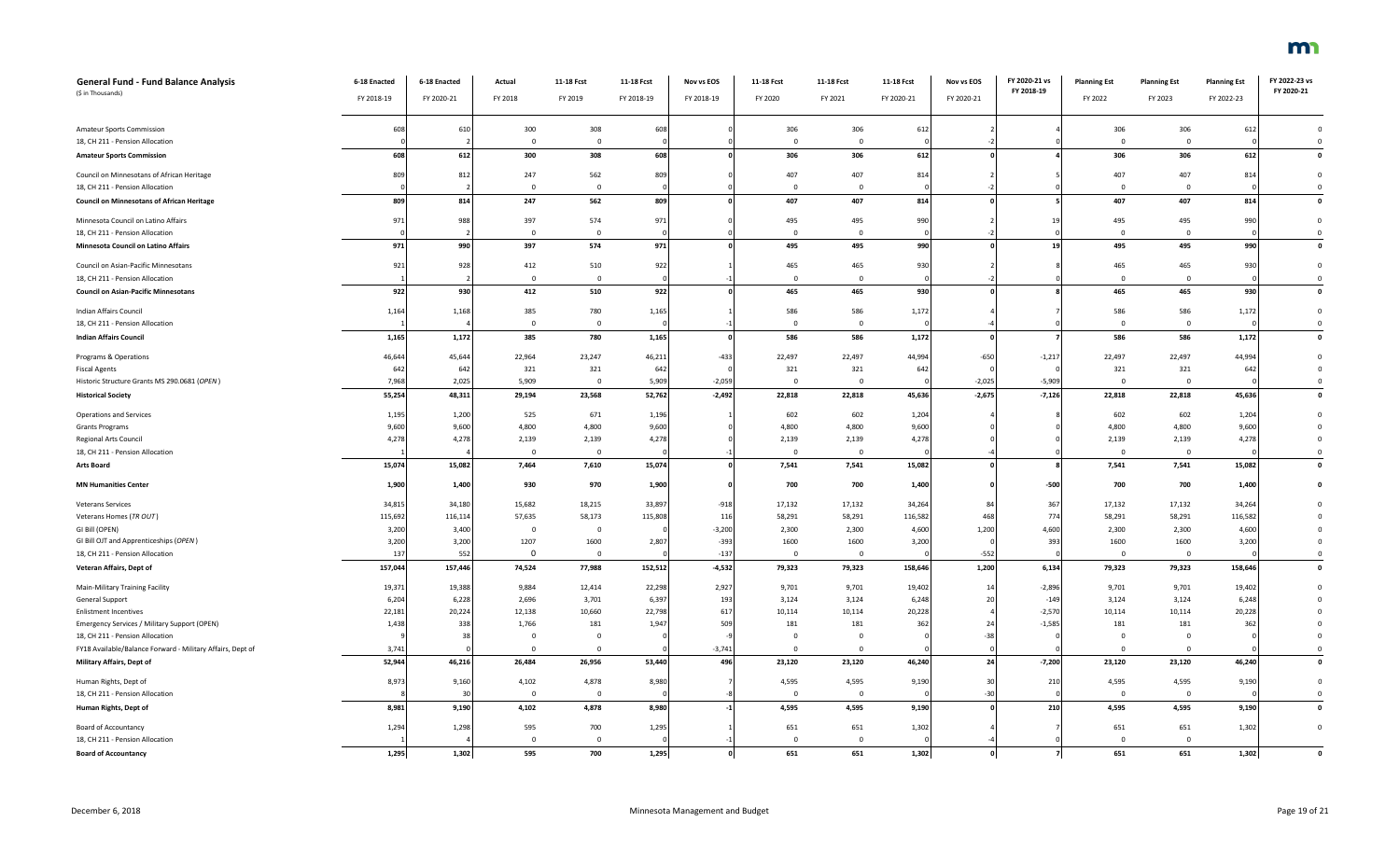| <b>General Fund - Fund Balance Analysis</b><br>(\$ in Thousands) | 6-18 Enacted<br>FY 2018-19 | 6-18 Enacted<br>FY 2020-21 | Actual<br>FY 2018 | 11-18 Fcst<br>FY 2019   | 11-18 Fcst<br>FY 2018-19 | Nov vs EOS<br>FY 2018-19 | 11-18 Fcst<br>FY 2020 | 11-18 Fcst<br>FY 2021 | 11-18 Fcst<br>FY 2020-21 | Nov vs EOS<br>FY 2020-21 | FY 2020-21 vs<br>FY 2018-19 | <b>Planning Est</b><br>FY 2022 | <b>Planning Est</b><br>FY 2023 | <b>Planning Est</b><br>FY 2022-23 | FY 2022-23 vs<br>FY 2020-21 |
|------------------------------------------------------------------|----------------------------|----------------------------|-------------------|-------------------------|--------------------------|--------------------------|-----------------------|-----------------------|--------------------------|--------------------------|-----------------------------|--------------------------------|--------------------------------|-----------------------------------|-----------------------------|
| <b>Amateur Sports Commission</b>                                 | 608                        | 610                        | 300               | 308                     | 608                      |                          | 306                   | 306                   | 612                      |                          |                             | 306                            | 306                            | 612                               | $\mathbf 0$                 |
| 18, CH 211 - Pension Allocation                                  |                            |                            | $^{\circ}$        | $\Omega$                |                          |                          | $\overline{0}$        | $\mathbf{0}$          |                          |                          |                             | $\overline{0}$                 | $\overline{0}$                 |                                   | $\mathbf 0$                 |
| <b>Amateur Sports Commission</b>                                 | 608                        | 612                        | 300               | 308                     | 608                      |                          | 306                   | 306                   | 612                      |                          |                             | 306                            | 306                            | 612                               | $\pmb{\mathsf{o}}$          |
| Council on Minnesotans of African Heritage                       | 809                        | 812                        | 247               | 562                     | 809                      |                          | 407                   | 407                   | 814                      |                          |                             | 407                            | 407                            | 814                               | $\mathbf 0$                 |
| 18, CH 211 - Pension Allocation                                  |                            |                            | $\Omega$          | $\Omega$                |                          |                          | $\mathbf 0$           | $\mathbf{0}$          |                          |                          |                             | $\Omega$                       | $\overline{0}$                 |                                   | $\mathbf 0$                 |
| <b>Council on Minnesotans of African Heritage</b>                | 809                        | 814                        | 247               | 562                     | 809                      |                          | 407                   | 407                   | 814                      |                          |                             | 407                            | 407                            | 814                               | $\mathbf 0$                 |
| Minnesota Council on Latino Affairs                              | 971                        | 988                        | 397               | 574                     | 971                      |                          | 495                   | 495                   | 990                      |                          | 1 <sup>1</sup>              | 495                            | 495                            | 990                               | $\mathbf{0}$                |
| 18, CH 211 - Pension Allocation                                  |                            |                            | $\Omega$          | $\Omega$                |                          |                          | $\mathbf{0}$          | $\mathbf{0}$          |                          |                          |                             | $\Omega$                       | $\overline{0}$                 |                                   | $\mathbf{0}$                |
| Minnesota Council on Latino Affairs                              | 971                        | 990                        | 397               | 574                     | 971                      |                          | 495                   | 495                   | 990                      |                          | 19                          | 495                            | 495                            | 990                               | $\pmb{\mathsf{o}}$          |
| Council on Asian-Pacific Minnesotans                             | 921                        | 928                        | 412               | 510                     | 922                      |                          | 465                   | 465                   | 930                      |                          |                             | 465                            | 465                            | 930                               | $\mathbf 0$                 |
| 18, CH 211 - Pension Allocation                                  |                            |                            | $\Omega$          | $\Omega$                |                          |                          | $\Omega$              | $\Omega$              |                          |                          |                             | $\Omega$                       | $\overline{0}$                 |                                   | $\mathbf 0$                 |
| <b>Council on Asian-Pacific Minnesotans</b>                      | 922                        | 930                        | 412               | 510                     | 922                      |                          | 465                   | 465                   | 930                      |                          |                             | 465                            | 465                            | 930                               | $\mathbf 0$                 |
| Indian Affairs Council                                           | 1,164                      | 1,168                      | 385               | 780                     | 1,165                    |                          | 586                   | 586                   | 1,172                    |                          |                             | 586                            | 586                            | 1,172                             | $\mathbf 0$                 |
| 18, CH 211 - Pension Allocation                                  |                            |                            | $\mathbf 0$       | $\Omega$                |                          |                          | $\Omega$              | $\mathbf{0}$          |                          |                          |                             | $\mathbf{0}$                   | $\mathbf{0}$                   |                                   | $\mathbf 0$                 |
| <b>Indian Affairs Council</b>                                    | 1,165                      | 1,172                      | 385               | 780                     | 1,165                    |                          | 586                   | 586                   | 1,172                    |                          |                             | 586                            | 586                            | 1,172                             | $\pmb{\mathsf{o}}$          |
| Programs & Operations                                            | 46,644                     | 45,644                     | 22,964            | 23,247                  | 46,211                   | $-433$                   | 22,497                | 22,497                | 44,994                   | $-650$                   | $-1,217$                    | 22,497                         | 22,497                         | 44,994                            | $\mathbf 0$                 |
| <b>Fiscal Agents</b>                                             | 642                        | 64                         | 321               | 321                     | 642                      |                          | 321                   | 321                   | 642                      |                          |                             | 321                            | 321                            | 642                               | $\mathbf 0$                 |
| Historic Structure Grants MS 290.0681 (OPEN)                     | 7,968                      | 2,025                      | 5,909             | $\Omega$                | 5,909                    | $-2,059$                 | $\overline{0}$        | $\Omega$              |                          | $-2,025$                 | $-5,909$                    | $\Omega$                       | $\Omega$                       |                                   | $\mathbf{0}$                |
| <b>Historical Society</b>                                        | 55,254                     | 48,311                     | 29,194            | 23,568                  | 52,762                   | $-2,492$                 | 22,818                | 22,818                | 45,636                   | $-2,675$                 | $-7,126$                    | 22,818                         | 22,818                         | 45,636                            | $\pmb{\mathsf{o}}$          |
| Operations and Services                                          | 1,195                      | 1,200                      | 525               | 671                     | 1,196                    |                          | 602                   | 602                   | 1,204                    |                          |                             | 602                            | 602                            | 1,204                             | $\mathbf 0$                 |
| <b>Grants Programs</b>                                           | 9,600                      | 9,600                      | 4,800             | 4,800                   | 9,600                    |                          | 4,800                 | 4,800                 | 9,600                    |                          |                             | 4,800                          | 4,800                          | 9,600                             | $\mathbf 0$                 |
| <b>Regional Arts Council</b>                                     | 4,278                      | 4,278                      | 2,139             | 2,139                   | 4,278                    |                          | 2,139                 | 2,139                 | 4,278                    |                          |                             | 2,139                          | 2,139                          | 4,278                             | $\Omega$                    |
| 18, CH 211 - Pension Allocation                                  |                            |                            | $\mathbf 0$       | $\overline{0}$          |                          |                          | $^{\circ}$            | $\mathbf{0}$          |                          |                          |                             | $\mathbf{0}$                   | $\mathbf{0}$                   |                                   | $\mathbf 0$                 |
| Arts Board                                                       | 15,074                     | 15,082                     | 7,464             | 7,610                   | 15,074                   |                          | 7,541                 | 7,541                 | 15,082                   |                          |                             | 7,541                          | 7,541                          | 15,082                            | $\mathbf 0$                 |
| <b>MN Humanities Center</b>                                      | 1,900                      | 1,400                      | 930               | 970                     | 1,900                    |                          | 700                   | 700                   | 1,400                    |                          | $-500$                      | 700                            | 700                            | 1,400                             | $\Omega$                    |
| <b>Veterans Services</b>                                         | 34,815                     | 34,180                     | 15,682            | 18,215                  | 33,897                   | $-918$                   | 17,132                | 17,132                | 34,264                   |                          | 367                         | 17,132                         | 17,132                         | 34,264                            |                             |
| Veterans Homes (TR OUT)                                          | 115,692                    | 116,114                    | 57,635            | 58,173                  | 115,808                  | 116                      | 58,291                | 58,291                | 116,582                  | 468                      | 774                         | 58,291                         | 58,291                         | 116,582                           | $\Omega$                    |
| GI Bill (OPEN)                                                   | 3,200                      | 3,400                      | $\mathbf{0}$      | $\overline{\mathbf{0}}$ |                          | $-3,200$                 | 2,300                 | 2,300                 | 4,600                    | 1,200                    | 4,600                       | 2,300                          | 2,300                          | 4,600                             | $\Omega$                    |
| GI Bill OJT and Apprenticeships (OPEN)                           | 3,200                      | 3,200                      | 1207              | 1600                    | 2,807                    | $-393$                   | 1600                  | 1600                  | 3,200                    |                          | 393                         | 1600                           | 1600                           | 3,200                             | $\mathbf 0$                 |
| 18, CH 211 - Pension Allocation                                  | 137                        | 552                        | $\mathbf{0}$      | $\overline{0}$          |                          | $-137$                   | $\mathbf 0$           | $^{\circ}$            |                          | $-552$                   |                             | $\mathbf 0$                    | $\mathbf{0}$                   |                                   | $\mathbf 0$                 |
| Veteran Affairs, Dept of                                         | 157,044                    | 157,446                    | 74,524            | 77,988                  | 152,512                  | $-4,532$                 | 79,323                | 79,323                | 158,646                  | 1,200                    | 6,134                       | 79,323                         | 79,323                         | 158,646                           | $\pmb{\mathsf{o}}$          |
| Main-Military Training Facility                                  | 19,371                     | 19,388                     | 9,884             | 12,414                  | 22,298                   | 2,927                    | 9,701                 | 9,701                 | 19,402                   | 1 <sup>i</sup>           | $-2,896$                    | 9,701                          | 9,701                          | 19,402                            | $\mathbf 0$                 |
| General Support                                                  | 6,204                      | 6,228                      | 2,696             | 3,701                   | 6,397                    | 193                      | 3,124                 | 3,124                 | 6,248                    |                          | $-149$                      | 3,124                          | 3,124                          | 6,248                             |                             |
| <b>Enlistment Incentives</b>                                     | 22,181                     | 20,224                     | 12,138            | 10,660                  | 22,798                   | 617                      | 10,114                | 10,114                | 20,228                   |                          | $-2,570$                    | 10,114                         | 10,114                         | 20,228                            | $\Omega$                    |
| Emergency Services / Military Support (OPEN)                     | 1,438                      | 338                        | 1,766             | 181                     | 1,947                    | 509                      | 181                   | 181                   | 362                      | 24                       | $-1,585$                    | 181                            | 181                            | 362                               | $\Omega$                    |
| 18, CH 211 - Pension Allocation                                  |                            |                            | $\Omega$          | $\Omega$                |                          |                          | $\Omega$              | $\Omega$              |                          | $-3i$                    |                             | $\Omega$                       | $\Omega$                       |                                   | $\mathsf 0$                 |
| FY18 Available/Balance Forward - Military Affairs, Dept of       | 3,741                      |                            | $\Omega$          | $\Omega$                |                          | $-3,741$                 | $\Omega$              | $\Omega$              |                          |                          |                             | $\Omega$                       | $\Omega$                       |                                   | $\overline{0}$              |
| Military Affairs, Dept of                                        | 52,944                     | 46,216                     | 26,484            | 26,956                  | 53,440                   | 496                      | 23,120                | 23,120                | 46,240                   | 24                       | $-7,200$                    | 23,120                         | 23,120                         | 46,240                            | $\pmb{\mathsf{o}}$          |
| Human Rights, Dept of                                            | 8,973                      | 9,160                      | 4,102             | 4,878                   | 8,980                    |                          | 4,595                 | 4,595                 | 9,190                    | $\overline{3}$           | 210                         | 4,595                          | 4,595                          | 9,190                             | $\mathbf 0$                 |
| 18, CH 211 - Pension Allocation                                  |                            | 30                         | $\mathbf{0}$      | $\overline{0}$          |                          |                          | $\mathbf 0$           | $\mathbf{0}$          |                          | $-30$                    |                             | $^{\circ}$                     | $\overline{0}$                 |                                   | $\mathbf 0$                 |
| Human Rights, Dept of                                            | 8,981                      | 9,190                      | 4,102             | 4,878                   | 8,980                    |                          | 4,595                 | 4,595                 | 9,190                    |                          | 210                         | 4,595                          | 4,595                          | 9,190                             | $\pmb{\mathsf{o}}$          |
| <b>Board of Accountancy</b>                                      | 1,294                      | 1,298                      | 595               | 700                     | 1,295                    |                          | 651                   | 651                   | 1,302                    |                          |                             | 651                            | 651                            | 1,302                             | $\mathbf 0$                 |
| 18, CH 211 - Pension Allocation                                  |                            |                            | $\Omega$          | $\Omega$                |                          |                          | $\Omega$              | $\Omega$              |                          |                          |                             | $\Omega$                       | $\Omega$                       |                                   |                             |
| <b>Board of Accountancy</b>                                      | 1,295                      | 1,302                      | 595               | 700                     | 1,295                    | 0                        | 651                   | 651                   | 1,302                    | $\mathbf{o}$             |                             | 651                            | 651                            | 1,302                             | $\mathbf 0$                 |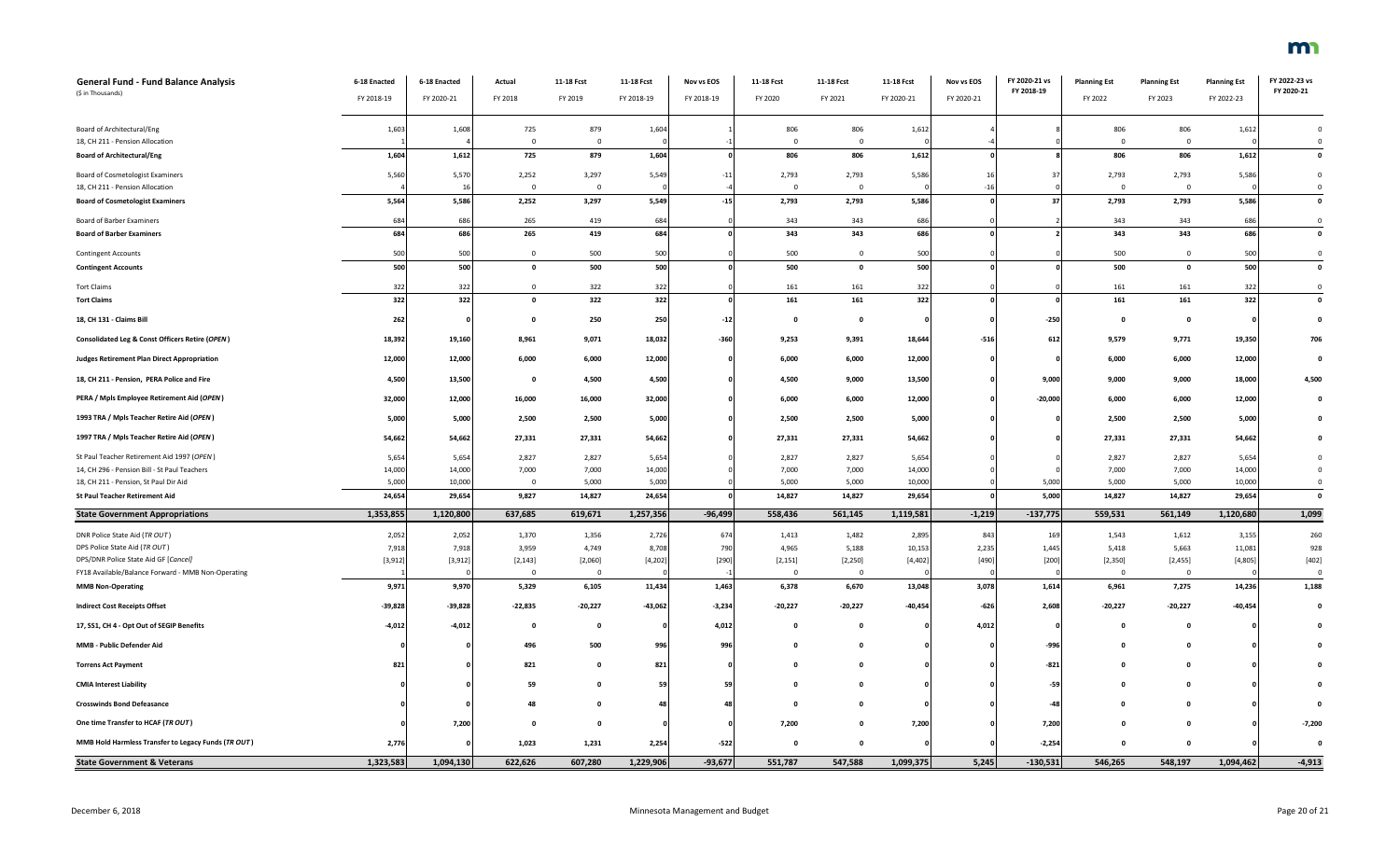| <b>General Fund - Fund Balance Analysis</b><br>(\$ in Thousands) | 6-18 Enacted | 6-18 Enacted | Actual         | 11-18 Fcst   | 11-18 Fcst | Nov vs EOS | 11-18 Fcst   | 11-18 Fcst         | 11-18 Fcst | Nov vs EOS | FY 2020-21 vs<br>FY 2018-19 | <b>Planning Est</b> | <b>Planning Est</b>     | <b>Planning Est</b> | FY 2022-23 vs<br>FY 2020-21 |
|------------------------------------------------------------------|--------------|--------------|----------------|--------------|------------|------------|--------------|--------------------|------------|------------|-----------------------------|---------------------|-------------------------|---------------------|-----------------------------|
|                                                                  | FY 2018-19   | FY 2020-21   | FY 2018        | FY 2019      | FY 2018-19 | FY 2018-19 | FY 2020      | FY 2021            | FY 2020-21 | FY 2020-21 |                             | FY 2022             | FY 2023                 | FY 2022-23          |                             |
| Board of Architectural/Eng                                       | 1,603        | 1,608        | 725            | 879          | 1,604      |            | 806          | 806                | 1,612      |            |                             | 806                 | 806                     | 1,612               | $\mathbf 0$                 |
| 18, CH 211 - Pension Allocation                                  |              |              | $\Omega$       | $\Omega$     |            |            | $\Omega$     | $\Omega$           |            |            |                             | $\Omega$            | $\Omega$                |                     | $\overline{0}$              |
| <b>Board of Architectural/Eng</b>                                | 1,604        | 1,612        | 725            | 879          | 1,604      |            | 806          | 806                | 1,612      |            |                             | 806                 | 806                     | 1,612               | $\mathbf 0$                 |
| Board of Cosmetologist Examiners                                 | 5,560        | 5,570        | 2,252          | 3,297        | 5,549      | $-11$      | 2,793        | 2,793              | 5,586      |            | 37                          | 2,793               | 2,793                   | 5,586               | $\mathbf 0$                 |
| 18, CH 211 - Pension Allocation                                  |              |              | $\Omega$       | $\mathbf{0}$ |            |            | $\Omega$     | $\mathbf 0$        |            | $-16$      |                             | $\Omega$            | $\Omega$                |                     | $\Omega$                    |
| <b>Board of Cosmetologist Examiners</b>                          | 5,564        | 5,586        | 2,252          | 3,297        | 5,549      | $-15$      | 2,793        | 2,793              | 5,586      |            | 37                          | 2,793               | 2,793                   | 5,586               | $\mathbf{0}$                |
| <b>Board of Barber Examiners</b>                                 | 684          | 686          | 265            | 419          | 684        |            | 343          | 343                | 686        |            |                             | 343                 | 343                     | 686                 | $\Omega$                    |
| <b>Board of Barber Examiners</b>                                 | 684          | 686          | 265            | 419          | 684        |            | 343          | 343                | 686        |            |                             | 343                 | 343                     | 686                 | $\mathbf 0$                 |
| <b>Contingent Accounts</b>                                       | 500          | 500          | $\mathbf{0}$   | 500          | 500        |            | 500          | $\mathbf 0$        | 500        |            |                             | 500                 | $\overline{\mathbf{0}}$ | 500                 | $\overline{\mathbf{0}}$     |
| <b>Contingent Accounts</b>                                       | 500          | 500          | $\Omega$       | 500          | 500        |            | 500          | $\mathbf 0$        | 500        |            |                             | 500                 | $\mathbf 0$             | 500                 | $\overline{\mathbf{0}}$     |
| <b>Tort Claims</b>                                               | 322          | 322          | $\Omega$       | 322          | 322        |            | 161          | 161                | 322        |            |                             | 161                 | 161                     | 322                 | $\mathbf 0$                 |
| <b>Tort Claims</b>                                               | 322          | 322          | $\mathbf{0}$   | 322          | 322        |            | 161          | 161                | 322        |            |                             | 161                 | 161                     | 322                 | $\pmb{0}$                   |
| 18, CH 131 - Claims Bill                                         | 262          |              | - 0            | 250          | 250        | $-12$      | $\mathbf{0}$ | $\pmb{\mathsf{o}}$ |            |            | $-250$                      | $\Omega$            | $\mathbf{o}$            |                     | $\Omega$                    |
| Consolidated Leg & Const Officers Retire (OPEN)                  | 18,392       | 19,160       | 8,961          | 9,071        | 18,032     | $-360$     | 9,253        | 9,391              | 18,644     | $-516$     | 612                         | 9,579               | 9,771                   | 19,350              | 706                         |
| <b>Judges Retirement Plan Direct Appropriation</b>               | 12,000       | 12,000       | 6,000          | 6,000        | 12,000     |            | 6,000        | 6,000              | 12,000     |            |                             | 6,000               | 6,000                   | 12,000              | $\mathbf 0$                 |
| 18, CH 211 - Pension, PERA Police and Fire                       | 4,500        | 13,500       | $\mathbf{o}$   | 4,500        | 4,500      |            | 4,500        | 9,000              | 13,500     |            | 9,000                       | 9,000               | 9,000                   | 18,000              | 4,500                       |
| PERA / Mpls Employee Retirement Aid (OPEN)                       | 32,000       | 12,000       | 16,000         | 16,000       | 32,000     |            | 6,000        | 6,000              | 12,000     |            | $-20,000$                   | 6,000               | 6,000                   | 12,000              | $\Omega$                    |
| 1993 TRA / Mpls Teacher Retire Aid (OPEN)                        | 5,000        | 5,000        | 2,500          | 2,500        | 5,000      |            | 2,500        | 2,500              | 5,000      |            |                             | 2,500               | 2,500                   | 5,000               |                             |
| 1997 TRA / Mpls Teacher Retire Aid (OPEN)                        | 54,662       | 54,662       | 27,331         | 27,331       | 54,662     |            | 27,331       | 27,331             | 54,662     |            |                             | 27,331              | 27,331                  | 54,662              |                             |
| St Paul Teacher Retirement Aid 1997 (OPEN)                       | 5,654        | 5,654        | 2,827          | 2,827        | 5,654      |            | 2,827        | 2,827              | 5,654      |            |                             | 2,827               | 2,827                   | 5,654               |                             |
| 14, CH 296 - Pension Bill - St Paul Teachers                     | 14,000       | 14,000       | 7,000          | 7,000        | 14,000     |            | 7,000        | 7,000              | 14,000     |            |                             | 7,000               | 7,000                   | 14,000              | $\mathsf 0$                 |
| 18, CH 211 - Pension, St Paul Dir Aid                            | 5,000        | 10,000       | $\Omega$       | 5,000        | 5,000      |            | 5,000        | 5,000              | 10,000     |            | 5,000                       | 5,000               | 5,000                   | 10,000              | $\overline{0}$              |
| <b>St Paul Teacher Retirement Aid</b>                            | 24,654       | 29,654       | 9,827          | 14,827       | 24,654     |            | 14,827       | 14,827             | 29,654     |            | 5,000                       | 14,827              | 14,827                  | 29,654              | $\mathbf 0$                 |
| <b>State Government Appropriations</b>                           | 1,353,855    | 1,120,800    | 637,685        | 619,671      | 1,257,356  | -96,499    | 558,436      | 561,145            | 1,119,581  | $-1,219$   | $-137,775$                  | 559,531             | 561,149                 | 1,120,680           | 1,099                       |
| DNR Police State Aid (TR OUT)                                    | 2,052        | 2,052        | 1,370          | 1,356        | 2,726      | 674        | 1,413        | 1,482              | 2,895      | 843        | 169                         | 1,543               | 1,612                   | 3,155               | 260                         |
| DPS Police State Aid (TR OUT)                                    | 7,918        | 7,918        | 3,959          | 4,749        | 8,708      | 790        | 4,965        | 5,188              | 10,153     | 2,235      | 1,445                       | 5,418               | 5,663                   | 11,081              | 928                         |
| DPS/DNR Police State Aid GF [Cancel]                             | [3, 912]     | [3, 912]     | [2, 143]       | [2,060]      | [4, 202]   | $[290]$    | [2, 151]     | [2, 250]           | [4, 402]   | $[490]$    | $[200]$                     | [2,350]             | [2,455]                 | [4,805]             | [402]                       |
| FY18 Available/Balance Forward - MMB Non-Operating               |              |              | $\overline{0}$ | $\mathbf 0$  |            |            | $\mathbf 0$  | $\mathbf 0$        |            |            |                             | $\overline{0}$      | $\overline{0}$          |                     | $\overline{\mathbf{0}}$     |
| <b>MMB Non-Operating</b>                                         | 9,971        | 9,970        | 5,329          | 6,105        | 11,434     | 1,463      | 6,378        | 6,670              | 13,048     | 3,078      | 1,614                       | 6,961               | 7,275                   | 14,236              | 1,188                       |
| <b>Indirect Cost Receipts Offset</b>                             | $-39,828$    | $-39,828$    | $-22,835$      | $-20,227$    | $-43,062$  | $-3,234$   | $-20,227$    | $-20,227$          | $-40,454$  | $-626$     | 2,608                       | $-20,227$           | $-20,227$               | $-40,454$           | $\mathbf{0}$                |
| 17, SS1, CH 4 - Opt Out of SEGIP Benefits                        | $-4,012$     | $-4,012$     | $\Omega$       | $\mathbf{0}$ |            | 4,012      | $\Omega$     | $\Omega$           |            | 4,012      |                             | $\Omega$            | $\Omega$                |                     |                             |
| MMB - Public Defender Aid                                        |              |              | 496            | 500          | 996        | 996        | 0            | 0                  |            |            | $-996$                      |                     |                         |                     |                             |
| <b>Torrens Act Payment</b>                                       | 821          |              | 821            | $\mathbf 0$  | 821        |            | 0            | 0                  |            |            | $-821$                      |                     |                         |                     |                             |
| <b>CMIA Interest Liability</b>                                   |              |              | 59             | $\mathbf{0}$ | 59         | 59         | $\mathbf{0}$ |                    |            |            | $-59$                       |                     |                         |                     |                             |
| <b>Crosswinds Bond Defeasance</b>                                |              |              | 48             | $\Omega$     | 48         | 48         | $\mathbf{0}$ |                    |            |            | -48                         |                     |                         |                     |                             |
| One time Transfer to HCAF (TR OUT)                               |              | 7,200        |                | $\mathbf 0$  |            |            | 7,200        | 0                  | 7,200      |            | 7,200                       |                     |                         |                     | $-7,200$                    |
| MMB Hold Harmless Transfer to Legacy Funds (TR OUT)              | 2,776        |              | 1,023          | 1,231        | 2,254      | $-522$     | $\Omega$     | $\Omega$           |            |            | $-2,254$                    |                     | $\Omega$                |                     | $\mathbf 0$                 |
| <b>State Government &amp; Veterans</b>                           | 1,323,583    | 1,094,130    | 622,626        | 607,280      | 1,229,906  | $-93,677$  | 551,787      | 547,588            | 1,099,375  | 5,245      | $-130,531$                  | 546,265             | 548,197                 | 1,094,462           | $-4,913$                    |